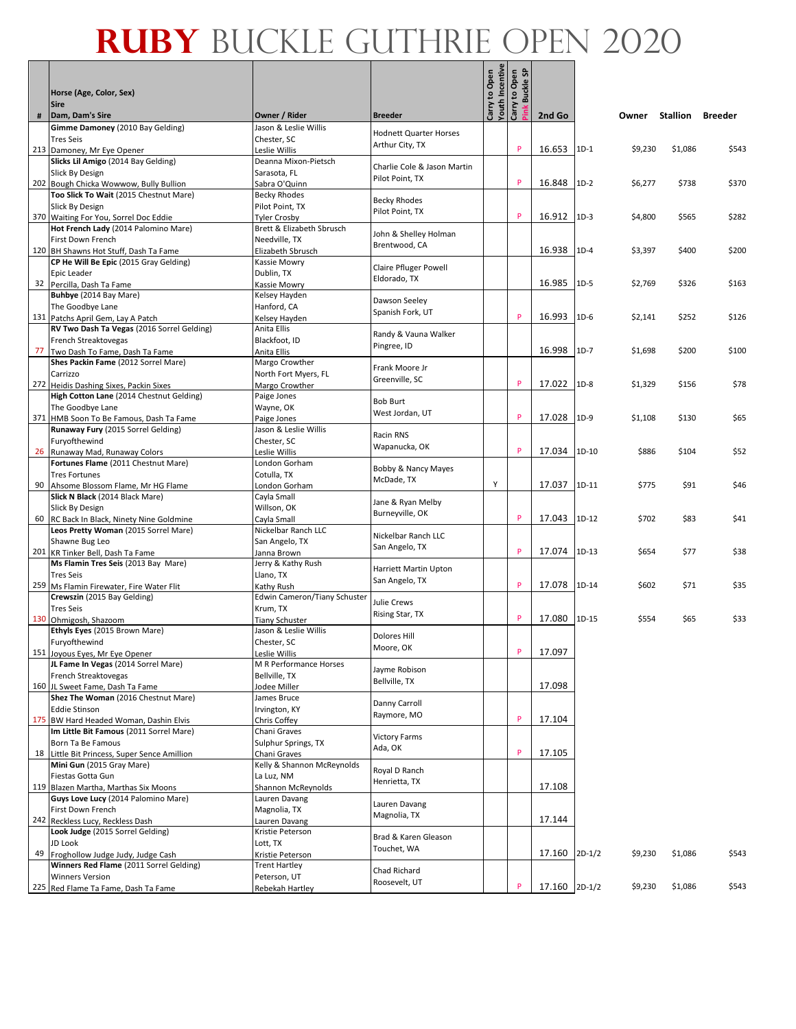|    |                                                                               |                                                  |                               | Carry to Open<br>Youth Incentive | <b>Buckle SP</b><br>Carry to Open |               |          |         |                 |         |
|----|-------------------------------------------------------------------------------|--------------------------------------------------|-------------------------------|----------------------------------|-----------------------------------|---------------|----------|---------|-----------------|---------|
|    | Horse (Age, Color, Sex)<br><b>Sire</b><br>Dam, Dam's Sire                     | Owner / Rider                                    | <b>Breeder</b>                |                                  |                                   | 2nd Go        |          |         | <b>Stallion</b> |         |
| #  | Gimme Damoney (2010 Bay Gelding)                                              | Jason & Leslie Willis                            |                               |                                  |                                   |               |          | Owner   |                 | Breeder |
|    | <b>Tres Seis</b>                                                              | Chester, SC                                      | <b>Hodnett Quarter Horses</b> |                                  |                                   |               |          |         |                 |         |
|    | 213 Damoney, Mr Eye Opener                                                    | Leslie Willis                                    | Arthur City, TX               |                                  | P                                 | 16.653        | $1D-1$   | \$9,230 | \$1,086         | \$543   |
|    | Slicks Lil Amigo (2014 Bay Gelding)                                           | Deanna Mixon-Pietsch                             | Charlie Cole & Jason Martin   |                                  |                                   |               |          |         |                 |         |
|    | Slick By Design                                                               | Sarasota, FL                                     | Pilot Point, TX               |                                  |                                   |               |          |         |                 |         |
|    | 202 Bough Chicka Wowwow, Bully Bullion                                        | Sabra O'Quinn                                    |                               |                                  | P                                 | 16.848        | $1D-2$   | \$6,277 | \$738           | \$370   |
|    | Too Slick To Wait (2015 Chestnut Mare)                                        | <b>Becky Rhodes</b>                              | <b>Becky Rhodes</b>           |                                  |                                   |               |          |         |                 |         |
|    | <b>Slick By Design</b>                                                        | Pilot Point, TX                                  | Pilot Point, TX               |                                  | P                                 |               |          |         |                 |         |
|    | 370 Waiting For You, Sorrel Doc Eddie<br>Hot French Lady (2014 Palomino Mare) | <b>Tyler Crosby</b><br>Brett & Elizabeth Sbrusch |                               |                                  |                                   | 16.912        | $1D-3$   | \$4,800 | \$565           | \$282   |
|    | First Down French                                                             | Needville, TX                                    | John & Shelley Holman         |                                  |                                   |               |          |         |                 |         |
|    | 120 BH Shawns Hot Stuff, Dash Ta Fame                                         | Elizabeth Sbrusch                                | Brentwood, CA                 |                                  |                                   | 16.938        | $1D-4$   | \$3,397 | \$400           | \$200   |
|    | CP He Will Be Epic (2015 Gray Gelding)                                        | Kassie Mowry                                     |                               |                                  |                                   |               |          |         |                 |         |
|    | Epic Leader                                                                   | Dublin, TX                                       | Claire Pfluger Powell         |                                  |                                   |               |          |         |                 |         |
|    | 32 Percilla, Dash Ta Fame                                                     | Kassie Mowry                                     | Eldorado, TX                  |                                  |                                   | 16.985        | $1D-5$   | \$2,769 | \$326           | \$163   |
|    | Buhbye (2014 Bay Mare)                                                        | Kelsey Hayden                                    | Dawson Seeley                 |                                  |                                   |               |          |         |                 |         |
|    | The Goodbye Lane                                                              | Hanford, CA                                      | Spanish Fork, UT              |                                  |                                   |               |          |         |                 |         |
|    | 131 Patchs April Gem, Lay A Patch                                             | Kelsey Hayden                                    |                               |                                  | P                                 | 16.993        | $1D-6$   | \$2,141 | \$252           | \$126   |
|    | RV Two Dash Ta Vegas (2016 Sorrel Gelding)                                    | Anita Ellis<br>Blackfoot. ID                     | Randy & Vauna Walker          |                                  |                                   |               |          |         |                 |         |
| 77 | French Streaktovegas<br>Two Dash To Fame, Dash Ta Fame                        | Anita Ellis                                      | Pingree, ID                   |                                  |                                   | 16.998        | $1D-7$   | \$1,698 | \$200           | \$100   |
|    | Shes Packin Fame (2012 Sorrel Mare)                                           | Margo Crowther                                   |                               |                                  |                                   |               |          |         |                 |         |
|    | Carrizzo                                                                      | North Fort Myers, FL                             | Frank Moore Jr                |                                  |                                   |               |          |         |                 |         |
|    | 272 Heidis Dashing Sixes, Packin Sixes                                        | Margo Crowther                                   | Greenville, SC                |                                  | P                                 | 17.022        | $1D-8$   | \$1,329 | \$156           | \$78    |
|    | High Cotton Lane (2014 Chestnut Gelding)                                      | Paige Jones                                      | <b>Bob Burt</b>               |                                  |                                   |               |          |         |                 |         |
|    | The Goodbye Lane                                                              | Wayne, OK                                        | West Jordan, UT               |                                  |                                   |               |          |         |                 |         |
|    | 371 HMB Soon To Be Famous, Dash Ta Fame                                       | Paige Jones                                      |                               |                                  | P                                 | 17.028        | $1D-9$   | \$1,108 | \$130           | \$65    |
|    | Runaway Fury (2015 Sorrel Gelding)                                            | Jason & Leslie Willis                            | Racin RNS                     |                                  |                                   |               |          |         |                 |         |
|    | Furyofthewind                                                                 | Chester, SC                                      | Wapanucka, OK                 |                                  | P                                 | 17.034        | $1D-10$  | \$886   |                 |         |
|    | 26 Runaway Mad, Runaway Colors<br>Fortunes Flame (2011 Chestnut Mare)         | Leslie Willis<br>London Gorham                   |                               |                                  |                                   |               |          |         | \$104           | \$52    |
|    | <b>Tres Fortunes</b>                                                          | Cotulla, TX                                      | Bobby & Nancy Mayes           |                                  |                                   |               |          |         |                 |         |
|    | 90 Ahsome Blossom Flame, Mr HG Flame                                          | London Gorham                                    | McDade, TX                    | Y                                |                                   | 17.037        | $1D-11$  | \$775   | \$91            | \$46    |
|    | Slick N Black (2014 Black Mare)                                               | Cayla Small                                      |                               |                                  |                                   |               |          |         |                 |         |
|    | Slick By Design                                                               | Willson, OK                                      | Jane & Ryan Melby             |                                  |                                   |               |          |         |                 |         |
|    | 60 RC Back In Black, Ninety Nine Goldmine                                     | Cayla Small                                      | Burneyville, OK               |                                  | P                                 | 17.043        | 1D-12    | \$702   | \$83            | \$41    |
|    | Leos Pretty Woman (2015 Sorrel Mare)                                          | Nickelbar Ranch LLC                              | Nickelbar Ranch LLC           |                                  |                                   |               |          |         |                 |         |
|    | Shawne Bug Leo                                                                | San Angelo, TX                                   | San Angelo, TX                |                                  | P                                 |               |          |         |                 |         |
|    | 201 KR Tinker Bell, Dash Ta Fame<br>Ms Flamin Tres Seis (2013 Bay Mare)       | Janna Brown<br>Jerry & Kathy Rush                |                               |                                  |                                   | 17.074        | $1D-13$  | \$654   | \$77            | \$38    |
|    | <b>Tres Seis</b>                                                              | Llano, TX                                        | Harriett Martin Upton         |                                  |                                   |               |          |         |                 |         |
|    | 259 Ms Flamin Firewater, Fire Water Flit                                      | Kathy Rush                                       | San Angelo, TX                |                                  | P                                 | 17.078        | 1D-14    | \$602   | \$71            | \$35    |
|    | Crewszin (2015 Bay Gelding)                                                   | Edwin Cameron/Tiany Schuster                     |                               |                                  |                                   |               |          |         |                 |         |
|    | <b>Tres Seis</b>                                                              | Krum, TX                                         | Julie Crews                   |                                  |                                   |               |          |         |                 |         |
|    | 130 Ohmigosh, Shazoom                                                         | <b>Tiany Schuster</b>                            | Rising Star, TX               |                                  | P                                 | 17.080        | 1D-15    | \$554   | \$65            | \$33    |
|    | Ethyls Eyes (2015 Brown Mare)                                                 | Jason & Leslie Willis                            | <b>Dolores Hill</b>           |                                  |                                   |               |          |         |                 |         |
|    | Furyofthewind                                                                 | Chester, SC                                      | Moore, OK                     |                                  | P                                 | 17.097        |          |         |                 |         |
|    | 151 Joyous Eyes, Mr Eye Opener<br>JL Fame In Vegas (2014 Sorrel Mare)         | Leslie Willis<br>M R Performance Horses          |                               |                                  |                                   |               |          |         |                 |         |
|    | French Streaktovegas                                                          | Bellville, TX                                    | Jayme Robison                 |                                  |                                   |               |          |         |                 |         |
|    | 160 JL Sweet Fame, Dash Ta Fame                                               | Jodee Miller                                     | Bellville, TX                 |                                  |                                   | 17.098        |          |         |                 |         |
|    | Shez The Woman (2016 Chestnut Mare)                                           | James Bruce                                      |                               |                                  |                                   |               |          |         |                 |         |
|    | <b>Eddie Stinson</b>                                                          | Irvington, KY                                    | Danny Carroll<br>Raymore, MO  |                                  |                                   |               |          |         |                 |         |
|    | 175 BW Hard Headed Woman, Dashin Elvis                                        | Chris Coffey                                     |                               |                                  | P                                 | 17.104        |          |         |                 |         |
|    | Im Little Bit Famous (2011 Sorrel Mare)                                       | Chani Graves                                     | <b>Victory Farms</b>          |                                  |                                   |               |          |         |                 |         |
|    | Born Ta Be Famous                                                             | Sulphur Springs, TX                              | Ada, OK                       |                                  | P                                 | 17.105        |          |         |                 |         |
|    | 18 Little Bit Princess, Super Sence Amillion<br>Mini Gun (2015 Gray Mare)     | Chani Graves<br>Kelly & Shannon McReynolds       |                               |                                  |                                   |               |          |         |                 |         |
|    | Fiestas Gotta Gun                                                             | La Luz, NM                                       | Royal D Ranch                 |                                  |                                   |               |          |         |                 |         |
|    | 119 Blazen Martha, Marthas Six Moons                                          | Shannon McReynolds                               | Henrietta, TX                 |                                  |                                   | 17.108        |          |         |                 |         |
|    | Guys Love Lucy (2014 Palomino Mare)                                           | Lauren Davang                                    |                               |                                  |                                   |               |          |         |                 |         |
|    | First Down French                                                             | Magnolia, TX                                     | Lauren Davang<br>Magnolia, TX |                                  |                                   |               |          |         |                 |         |
|    | 242 Reckless Lucy, Reckless Dash                                              | Lauren Davang                                    |                               |                                  |                                   | 17.144        |          |         |                 |         |
|    | Look Judge (2015 Sorrel Gelding)                                              | Kristie Peterson                                 | Brad & Karen Gleason          |                                  |                                   |               |          |         |                 |         |
| 49 | JD Look                                                                       | Lott, TX                                         | Touchet, WA                   |                                  |                                   | 17.160        | $2D-1/2$ | \$9,230 | \$1,086         | \$543   |
|    | Froghollow Judge Judy, Judge Cash<br>Winners Red Flame (2011 Sorrel Gelding)  | Kristie Peterson<br><b>Trent Hartley</b>         |                               |                                  |                                   |               |          |         |                 |         |
|    | <b>Winners Version</b>                                                        | Peterson, UT                                     | Chad Richard                  |                                  |                                   |               |          |         |                 |         |
|    | 225 Red Flame Ta Fame, Dash Ta Fame                                           | Rebekah Hartley                                  | Roosevelt, UT                 |                                  | P                                 | 17.160 2D-1/2 |          | \$9,230 | \$1,086         | \$543   |
|    |                                                                               |                                                  |                               |                                  |                                   |               |          |         |                 |         |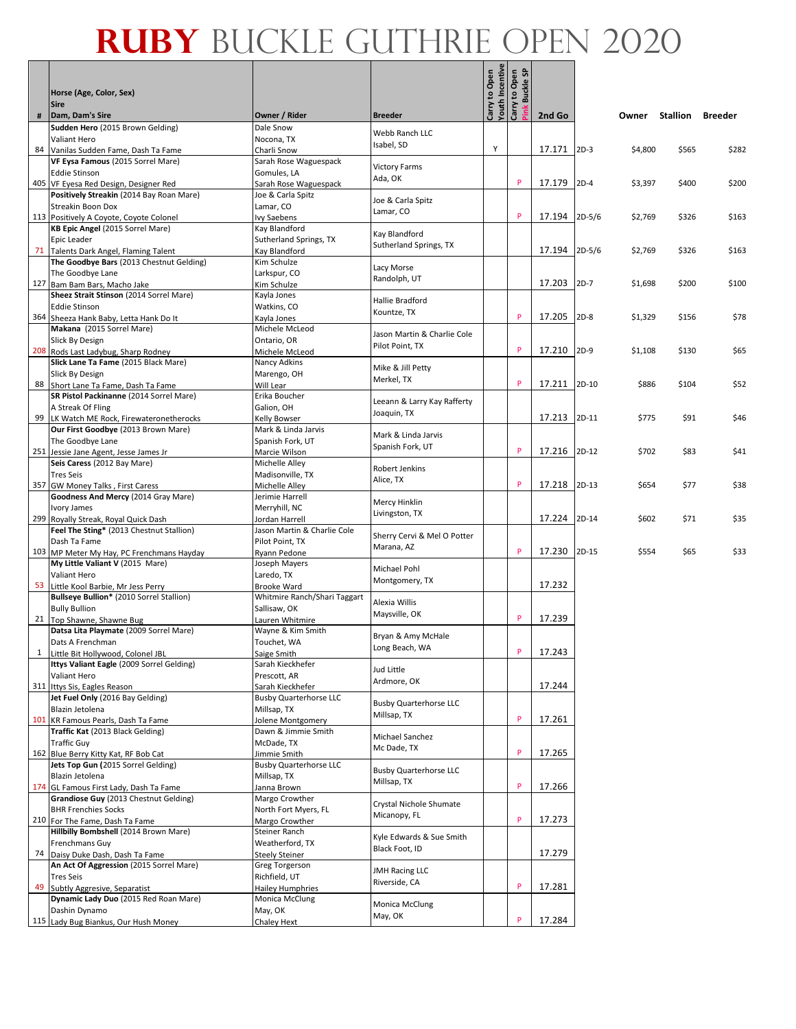|    | Horse (Age, Color, Sex)                                                           |                                            |                                | Carry to Open<br>Youth Incentive<br>Carry to Open | ិ<br>ទ<br>Buckle: |               |         |         |          |                |
|----|-----------------------------------------------------------------------------------|--------------------------------------------|--------------------------------|---------------------------------------------------|-------------------|---------------|---------|---------|----------|----------------|
|    | <b>Sire</b>                                                                       |                                            | <b>Breeder</b>                 |                                                   |                   |               |         |         |          |                |
| #  | Dam, Dam's Sire<br>Sudden Hero (2015 Brown Gelding)                               | Owner / Rider<br>Dale Snow                 |                                |                                                   |                   | 2nd Go        |         | Owner   | Stallion | <b>Breeder</b> |
|    | <b>Valiant Hero</b>                                                               | Nocona. TX                                 | Webb Ranch LLC                 |                                                   |                   |               |         |         |          |                |
|    | 84 Vanilas Sudden Fame, Dash Ta Fame                                              | Charli Snow                                | Isabel, SD                     | Y                                                 |                   | 17.171 2D-3   |         | \$4,800 | \$565    | \$282          |
|    | VF Eysa Famous (2015 Sorrel Mare)                                                 | Sarah Rose Waguespack                      | <b>Victory Farms</b>           |                                                   |                   |               |         |         |          |                |
|    | <b>Eddie Stinson</b><br>405 VF Eyesa Red Design, Designer Red                     | Gomules, LA                                | Ada, OK                        |                                                   | P                 | 17.179        | $2D-4$  | \$3,397 | \$400    | \$200          |
|    | Positively Streakin (2014 Bay Roan Mare)                                          | Sarah Rose Waguespack<br>Joe & Carla Spitz |                                |                                                   |                   |               |         |         |          |                |
|    | <b>Streakin Boon Dox</b>                                                          | Lamar, CO                                  | Joe & Carla Spitz              |                                                   |                   |               |         |         |          |                |
|    | 113 Positively A Coyote, Coyote Colonel                                           | Ivy Saebens                                | Lamar, CO                      |                                                   | P                 | 17.194 2D-5/6 |         | \$2,769 | \$326    | \$163          |
|    | KB Epic Angel (2015 Sorrel Mare)                                                  | Kay Blandford                              | Kay Blandford                  |                                                   |                   |               |         |         |          |                |
|    | Epic Leader                                                                       | Sutherland Springs, TX                     | Sutherland Springs, TX         |                                                   |                   |               |         |         |          |                |
|    | 71 Talents Dark Angel, Flaming Talent<br>The Goodbye Bars (2013 Chestnut Gelding) | Kay Blandford<br>Kim Schulze               |                                |                                                   |                   | 17.194 2D-5/6 |         | \$2,769 | \$326    | \$163          |
|    | The Goodbye Lane                                                                  | Larkspur, CO                               | Lacy Morse                     |                                                   |                   |               |         |         |          |                |
|    | 127 Bam Bam Bars, Macho Jake                                                      | Kim Schulze                                | Randolph, UT                   |                                                   |                   | 17.203        | $2D-7$  | \$1,698 | \$200    | \$100          |
|    | Sheez Strait Stinson (2014 Sorrel Mare)                                           | Kayla Jones                                | Hallie Bradford                |                                                   |                   |               |         |         |          |                |
|    | <b>Eddie Stinson</b>                                                              | Watkins, CO                                | Kountze, TX                    |                                                   |                   |               |         |         |          |                |
|    | 364 Sheeza Hank Baby, Letta Hank Do It                                            | Kayla Jones                                |                                |                                                   | P                 | 17.205        | $2D-8$  | \$1,329 | \$156    | \$78           |
|    | Makana (2015 Sorrel Mare)<br><b>Slick By Design</b>                               | Michele McLeod<br>Ontario, OR              | Jason Martin & Charlie Cole    |                                                   |                   |               |         |         |          |                |
|    | 208 Rods Last Ladybug, Sharp Rodney                                               | Michele McLeod                             | Pilot Point, TX                |                                                   | P                 | 17.210        | $2D-9$  | \$1,108 | \$130    | \$65           |
|    | Slick Lane Ta Fame (2015 Black Mare)                                              | Nancy Adkins                               |                                |                                                   |                   |               |         |         |          |                |
|    | Slick By Design                                                                   | Marengo, OH                                | Mike & Jill Petty              |                                                   |                   |               |         |         |          |                |
|    | 88 Short Lane Ta Fame, Dash Ta Fame                                               | Will Lear                                  | Merkel, TX                     |                                                   | P                 | 17.211        | $2D-10$ | \$886   | \$104    | \$52           |
|    | SR Pistol Packinanne (2014 Sorrel Mare)                                           | Erika Boucher                              | Leeann & Larry Kay Rafferty    |                                                   |                   |               |         |         |          |                |
|    | A Streak Of Fling                                                                 | Galion, OH                                 | Joaquin, TX                    |                                                   |                   | 17.213        | 2D-11   | \$775   | \$91     | \$46           |
|    | 99 LK Watch ME Rock, Firewateronetherocks<br>Our First Goodbye (2013 Brown Mare)  | Kelly Bowser<br>Mark & Linda Jarvis        |                                |                                                   |                   |               |         |         |          |                |
|    | The Goodbye Lane                                                                  | Spanish Fork, UT                           | Mark & Linda Jarvis            |                                                   |                   |               |         |         |          |                |
|    | 251 Jessie Jane Agent, Jesse James Jr                                             | Marcie Wilson                              | Spanish Fork, UT               |                                                   | P                 | 17.216 2D-12  |         | \$702   | \$83     | \$41           |
|    | Seis Caress (2012 Bay Mare)                                                       | Michelle Alley                             | Robert Jenkins                 |                                                   |                   |               |         |         |          |                |
|    | <b>Tres Seis</b>                                                                  | Madisonville, TX                           | Alice, TX                      |                                                   |                   |               |         |         |          |                |
|    | 357 GW Money Talks, First Caress<br>Goodness And Mercy (2014 Gray Mare)           | Michelle Alley                             |                                |                                                   | P                 | 17.218 2D-13  |         | \$654   | \$77     | \$38           |
|    | Ivory James                                                                       | Jerimie Harrell<br>Merryhill, NC           | Mercy Hinklin                  |                                                   |                   |               |         |         |          |                |
|    | 299 Royally Streak, Royal Quick Dash                                              | Jordan Harrell                             | Livingston, TX                 |                                                   |                   | 17.224        | 2D-14   | \$602   | \$71     | \$35           |
|    | Feel The Sting* (2013 Chestnut Stallion)                                          | Jason Martin & Charlie Cole                | Sherry Cervi & Mel O Potter    |                                                   |                   |               |         |         |          |                |
|    | Dash Ta Fame                                                                      | Pilot Point, TX                            | Marana, AZ                     |                                                   |                   |               |         |         |          |                |
|    | 103 MP Meter My Hay, PC Frenchmans Hayday                                         | Ryann Pedone                               |                                |                                                   | P                 | 17.230        | 2D-15   | \$554   | \$65     | \$33           |
|    | My Little Valiant V (2015 Mare)<br><b>Valiant Hero</b>                            | Joseph Mayers<br>Laredo, TX                | Michael Pohl                   |                                                   |                   |               |         |         |          |                |
|    | 53 Little Kool Barbie, Mr Jess Perry                                              | <b>Brooke Ward</b>                         | Montgomery, TX                 |                                                   |                   | 17.232        |         |         |          |                |
|    | Bullseye Bullion* (2010 Sorrel Stallion)                                          | Whitmire Ranch/Shari Taggart               |                                |                                                   |                   |               |         |         |          |                |
|    | <b>Bully Bullion</b>                                                              | Sallisaw, OK                               | Alexia Willis<br>Maysville, OK |                                                   |                   |               |         |         |          |                |
|    | 21 Top Shawne, Shawne Bug                                                         | Lauren Whitmire                            |                                |                                                   | P                 | 17.239        |         |         |          |                |
|    | Datsa Lita Playmate (2009 Sorrel Mare)                                            | Wayne & Kim Smith                          | Bryan & Amy McHale             |                                                   |                   |               |         |         |          |                |
|    | Dats A Frenchman                                                                  | Touchet, WA<br>Saige Smith                 | Long Beach, WA                 |                                                   | P                 | 17.243        |         |         |          |                |
|    | 1 Little Bit Hollywood, Colonel JBL<br>Ittys Valiant Eagle (2009 Sorrel Gelding)  | Sarah Kieckhefer                           |                                |                                                   |                   |               |         |         |          |                |
|    | Valiant Hero                                                                      | Prescott, AR                               | Jud Little                     |                                                   |                   |               |         |         |          |                |
|    | 311 Ittys Sis, Eagles Reason                                                      | Sarah Kieckhefer                           | Ardmore, OK                    |                                                   |                   | 17.244        |         |         |          |                |
|    | Jet Fuel Only (2016 Bay Gelding)                                                  | <b>Busby Quarterhorse LLC</b>              | <b>Busby Quarterhorse LLC</b>  |                                                   |                   |               |         |         |          |                |
|    | Blazin Jetolena                                                                   | Millsap, TX                                | Millsap, TX                    |                                                   | P                 | 17.261        |         |         |          |                |
|    | 101 KR Famous Pearls, Dash Ta Fame<br>Traffic Kat (2013 Black Gelding)            | Jolene Montgomery<br>Dawn & Jimmie Smith   |                                |                                                   |                   |               |         |         |          |                |
|    | <b>Traffic Guy</b>                                                                | McDade, TX                                 | Michael Sanchez                |                                                   |                   |               |         |         |          |                |
|    | 162 Blue Berry Kitty Kat, RF Bob Cat                                              | Jimmie Smith                               | Mc Dade, TX                    |                                                   | P                 | 17.265        |         |         |          |                |
|    | Jets Top Gun (2015 Sorrel Gelding)                                                | <b>Busby Quarterhorse LLC</b>              | <b>Busby Quarterhorse LLC</b>  |                                                   |                   |               |         |         |          |                |
|    | Blazin Jetolena                                                                   | Millsap, TX                                | Millsap, TX                    |                                                   | P                 |               |         |         |          |                |
|    | 174 GL Famous First Lady, Dash Ta Fame<br>Grandiose Guy (2013 Chestnut Gelding)   | Janna Brown<br>Margo Crowther              |                                |                                                   |                   | 17.266        |         |         |          |                |
|    | <b>BHR Frenchies Socks</b>                                                        | North Fort Myers, FL                       | Crystal Nichole Shumate        |                                                   |                   |               |         |         |          |                |
|    | 210 For The Fame, Dash Ta Fame                                                    | Margo Crowther                             | Micanopy, FL                   |                                                   | P                 | 17.273        |         |         |          |                |
|    | Hillbilly Bombshell (2014 Brown Mare)                                             | Steiner Ranch                              | Kyle Edwards & Sue Smith       |                                                   |                   |               |         |         |          |                |
|    | Frenchmans Guy                                                                    | Weatherford, TX                            | Black Foot, ID                 |                                                   |                   |               |         |         |          |                |
|    | 74 Daisy Duke Dash, Dash Ta Fame                                                  | <b>Steely Steiner</b>                      |                                |                                                   |                   | 17.279        |         |         |          |                |
|    | An Act Of Aggression (2015 Sorrel Mare)<br><b>Tres Seis</b>                       | Greg Torgerson                             | <b>JMH Racing LLC</b>          |                                                   |                   |               |         |         |          |                |
| 49 | Subtly Aggresive, Separatist                                                      | Richfield, UT<br><b>Hailey Humphries</b>   | Riverside, CA                  |                                                   | P                 | 17.281        |         |         |          |                |
|    | Dynamic Lady Duo (2015 Red Roan Mare)                                             | Monica McClung                             |                                |                                                   |                   |               |         |         |          |                |
|    | Dashin Dynamo                                                                     | May, OK                                    | Monica McClung<br>May, OK      |                                                   |                   |               |         |         |          |                |
|    | 115 Lady Bug Biankus, Our Hush Money                                              | Chaley Hext                                |                                |                                                   | p                 | 17.284        |         |         |          |                |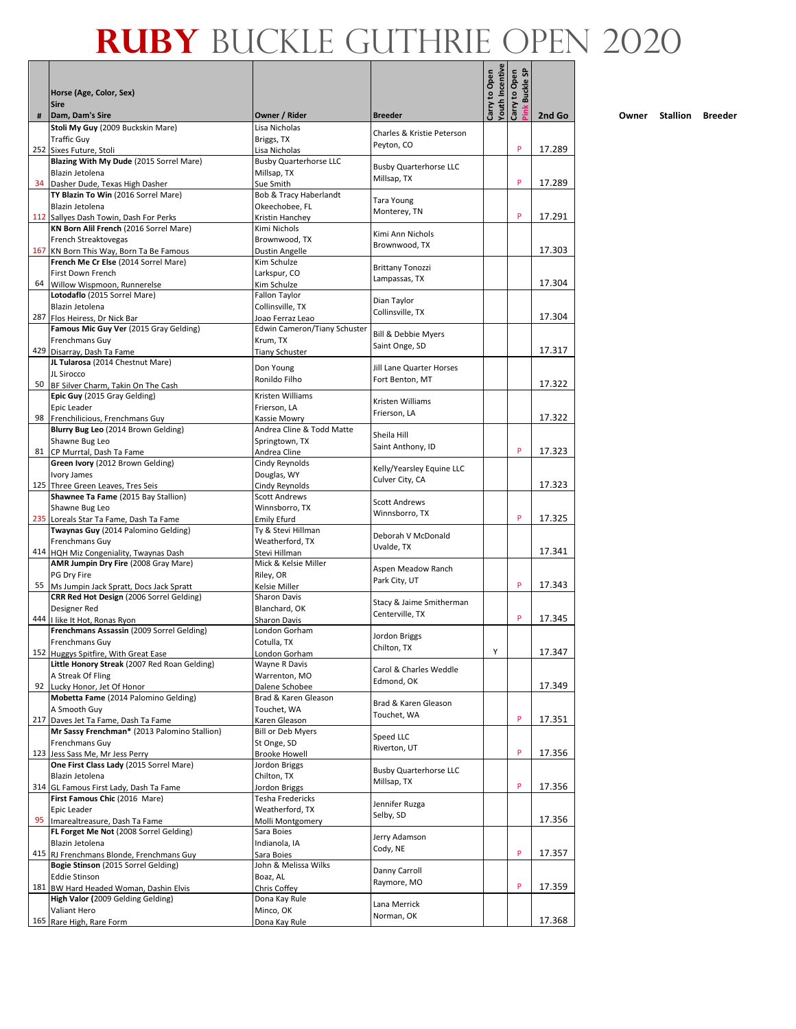|    |                                                                                 |                                                  |                                             | Youth Incentive<br>Carry to Open | <b>Buckle SP</b><br>Carry to Open |        |
|----|---------------------------------------------------------------------------------|--------------------------------------------------|---------------------------------------------|----------------------------------|-----------------------------------|--------|
|    | Horse (Age, Color, Sex)<br><b>Sire</b>                                          |                                                  |                                             |                                  | ink                               |        |
| #  | Dam, Dam's Sire                                                                 | Owner / Rider<br>Lisa Nicholas                   | <b>Breeder</b>                              |                                  |                                   | 2nd Go |
|    | Stoli My Guy (2009 Buckskin Mare)<br><b>Traffic Guy</b>                         | Briggs, TX                                       | Charles & Kristie Peterson                  |                                  |                                   |        |
|    | 252 Sixes Future, Stoli                                                         | Lisa Nicholas                                    | Peyton, CO                                  |                                  | P                                 | 17.289 |
|    | Blazing With My Dude (2015 Sorrel Mare)                                         | <b>Busby Quarterhorse LLC</b>                    | <b>Busby Quarterhorse LLC</b>               |                                  |                                   |        |
|    | Blazin Jetolena                                                                 | Millsap, TX                                      | Millsap, TX                                 |                                  |                                   |        |
|    | 34 Dasher Dude, Texas High Dasher<br>TY Blazin To Win (2016 Sorrel Mare)        | Sue Smith                                        |                                             |                                  | P                                 | 17.289 |
|    | Blazin Jetolena                                                                 | Bob & Tracy Haberlandt<br>Okeechobee, FL         | Tara Young                                  |                                  |                                   |        |
|    | 112 Sallyes Dash Towin, Dash For Perks                                          | Kristin Hanchey                                  | Monterey, TN                                |                                  | P                                 | 17.291 |
|    | KN Born Alil French (2016 Sorrel Mare)                                          | Kimi Nichols                                     | Kimi Ann Nichols                            |                                  |                                   |        |
|    | French Streaktovegas                                                            | Brownwood, TX                                    | Brownwood, TX                               |                                  |                                   |        |
|    | 167 KN Born This Way, Born Ta Be Famous<br>French Me Cr Else (2014 Sorrel Mare) | Dustin Angelle<br>Kim Schulze                    |                                             |                                  |                                   | 17.303 |
|    | First Down French                                                               | Larkspur, CO                                     | <b>Brittany Tonozzi</b>                     |                                  |                                   |        |
|    | 64 Willow Wispmoon, Runnerelse                                                  | Kim Schulze                                      | Lampassas, TX                               |                                  |                                   | 17.304 |
|    | Lotodaflo (2015 Sorrel Mare)                                                    | Fallon Taylor                                    | Dian Taylor                                 |                                  |                                   |        |
|    | Blazin Jetolena                                                                 | Collinsville, TX                                 | Collinsville, TX                            |                                  |                                   |        |
|    | 287 Flos Heiress, Dr Nick Bar<br>Famous Mic Guy Ver (2015 Gray Gelding)         | Joao Ferraz Leao<br>Edwin Cameron/Tiany Schuster |                                             |                                  |                                   | 17.304 |
|    | Frenchmans Guy                                                                  | Krum. TX                                         | Bill & Debbie Myers                         |                                  |                                   |        |
|    | 429 Disarray, Dash Ta Fame                                                      | <b>Tiany Schuster</b>                            | Saint Onge, SD                              |                                  |                                   | 17.317 |
|    | JL Tularosa (2014 Chestnut Mare)                                                | Don Young                                        | <b>Jill Lane Quarter Horses</b>             |                                  |                                   |        |
|    | JL Sirocco                                                                      | Ronildo Filho                                    | Fort Benton, MT                             |                                  |                                   |        |
|    | 50 BF Silver Charm, Takin On The Cash<br>Epic Guy (2015 Gray Gelding)           | Kristen Williams                                 |                                             |                                  |                                   | 17.322 |
|    | Epic Leader                                                                     | Frierson, LA                                     | Kristen Williams                            |                                  |                                   |        |
|    | 98 Frenchilicious, Frenchmans Guy                                               | Kassie Mowry                                     | Frierson. LA                                |                                  |                                   | 17.322 |
|    | Blurry Bug Leo (2014 Brown Gelding)                                             | Andrea Cline & Todd Matte                        | Sheila Hill                                 |                                  |                                   |        |
| 81 | Shawne Bug Leo                                                                  | Springtown, TX                                   | Saint Anthony, ID                           |                                  | P                                 | 17.323 |
|    | CP Murrtal, Dash Ta Fame<br>Green Ivory (2012 Brown Gelding)                    | Andrea Cline<br>Cindy Reynolds                   |                                             |                                  |                                   |        |
|    | Ivory James                                                                     | Douglas, WY                                      | Kelly/Yearsley Equine LLC                   |                                  |                                   |        |
|    | 125 Three Green Leaves, Tres Seis                                               | Cindy Reynolds                                   | Culver City, CA                             |                                  |                                   | 17.323 |
|    | Shawnee Ta Fame (2015 Bay Stallion)                                             | <b>Scott Andrews</b>                             | <b>Scott Andrews</b>                        |                                  |                                   |        |
|    | Shawne Bug Leo                                                                  | Winnsborro, TX                                   | Winnsborro, TX                              |                                  | P                                 | 17.325 |
|    | 235 Loreals Star Ta Fame, Dash Ta Fame<br>Twaynas Guy (2014 Palomino Gelding)   | <b>Emily Efurd</b><br>Ty & Stevi Hillman         |                                             |                                  |                                   |        |
|    | Frenchmans Guy                                                                  | Weatherford, TX                                  | Deborah V McDonald                          |                                  |                                   |        |
|    | 414 HQH Miz Congeniality, Twaynas Dash                                          | Stevi Hillman                                    | Uvalde, TX                                  |                                  |                                   | 17.341 |
|    | AMR Jumpin Dry Fire (2008 Gray Mare)                                            | Mick & Kelsie Miller                             | Aspen Meadow Ranch                          |                                  |                                   |        |
|    | PG Dry Fire<br>55 Ms Jumpin Jack Spratt, Docs Jack Spratt                       | Riley, OR                                        | Park City, UT                               |                                  | P                                 | 17.343 |
|    | CRR Red Hot Design (2006 Sorrel Gelding)                                        | Kelsie Miller<br>Sharon Davis                    |                                             |                                  |                                   |        |
|    | Designer Red                                                                    | Blanchard, OK                                    | Stacy & Jaime Smitherman<br>Centerville, TX |                                  |                                   |        |
|    | 444 I like It Hot, Ronas Ryon                                                   | Sharon Davis                                     |                                             |                                  | P                                 | 17.345 |
|    | Frenchmans Assassin (2009 Sorrel Gelding)                                       | London Gorham                                    | Jordon Briggs                               |                                  |                                   |        |
|    | <b>Frenchmans Guy</b><br>152 Huggys Spitfire, With Great Ease                   | Cotulla. TX<br>London Gorham                     | Chilton, TX                                 | Υ                                |                                   | 17.347 |
|    | Little Honory Streak (2007 Red Roan Gelding)                                    | Wayne R Davis                                    |                                             |                                  |                                   |        |
|    | A Streak Of Fling                                                               | Warrenton, MO                                    | Carol & Charles Weddle<br>Edmond, OK        |                                  |                                   |        |
|    | 92 Lucky Honor, Jet Of Honor                                                    | Dalene Schobee                                   |                                             |                                  |                                   | 17.349 |
|    | Mobetta Fame (2014 Palomino Gelding)<br>A Smooth Guy                            | Brad & Karen Gleason<br>Touchet, WA              | Brad & Karen Gleason                        |                                  |                                   |        |
|    | 217 Daves Jet Ta Fame, Dash Ta Fame                                             | Karen Gleason                                    | Touchet, WA                                 |                                  | P                                 | 17.351 |
|    | Mr Sassy Frenchman* (2013 Palomino Stallion)                                    | Bill or Deb Myers                                | Speed LLC                                   |                                  |                                   |        |
|    | Frenchmans Guy                                                                  | St Onge, SD                                      | Riverton, UT                                |                                  |                                   |        |
|    | 123 Jess Sass Me, Mr Jess Perry                                                 | <b>Brooke Howell</b>                             |                                             |                                  | P                                 | 17.356 |
|    | One First Class Lady (2015 Sorrel Mare)<br>Blazin Jetolena                      | Jordon Briggs<br>Chilton, TX                     | <b>Busby Quarterhorse LLC</b>               |                                  |                                   |        |
|    | 314 GL Famous First Lady, Dash Ta Fame                                          | Jordon Briggs                                    | Millsap, TX                                 |                                  | P                                 | 17.356 |
|    | First Famous Chic (2016 Mare)                                                   | Tesha Fredericks                                 | Jennifer Ruzga                              |                                  |                                   |        |
|    | Epic Leader                                                                     | Weatherford, TX                                  | Selby, SD                                   |                                  |                                   |        |
| 95 | Imarealtreasure, Dash Ta Fame                                                   | Molli Montgomery                                 |                                             |                                  |                                   | 17.356 |
|    | FL Forget Me Not (2008 Sorrel Gelding)<br>Blazin Jetolena                       | Sara Boies<br>Indianola, IA                      | Jerry Adamson                               |                                  |                                   |        |
|    | 415 RJ Frenchmans Blonde, Frenchmans Guy                                        | Sara Boies                                       | Cody, NE                                    |                                  | P                                 | 17.357 |
|    | Bogie Stinson (2015 Sorrel Gelding)                                             | John & Melissa Wilks                             | Danny Carroll                               |                                  |                                   |        |
|    | <b>Eddie Stinson</b>                                                            | Boaz, AL                                         | Raymore, MO                                 |                                  |                                   |        |
|    | 181 BW Hard Headed Woman, Dashin Elvis                                          | Chris Coffey                                     |                                             |                                  | P                                 | 17.359 |
|    | High Valor (2009 Gelding Gelding)<br>Valiant Hero                               | Dona Kay Rule<br>Minco, OK                       | Lana Merrick                                |                                  |                                   |        |
|    | 165 Rare High, Rare Form                                                        | Dona Kay Rule                                    | Norman, OK                                  |                                  |                                   | 17.368 |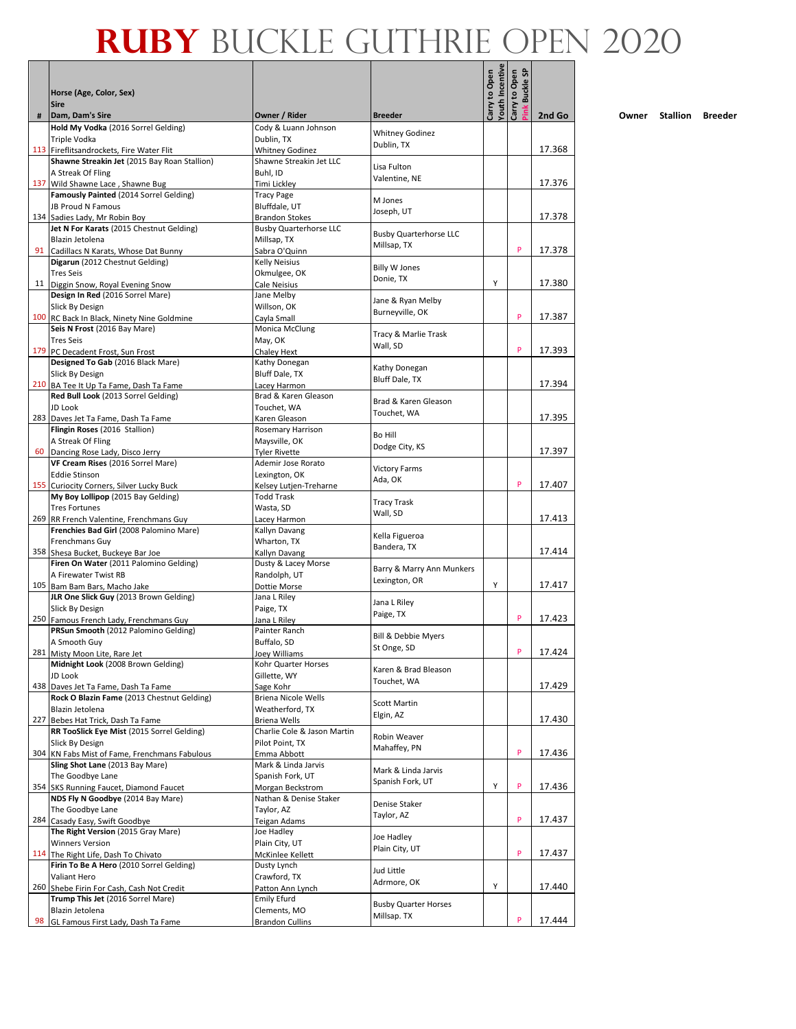|     |                                                                                 |                                              |                                            | Youth Incentive |                                   |        |
|-----|---------------------------------------------------------------------------------|----------------------------------------------|--------------------------------------------|-----------------|-----------------------------------|--------|
|     | Horse (Age, Color, Sex)                                                         |                                              |                                            | Carry to Open   | <b>Buckle SP</b><br>Carry to Open |        |
| #   | <b>Sire</b><br>Dam, Dam's Sire                                                  | Owner / Rider                                | <b>Breeder</b>                             |                 |                                   | 2nd Go |
|     | Hold My Vodka (2016 Sorrel Gelding)                                             | Cody & Luann Johnson                         | <b>Whitney Godinez</b>                     |                 |                                   |        |
|     | Triple Vodka<br>113 Fireflitsandrockets, Fire Water Flit                        | Dublin, TX<br><b>Whitney Godinez</b>         | Dublin, TX                                 |                 |                                   | 17.368 |
|     | Shawne Streakin Jet (2015 Bay Roan Stallion)                                    | Shawne Streakin Jet LLC                      |                                            |                 |                                   |        |
|     | A Streak Of Fling                                                               | Buhl, ID                                     | Lisa Fulton<br>Valentine, NE               |                 |                                   |        |
|     | 137 Wild Shawne Lace, Shawne Bug                                                | Timi Lickley                                 |                                            |                 |                                   | 17.376 |
|     | Famously Painted (2014 Sorrel Gelding)<br>JB Proud N Famous                     | <b>Tracy Page</b><br>Bluffdale, UT           | M Jones                                    |                 |                                   |        |
|     | 134 Sadies Lady, Mr Robin Boy                                                   | <b>Brandon Stokes</b>                        | Joseph, UT                                 |                 |                                   | 17.378 |
|     | Jet N For Karats (2015 Chestnut Gelding)<br>Blazin Jetolena                     | <b>Busby Quarterhorse LLC</b><br>Millsap, TX | <b>Busby Quarterhorse LLC</b>              |                 |                                   |        |
| 91  | Cadillacs N Karats, Whose Dat Bunny                                             | Sabra O'Quinn                                | Millsap, TX                                |                 | P                                 | 17.378 |
|     | Digarun (2012 Chestnut Gelding)                                                 | <b>Kelly Neisius</b>                         | <b>Billy W Jones</b>                       |                 |                                   |        |
|     | <b>Tres Seis</b>                                                                | Okmulgee, OK                                 | Donie, TX                                  | Y               |                                   | 17.380 |
|     | 11 Diggin Snow, Royal Evening Snow<br>Design In Red (2016 Sorrel Mare)          | Cale Neisius<br>Jane Melby                   |                                            |                 |                                   |        |
|     | Slick By Design                                                                 | Willson, OK                                  | Jane & Ryan Melby<br>Burneyville, OK       |                 |                                   |        |
|     | 100 RC Back In Black, Ninety Nine Goldmine<br>Seis N Frost (2016 Bay Mare)      | Cayla Small<br>Monica McClung                |                                            |                 | P                                 | 17.387 |
|     | <b>Tres Seis</b>                                                                | May, OK                                      | Tracy & Marlie Trask                       |                 |                                   |        |
|     | 179 PC Decadent Frost, Sun Frost                                                | Chaley Hext                                  | Wall, SD                                   |                 | P                                 | 17.393 |
|     | Designed To Gab (2016 Black Mare)                                               | Kathy Donegan                                | Kathy Donegan                              |                 |                                   |        |
|     | Slick By Design<br>210 BA Tee It Up Ta Fame, Dash Ta Fame                       | Bluff Dale, TX<br>Lacey Harmon               | Bluff Dale, TX                             |                 |                                   | 17.394 |
|     | Red Bull Look (2013 Sorrel Gelding)                                             | Brad & Karen Gleason                         | Brad & Karen Gleason                       |                 |                                   |        |
|     | <b>JD Look</b>                                                                  | Touchet, WA                                  | Touchet, WA                                |                 |                                   | 17.395 |
|     | 283 Daves Jet Ta Fame, Dash Ta Fame<br>Flingin Roses (2016 Stallion)            | Karen Gleason<br>Rosemary Harrison           |                                            |                 |                                   |        |
|     | A Streak Of Fling                                                               | Maysville, OK                                | <b>Bo Hill</b><br>Dodge City, KS           |                 |                                   |        |
| 60  | Dancing Rose Lady, Disco Jerry                                                  | <b>Tyler Rivette</b>                         |                                            |                 |                                   | 17.397 |
|     | VF Cream Rises (2016 Sorrel Mare)<br><b>Eddie Stinson</b>                       | Ademir Jose Rorato<br>Lexington, OK          | <b>Victory Farms</b>                       |                 |                                   |        |
|     | 155 Curiocity Corners, Silver Lucky Buck                                        | Kelsey Lutjen-Treharne                       | Ada, OK                                    |                 | P                                 | 17.407 |
|     | My Boy Lollipop (2015 Bay Gelding)                                              | <b>Todd Trask</b>                            | Tracy Trask                                |                 |                                   |        |
|     | <b>Tres Fortunes</b><br>269 RR French Valentine, Frenchmans Guy                 | Wasta, SD<br>Lacey Harmon                    | Wall, SD                                   |                 |                                   | 17.413 |
|     | Frenchies Bad Girl (2008 Palomino Mare)                                         | Kallyn Davang                                | Kella Figueroa                             |                 |                                   |        |
|     | Frenchmans Guy                                                                  | Wharton, TX                                  | Bandera, TX                                |                 |                                   | 17.414 |
|     | 358 Shesa Bucket, Buckeye Bar Joe<br>Firen On Water (2011 Palomino Gelding)     | Kallyn Davang<br>Dusty & Lacey Morse         |                                            |                 |                                   |        |
|     | A Firewater Twist RB                                                            | Randolph, UT                                 | Barry & Marry Ann Munkers<br>Lexington, OR |                 |                                   |        |
|     | 105 Bam Bam Bars, Macho Jake<br>JLR One Slick Guy (2013 Brown Gelding)          | Dottie Morse                                 |                                            | Υ               |                                   | 17.417 |
|     | Slick By Design                                                                 | Jana L Riley<br>Paige, TX                    | Jana L Riley                               |                 |                                   |        |
|     | 250 Famous French Lady, Frenchmans Guy                                          | Jana L Riley                                 | Paige, TX                                  |                 | P                                 | 17.423 |
|     | PRSun Smooth (2012 Palomino Gelding)                                            | Painter Ranch<br>Buffalo, SD                 | <b>Bill &amp; Debbie Myers</b>             |                 |                                   |        |
|     | A Smooth Guy<br>281 Misty Moon Lite, Rare Jet                                   | Joey Williams                                | St Onge, SD                                |                 | P                                 | 17.424 |
|     | Midnight Look (2008 Brown Gelding)                                              | Kohr Quarter Horses                          | Karen & Brad Bleason                       |                 |                                   |        |
|     | JD Look<br>438 Daves Jet Ta Fame, Dash Ta Fame                                  | Gillette, WY<br>Sage Kohr                    | Touchet, WA                                |                 |                                   | 17.429 |
|     | Rock O Blazin Fame (2013 Chestnut Gelding)                                      | Briena Nicole Wells                          |                                            |                 |                                   |        |
|     | Blazin Jetolena                                                                 | Weatherford, TX                              | <b>Scott Martin</b><br>Elgin, AZ           |                 |                                   |        |
| 227 | Bebes Hat Trick, Dash Ta Fame<br>RR TooSlick Eye Mist (2015 Sorrel Gelding)     | Briena Wells<br>Charlie Cole & Jason Martin  |                                            |                 |                                   | 17.430 |
|     | Slick By Design                                                                 | Pilot Point, TX                              | Robin Weaver                               |                 |                                   |        |
|     | 304 KN Fabs Mist of Fame, Frenchmans Fabulous                                   | Emma Abbott                                  | Mahaffey, PN                               |                 | P                                 | 17.436 |
|     | Sling Shot Lane (2013 Bay Mare)<br>The Goodbye Lane                             | Mark & Linda Jarvis<br>Spanish Fork, UT      | Mark & Linda Jarvis                        |                 |                                   |        |
|     | 354 SKS Running Faucet, Diamond Faucet                                          | Morgan Beckstrom                             | Spanish Fork, UT                           | Y               | P                                 | 17.436 |
|     | NDS Fly N Goodbye (2014 Bay Mare)                                               | Nathan & Denise Staker                       | Denise Staker                              |                 |                                   |        |
| 284 | The Goodbye Lane<br>Casady Easy, Swift Goodbye                                  | Taylor, AZ<br>Teigan Adams                   | Taylor, AZ                                 |                 | P                                 | 17.437 |
|     | The Right Version (2015 Gray Mare)                                              | Joe Hadley                                   |                                            |                 |                                   |        |
|     | <b>Winners Version</b>                                                          | Plain City, UT                               | Joe Hadley<br>Plain City, UT               |                 |                                   |        |
|     | 114 The Right Life, Dash To Chivato<br>Firin To Be A Hero (2010 Sorrel Gelding) | McKinlee Kellett<br>Dusty Lynch              |                                            |                 | P                                 | 17.437 |
|     | Valiant Hero                                                                    | Crawford, TX                                 | Jud Little                                 |                 |                                   |        |
|     | 260 Shebe Firin For Cash, Cash Not Credit                                       | Patton Ann Lynch                             | Adrmore, OK                                | Υ               |                                   | 17.440 |
|     | Trump This Jet (2016 Sorrel Mare)<br>Blazin Jetolena                            | Emily Efurd<br>Clements, MO                  | <b>Busby Quarter Horses</b>                |                 |                                   |        |
| 98  | GL Famous First Lady, Dash Ta Fame                                              | <b>Brandon Cullins</b>                       | Millsap. TX                                |                 | P                                 | 17.444 |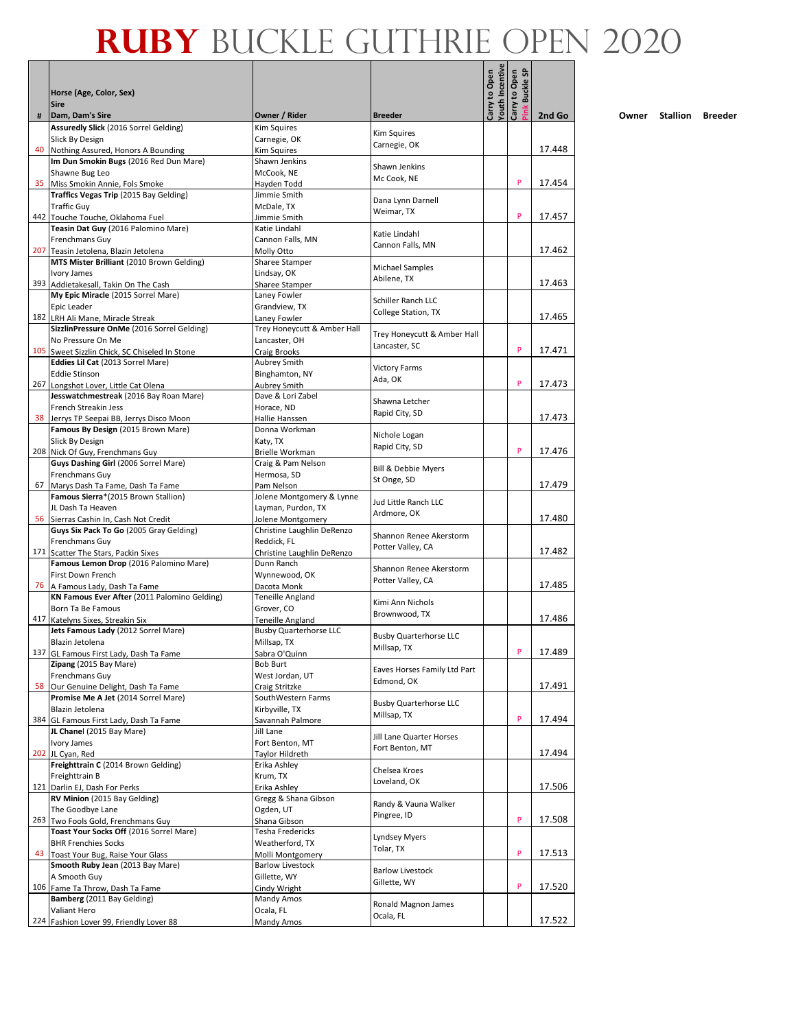|    |                                                                              |                                         |                                    |                                  | <u>ទ</u>                  |        |
|----|------------------------------------------------------------------------------|-----------------------------------------|------------------------------------|----------------------------------|---------------------------|--------|
|    | Horse (Age, Color, Sex)<br><b>Sire</b>                                       |                                         |                                    | Youth Incentive<br>Carry to Open | Carry to Open<br>Buckle ! |        |
| #  | Dam, Dam's Sire                                                              | Owner / Rider                           | <b>Breeder</b>                     |                                  |                           | 2nd Go |
|    | Assuredly Slick (2016 Sorrel Gelding)                                        | <b>Kim Squires</b>                      | Kim Squires                        |                                  |                           |        |
| 40 | Slick By Design                                                              | Carnegie, OK                            | Carnegie, OK                       |                                  |                           | 17.448 |
|    | Nothing Assured, Honors A Bounding<br>Im Dun Smokin Bugs (2016 Red Dun Mare) | Kim Squires<br>Shawn Jenkins            |                                    |                                  |                           |        |
|    | Shawne Bug Leo                                                               | McCook, NE                              | Shawn Jenkins                      |                                  |                           |        |
|    | 35 Miss Smokin Annie, Fols Smoke                                             | Hayden Todd                             | Mc Cook, NE                        |                                  | P                         | 17.454 |
|    | Traffics Vegas Trip (2015 Bay Gelding)                                       | Jimmie Smith                            |                                    |                                  |                           |        |
|    | <b>Traffic Guy</b>                                                           | McDale, TX                              | Dana Lynn Darnell<br>Weimar, TX    |                                  |                           |        |
|    | 442 Touche Touche, Oklahoma Fuel                                             | Jimmie Smith                            |                                    |                                  | P                         | 17.457 |
|    | Teasin Dat Guy (2016 Palomino Mare)                                          | Katie Lindahl                           | Katie Lindahl                      |                                  |                           |        |
|    | Frenchmans Guy<br>207 Teasin Jetolena, Blazin Jetolena                       | Cannon Falls, MN                        | Cannon Falls, MN                   |                                  |                           | 17.462 |
|    | MTS Mister Brilliant (2010 Brown Gelding)                                    | Molly Otto<br>Sharee Stamper            |                                    |                                  |                           |        |
|    | Ivory James                                                                  | Lindsay, OK                             | Michael Samples                    |                                  |                           |        |
|    | 393 Addietakesall, Takin On The Cash                                         | Sharee Stamper                          | Abilene, TX                        |                                  |                           | 17.463 |
|    | My Epic Miracle (2015 Sorrel Mare)                                           | Laney Fowler                            | Schiller Ranch LLC                 |                                  |                           |        |
|    | Epic Leader                                                                  | Grandview, TX                           | College Station, TX                |                                  |                           |        |
|    | 182 LRH Ali Mane, Miracle Streak                                             | Laney Fowler                            |                                    |                                  |                           | 17.465 |
|    | SizzlinPressure OnMe (2016 Sorrel Gelding)                                   | Trey Honeycutt & Amber Hall             | Trey Honeycutt & Amber Hall        |                                  |                           |        |
|    | No Pressure On Me<br>105 Sweet Sizzlin Chick, SC Chiseled In Stone           | Lancaster, OH<br>Craig Brooks           | Lancaster, SC                      |                                  | P                         | 17.471 |
|    | Eddies Lil Cat (2013 Sorrel Mare)                                            | Aubrey Smith                            |                                    |                                  |                           |        |
|    | <b>Eddie Stinson</b>                                                         | Binghamton, NY                          | <b>Victory Farms</b>               |                                  |                           |        |
|    | 267 Longshot Lover, Little Cat Olena                                         | Aubrey Smith                            | Ada, OK                            |                                  | P                         | 17.473 |
|    | Jesswatchmestreak (2016 Bay Roan Mare)                                       | Dave & Lori Zabel                       | Shawna Letcher                     |                                  |                           |        |
|    | French Streakin Jess                                                         | Horace, ND                              | Rapid City, SD                     |                                  |                           |        |
|    | 38 Jerrys TP Seepai BB, Jerrys Disco Moon                                    | Hallie Hanssen<br>Donna Workman         |                                    |                                  |                           | 17.473 |
|    | Famous By Design (2015 Brown Mare)<br>Slick By Design                        | Katy, TX                                | Nichole Logan                      |                                  |                           |        |
|    | 208 Nick Of Guy, Frenchmans Guy                                              | Brielle Workman                         | Rapid City, SD                     |                                  | P                         | 17.476 |
|    | Guys Dashing Girl (2006 Sorrel Mare)                                         | Craig & Pam Nelson                      |                                    |                                  |                           |        |
|    | Frenchmans Guy                                                               | Hermosa, SD                             | Bill & Debbie Myers<br>St Onge, SD |                                  |                           |        |
| 67 | Marys Dash Ta Fame, Dash Ta Fame                                             | Pam Nelson                              |                                    |                                  |                           | 17.479 |
|    | Famous Sierra*(2015 Brown Stallion)                                          | Jolene Montgomery & Lynne               | Jud Little Ranch LLC               |                                  |                           |        |
|    | JL Dash Ta Heaven<br>56 Sierras Cashin In, Cash Not Credit                   | Layman, Purdon, TX<br>Jolene Montgomery | Ardmore, OK                        |                                  |                           | 17.480 |
|    | Guys Six Pack To Go (2005 Gray Gelding)                                      | Christine Laughlin DeRenzo              |                                    |                                  |                           |        |
|    | Frenchmans Guy                                                               | Reddick, FL                             | Shannon Renee Akerstorm            |                                  |                           |        |
|    | 171 Scatter The Stars, Packin Sixes                                          | Christine Laughlin DeRenzo              | Potter Valley, CA                  |                                  |                           | 17.482 |
|    | Famous Lemon Drop (2016 Palomino Mare)                                       | Dunn Ranch                              | Shannon Renee Akerstorm            |                                  |                           |        |
| 76 | First Down French                                                            | Wynnewood, OK                           | Potter Valley, CA                  |                                  |                           | 17.485 |
|    | A Famous Lady, Dash Ta Fame<br>KN Famous Ever After (2011 Palomino Gelding)  | Dacota Monk<br>Teneille Angland         |                                    |                                  |                           |        |
|    | Born Ta Be Famous                                                            | Grover, CO                              | Kimi Ann Nichols                   |                                  |                           |        |
|    | 417 Katelyns Sixes, Streakin Six                                             | Teneille Angland                        | Brownwood, TX                      |                                  |                           | 17.486 |
|    | Jets Famous Lady (2012 Sorrel Mare)                                          | <b>Busby Quarterhorse LLC</b>           | <b>Busby Quarterhorse LLC</b>      |                                  |                           |        |
|    | Blazin Jetolena                                                              | Millsap, TX                             | Millsap, TX                        |                                  |                           |        |
|    | 137 GL Famous First Lady, Dash Ta Fame<br>Zipang (2015 Bay Mare)             | Sabra O'Quinn<br><b>Bob Burt</b>        |                                    |                                  | P                         | 17.489 |
|    | Frenchmans Guy                                                               | West Jordan, UT                         | Eaves Horses Family Ltd Part       |                                  |                           |        |
| 58 | Our Genuine Delight, Dash Ta Fame                                            | Craig Stritzke                          | Edmond, OK                         |                                  |                           | 17.491 |
|    | Promise Me A Jet (2014 Sorrel Mare)                                          | SouthWestern Farms                      | <b>Busby Quarterhorse LLC</b>      |                                  |                           |        |
|    | Blazin Jetolena                                                              | Kirbyville, TX                          | Millsap, TX                        |                                  |                           |        |
|    | 384 GL Famous First Lady, Dash Ta Fame                                       | Savannah Palmore                        |                                    |                                  | P                         | 17.494 |
|    | JL Chanel (2015 Bay Mare)<br>Ivory James                                     | Jill Lane<br>Fort Benton, MT            | Jill Lane Quarter Horses           |                                  |                           |        |
|    | 202 JL Cyan, Red                                                             | Taylor Hildreth                         | Fort Benton, MT                    |                                  |                           | 17.494 |
|    | Freighttrain C (2014 Brown Gelding)                                          | Erika Ashley                            |                                    |                                  |                           |        |
|    | Freighttrain B                                                               | Krum, TX                                | Chelsea Kroes<br>Loveland, OK      |                                  |                           |        |
|    | 121 Darlin EJ, Dash For Perks                                                | Erika Ashley                            |                                    |                                  |                           | 17.506 |
|    | RV Minion (2015 Bay Gelding)                                                 | Gregg & Shana Gibson                    | Randy & Vauna Walker               |                                  |                           |        |
|    | The Goodbye Lane<br>263 Two Fools Gold, Frenchmans Guy                       | Ogden, UT<br>Shana Gibson               | Pingree, ID                        |                                  | P                         | 17.508 |
|    | Toast Your Socks Off (2016 Sorrel Mare)                                      | Tesha Fredericks                        |                                    |                                  |                           |        |
|    | <b>BHR Frenchies Socks</b>                                                   | Weatherford, TX                         | Lyndsey Myers                      |                                  |                           |        |
|    | 43 Toast Your Bug, Raise Your Glass                                          | Molli Montgomery                        | Tolar, TX                          |                                  | P                         | 17.513 |
|    | Smooth Ruby Jean (2013 Bay Mare)                                             | <b>Barlow Livestock</b>                 | <b>Barlow Livestock</b>            |                                  |                           |        |
|    | A Smooth Guy                                                                 | Gillette, WY                            | Gillette, WY                       |                                  | P                         |        |
|    | 106 Fame Ta Throw, Dash Ta Fame<br>Bamberg (2011 Bay Gelding)                | Cindy Wright<br>Mandy Amos              |                                    |                                  |                           | 17.520 |
|    | Valiant Hero                                                                 | Ocala, FL                               | Ronald Magnon James                |                                  |                           |        |
|    | 224 Fashion Lover 99, Friendly Lover 88                                      | Mandy Amos                              | Ocala, FL                          |                                  |                           | 17.522 |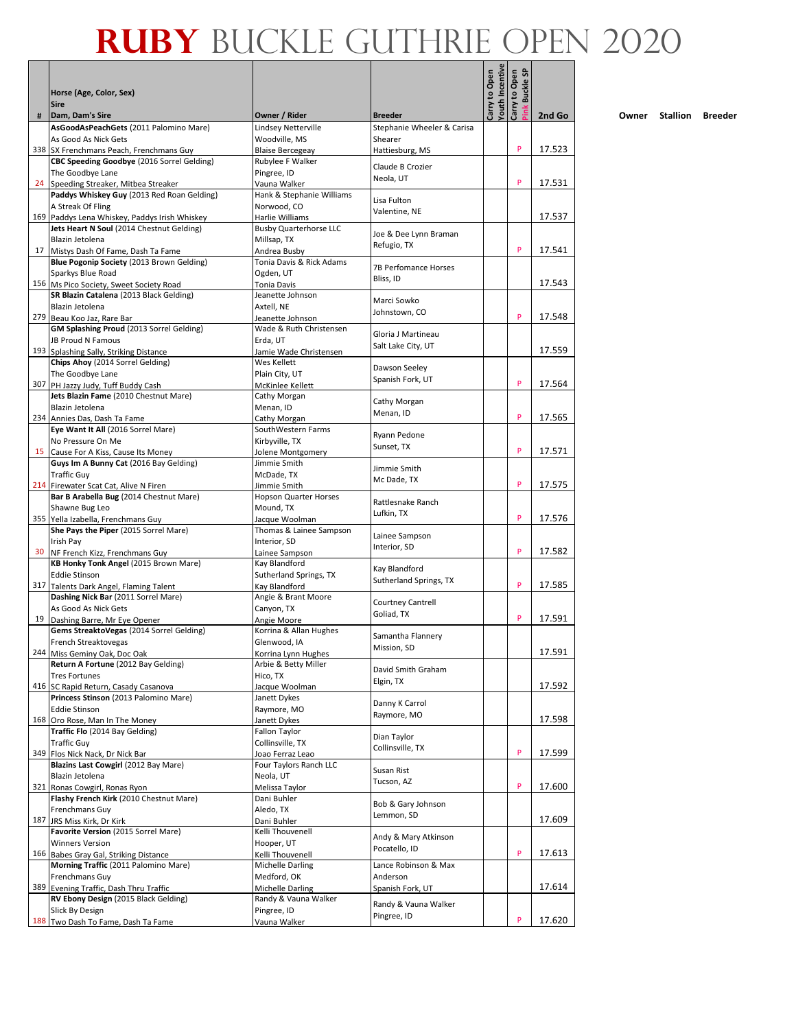|     |                                                                                            |                                                  |                                       |                                  | <b>Buckle SP</b>   |        |
|-----|--------------------------------------------------------------------------------------------|--------------------------------------------------|---------------------------------------|----------------------------------|--------------------|--------|
|     | Horse (Age, Color, Sex)<br><b>Sire</b>                                                     |                                                  |                                       | Youth Incentive<br>Carry to Open | Carry to Open<br>Ě |        |
| #   | Dam, Dam's Sire                                                                            | Owner / Rider                                    | <b>Breeder</b>                        |                                  |                    | 2nd Go |
|     | AsGoodAsPeachGets (2011 Palomino Mare)<br>As Good As Nick Gets                             | Lindsey Netterville<br>Woodville, MS             | Stephanie Wheeler & Carisa<br>Shearer |                                  |                    |        |
|     | 338 SX Frenchmans Peach, Frenchmans Guy                                                    | <b>Blaise Bercegeav</b>                          | Hattiesburg, MS                       |                                  | P                  | 17.523 |
|     | CBC Speeding Goodbye (2016 Sorrel Gelding)                                                 | Rubylee F Walker                                 |                                       |                                  |                    |        |
|     | The Goodbye Lane                                                                           | Pingree, ID                                      | Claude B Crozier<br>Neola, UT         |                                  |                    |        |
|     | 24 Speeding Streaker, Mitbea Streaker                                                      | Vauna Walker                                     |                                       |                                  | P                  | 17.531 |
|     | Paddys Whiskey Guy (2013 Red Roan Gelding)                                                 | Hank & Stephanie Williams                        | Lisa Fulton                           |                                  |                    |        |
|     | A Streak Of Fling                                                                          | Norwood, CO                                      | Valentine, NE                         |                                  |                    | 17.537 |
|     | 169 Paddys Lena Whiskey, Paddys Irish Whiskey<br>Jets Heart N Soul (2014 Chestnut Gelding) | Harlie Williams<br><b>Busby Quarterhorse LLC</b> |                                       |                                  |                    |        |
|     | Blazin Jetolena                                                                            | Millsap, TX                                      | Joe & Dee Lynn Braman                 |                                  |                    |        |
| 17  | Mistys Dash Of Fame, Dash Ta Fame                                                          | Andrea Busby                                     | Refugio, TX                           |                                  | P                  | 17.541 |
|     | Blue Pogonip Society (2013 Brown Gelding)                                                  | Tonia Davis & Rick Adams                         |                                       |                                  |                    |        |
|     | Sparkys Blue Road                                                                          | Ogden, UT                                        | 7B Perfomance Horses<br>Bliss, ID     |                                  |                    |        |
|     | 156 Ms Pico Society, Sweet Society Road                                                    | Tonia Davis                                      |                                       |                                  |                    | 17.543 |
|     | SR Blazin Catalena (2013 Black Gelding)                                                    | Jeanette Johnson                                 | Marci Sowko                           |                                  |                    |        |
|     | Blazin Jetolena                                                                            | Axtell, NE                                       | Johnstown, CO                         |                                  | P                  | 17.548 |
|     | 279 Beau Koo Jaz, Rare Bar<br>GM Splashing Proud (2013 Sorrel Gelding)                     | Jeanette Johnson<br>Wade & Ruth Christensen      |                                       |                                  |                    |        |
|     | JB Proud N Famous                                                                          | Erda, UT                                         | Gloria J Martineau                    |                                  |                    |        |
|     | 193 Splashing Sally, Striking Distance                                                     | Jamie Wade Christensen                           | Salt Lake City, UT                    |                                  |                    | 17.559 |
|     | Chips Ahoy (2014 Sorrel Gelding)                                                           | Wes Kellett                                      |                                       |                                  |                    |        |
|     | The Goodbye Lane                                                                           | Plain City, UT                                   | Dawson Seeley                         |                                  |                    |        |
|     | 307 PH Jazzy Judy, Tuff Buddy Cash                                                         | McKinlee Kellett                                 | Spanish Fork, UT                      |                                  | P                  | 17.564 |
|     | Jets Blazin Fame (2010 Chestnut Mare)                                                      | Cathy Morgan                                     | Cathy Morgan                          |                                  |                    |        |
|     | Blazin Jetolena                                                                            | Menan, ID                                        | Menan, ID                             |                                  |                    |        |
|     | 234 Annies Das, Dash Ta Fame                                                               | Cathy Morgan                                     |                                       |                                  | P                  | 17.565 |
|     | Eye Want It All (2016 Sorrel Mare)<br>No Pressure On Me                                    | SouthWestern Farms<br>Kirbyville, TX             | Ryann Pedone                          |                                  |                    |        |
| 15  | Cause For A Kiss, Cause Its Money                                                          | Jolene Montgomery                                | Sunset, TX                            |                                  | P                  | 17.571 |
|     | Guys Im A Bunny Cat (2016 Bay Gelding)                                                     | Jimmie Smith                                     |                                       |                                  |                    |        |
|     | <b>Traffic Guy</b>                                                                         | McDade, TX                                       | Jimmie Smith                          |                                  |                    |        |
|     | 214 Firewater Scat Cat, Alive N Firen                                                      | Jimmie Smith                                     | Mc Dade, TX                           |                                  | P                  | 17.575 |
|     | Bar B Arabella Bug (2014 Chestnut Mare)                                                    | <b>Hopson Quarter Horses</b>                     | Rattlesnake Ranch                     |                                  |                    |        |
|     | Shawne Bug Leo                                                                             | Mound, TX                                        | Lufkin, TX                            |                                  |                    |        |
|     | 355 Yella Izabella, Frenchmans Guy                                                         | Jacque Woolman                                   |                                       |                                  | P                  | 17.576 |
|     | She Pays the Piper (2015 Sorrel Mare)<br>Irish Pay                                         | Thomas & Lainee Sampson<br>Interior, SD          | Lainee Sampson                        |                                  |                    |        |
| 30  | NF French Kizz, Frenchmans Guy                                                             | Lainee Sampson                                   | Interior, SD                          |                                  | P                  | 17.582 |
|     | KB Honky Tonk Angel (2015 Brown Mare)                                                      | Kay Blandford                                    |                                       |                                  |                    |        |
|     | <b>Eddie Stinson</b>                                                                       | Sutherland Springs, TX                           | Kay Blandford                         |                                  |                    |        |
|     | 317 Talents Dark Angel, Flaming Talent                                                     | Kay Blandford                                    | Sutherland Springs, TX                |                                  | P                  | 17.585 |
|     | Dashing Nick Bar (2011 Sorrel Mare)                                                        | Angie & Brant Moore                              | Courtney Cantrell                     |                                  |                    |        |
|     | As Good As Nick Gets                                                                       | Canyon, TX                                       | Goliad, TX                            |                                  |                    |        |
| 19  | Dashing Barre, Mr Eye Opener                                                               | Angie Moore                                      |                                       |                                  | P                  | 17.591 |
|     | Gems StreaktoVegas (2014 Sorrel Gelding)<br>French Streaktovegas                           | Korrina & Allan Hughes<br>Glenwood, IA           | Samantha Flannery                     |                                  |                    |        |
|     | 244 Miss Geminy Oak, Doc Oak                                                               | Korrina Lynn Hughes                              | Mission, SD                           |                                  |                    | 17.591 |
|     | Return A Fortune (2012 Bay Gelding)                                                        | Arbie & Betty Miller                             |                                       |                                  |                    |        |
|     | <b>Tres Fortunes</b>                                                                       | Hico, TX                                         | David Smith Graham                    |                                  |                    |        |
|     | 416 SC Rapid Return, Casady Casanova                                                       | Jacque Woolman                                   | Elgin, TX                             |                                  |                    | 17.592 |
|     | Princess Stinson (2013 Palomino Mare)                                                      | Janett Dykes                                     | Danny K Carrol                        |                                  |                    |        |
|     | <b>Eddie Stinson</b>                                                                       | Raymore, MO                                      | Raymore, MO                           |                                  |                    |        |
|     | 168 Oro Rose, Man In The Money<br>Traffic Flo (2014 Bay Gelding)                           | Janett Dykes<br>Fallon Taylor                    |                                       |                                  |                    | 17.598 |
|     | <b>Traffic Guy</b>                                                                         | Collinsville, TX                                 | Dian Taylor                           |                                  |                    |        |
|     | 349 Flos Nick Nack, Dr Nick Bar                                                            | Joao Ferraz Leao                                 | Collinsville, TX                      |                                  | P                  | 17.599 |
|     | Blazins Last Cowgirl (2012 Bay Mare)                                                       | Four Taylors Ranch LLC                           |                                       |                                  |                    |        |
|     | Blazin Jetolena                                                                            | Neola, UT                                        | Susan Rist<br>Tucson, AZ              |                                  |                    |        |
|     | 321 Ronas Cowgirl, Ronas Ryon                                                              | Melissa Taylor                                   |                                       |                                  | P                  | 17.600 |
|     | Flashy French Kirk (2010 Chestnut Mare)                                                    | Dani Buhler                                      | Bob & Gary Johnson                    |                                  |                    |        |
|     | Frenchmans Guy                                                                             | Aledo, TX                                        | Lemmon, SD                            |                                  |                    | 17.609 |
| 187 | JRS Miss Kirk, Dr Kirk<br>Favorite Version (2015 Sorrel Mare)                              | Dani Buhler<br>Kelli Thouvenell                  |                                       |                                  |                    |        |
|     | <b>Winners Version</b>                                                                     | Hooper, UT                                       | Andy & Mary Atkinson                  |                                  |                    |        |
|     | 166 Babes Gray Gal, Striking Distance                                                      | Kelli Thouvenell                                 | Pocatello, ID                         |                                  | P                  | 17.613 |
|     | Morning Traffic (2011 Palomino Mare)                                                       | Michelle Darling                                 | Lance Robinson & Max                  |                                  |                    |        |
|     | Frenchmans Guy                                                                             | Medford, OK                                      | Anderson                              |                                  |                    |        |
| 389 | Evening Traffic, Dash Thru Traffic                                                         | Michelle Darling                                 | Spanish Fork, UT                      |                                  |                    | 17.614 |
|     | RV Ebony Design (2015 Black Gelding)                                                       | Randy & Vauna Walker                             | Randy & Vauna Walker                  |                                  |                    |        |
|     | Slick By Design                                                                            | Pingree, ID                                      | Pingree, ID                           |                                  | P                  | 17.620 |
|     | 188 Two Dash To Fame, Dash Ta Fame                                                         | Vauna Walker                                     |                                       |                                  |                    |        |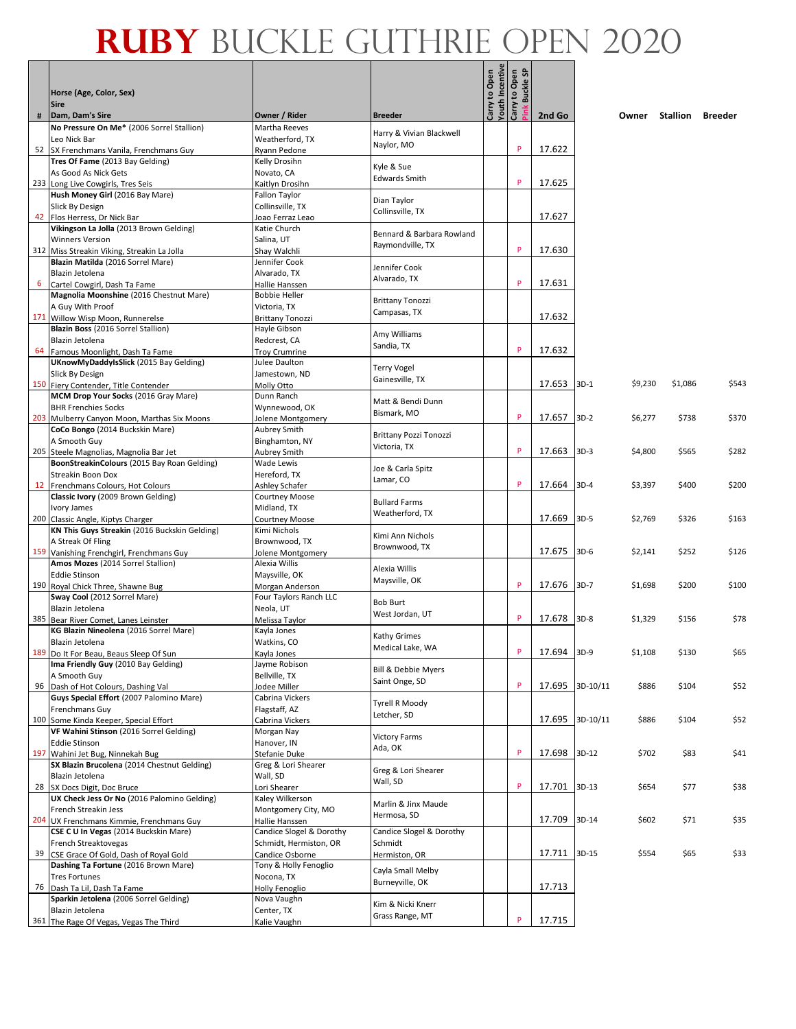|    | Horse (Age, Color, Sex)                                                           |                                            |                                               | Carry to Open<br>Youth Incentive<br>Carry to Open | Buckle SP |             |          |         |                  |       |
|----|-----------------------------------------------------------------------------------|--------------------------------------------|-----------------------------------------------|---------------------------------------------------|-----------|-------------|----------|---------|------------------|-------|
|    | <b>Sire</b>                                                                       |                                            |                                               |                                                   | ink       |             |          |         |                  |       |
| #  | Dam, Dam's Sire<br>No Pressure On Me* (2006 Sorrel Stallion)                      | Owner / Rider<br>Martha Reeves             | <b>Breeder</b>                                |                                                   |           | 2nd Go      |          | Owner   | Stallion Breeder |       |
|    | Leo Nick Bar                                                                      | Weatherford, TX                            | Harry & Vivian Blackwell                      |                                                   |           |             |          |         |                  |       |
|    | 52 SX Frenchmans Vanila, Frenchmans Guy                                           | Ryann Pedone                               | Naylor, MO                                    |                                                   | P         | 17.622      |          |         |                  |       |
|    | Tres Of Fame (2013 Bay Gelding)                                                   | Kelly Drosihn                              | Kyle & Sue                                    |                                                   |           |             |          |         |                  |       |
|    | As Good As Nick Gets<br>233 Long Live Cowgirls, Tres Seis                         | Novato, CA<br>Kaitlyn Drosihn              | <b>Edwards Smith</b>                          |                                                   | P         | 17.625      |          |         |                  |       |
|    | Hush Money Girl (2016 Bay Mare)                                                   | Fallon Taylor                              | Dian Taylor                                   |                                                   |           |             |          |         |                  |       |
|    | Slick By Design                                                                   | Collinsville, TX                           | Collinsville, TX                              |                                                   |           |             |          |         |                  |       |
|    | 42 Flos Herress, Dr Nick Bar<br>Vikingson La Jolla (2013 Brown Gelding)           | loao Ferraz Leao<br>Katie Church           |                                               |                                                   |           | 17.627      |          |         |                  |       |
|    | <b>Winners Version</b>                                                            | Salina, UT                                 | Bennard & Barbara Rowland                     |                                                   |           |             |          |         |                  |       |
|    | 312 Miss Streakin Viking, Streakin La Jolla                                       | Shay Walchli                               | Raymondville. TX                              |                                                   | P         | 17.630      |          |         |                  |       |
|    | Blazin Matilda (2016 Sorrel Mare)                                                 | Jennifer Cook                              | Jennifer Cook                                 |                                                   |           |             |          |         |                  |       |
| 6  | Blazin Jetolena<br>Cartel Cowgirl, Dash Ta Fame                                   | Alvarado, TX<br>Hallie Hanssen             | Alvarado, TX                                  |                                                   | P         | 17.631      |          |         |                  |       |
|    | Magnolia Moonshine (2016 Chestnut Mare)                                           | <b>Bobbie Heller</b>                       |                                               |                                                   |           |             |          |         |                  |       |
|    | A Guy With Proof                                                                  | Victoria, TX                               | <b>Brittany Tonozzi</b><br>Campasas, TX       |                                                   |           |             |          |         |                  |       |
|    | 171 Willow Wisp Moon, Runnerelse<br>Blazin Boss (2016 Sorrel Stallion)            | <b>Brittany Tonozzi</b><br>Hayle Gibson    |                                               |                                                   |           | 17.632      |          |         |                  |       |
|    | Blazin Jetolena                                                                   | Redcrest, CA                               | Amy Williams                                  |                                                   |           |             |          |         |                  |       |
| 64 | Famous Moonlight, Dash Ta Fame                                                    | <b>Troy Crumrine</b>                       | Sandia, TX                                    |                                                   | P         | 17.632      |          |         |                  |       |
|    | UKnowMyDaddyIsSlick (2015 Bay Gelding)                                            | Julee Daulton                              | <b>Terry Vogel</b>                            |                                                   |           |             |          |         |                  |       |
|    | Slick By Design<br>150 Fiery Contender, Title Contender                           | Jamestown, ND<br>Molly Otto                | Gainesville, TX                               |                                                   |           | 17.653      | $3D-1$   | \$9,230 | \$1,086          | \$543 |
|    | MCM Drop Your Socks (2016 Gray Mare)                                              | Dunn Ranch                                 | Matt & Bendi Dunn                             |                                                   |           |             |          |         |                  |       |
|    | <b>BHR Frenchies Socks</b>                                                        | Wynnewood, OK                              | Bismark, MO                                   |                                                   | P         |             |          |         |                  |       |
|    | 203 Mulberry Canyon Moon, Marthas Six Moons<br>CoCo Bongo (2014 Buckskin Mare)    | Jolene Montgomery<br><b>Aubrey Smith</b>   |                                               |                                                   |           | 17.657      | $3D-2$   | \$6,277 | \$738            | \$370 |
|    | A Smooth Guy                                                                      | Binghamton, NY                             | <b>Brittany Pozzi Tonozzi</b><br>Victoria, TX |                                                   |           |             |          |         |                  |       |
|    | 205 Steele Magnolias, Magnolia Bar Jet                                            | <b>Aubrey Smith</b>                        |                                               |                                                   | P         | 17.663      | $3D-3$   | \$4,800 | \$565            | \$282 |
|    | BoonStreakinColours (2015 Bay Roan Gelding)<br>Streakin Boon Dox                  | Wade Lewis<br>Hereford, TX                 | Joe & Carla Spitz                             |                                                   |           |             |          |         |                  |       |
|    | 12 Frenchmans Colours, Hot Colours                                                | Ashley Schafer                             | Lamar, CO                                     |                                                   | P         | 17.664      | $3D-4$   | \$3,397 | \$400            | \$200 |
|    | Classic Ivory (2009 Brown Gelding)                                                | Courtney Moose                             | <b>Bullard Farms</b>                          |                                                   |           |             |          |         |                  |       |
|    | Ivory James<br>200 Classic Angle, Kiptys Charger                                  | Midland, TX<br><b>Courtney Moose</b>       | Weatherford, TX                               |                                                   |           | 17.669      | $3D-5$   | \$2,769 | \$326            | \$163 |
|    | KN This Guys Streakin (2016 Buckskin Gelding)                                     | Kimi Nichols                               |                                               |                                                   |           |             |          |         |                  |       |
|    | A Streak Of Fling                                                                 | Brownwood, TX                              | Kimi Ann Nichols<br>Brownwood, TX             |                                                   |           |             |          |         |                  |       |
|    | 159 Vanishing Frenchgirl, Frenchmans Guy<br>Amos Mozes (2014 Sorrel Stallion)     | Jolene Montgomery<br>Alexia Willis         |                                               |                                                   |           | 17.675      | $3D-6$   | \$2,141 | \$252            | \$126 |
|    | <b>Eddie Stinson</b>                                                              | Maysville, OK                              | Alexia Willis                                 |                                                   |           |             |          |         |                  |       |
|    | 190 Royal Chick Three, Shawne Bug                                                 | Morgan Anderson                            | Maysville, OK                                 |                                                   | P         | 17.676      | $3D-7$   | \$1,698 | \$200            | \$100 |
|    | Sway Cool (2012 Sorrel Mare)<br>Blazin Jetolena                                   | Four Taylors Ranch LLC<br>Neola, UT        | <b>Bob Burt</b>                               |                                                   |           |             |          |         |                  |       |
|    | 385 Bear River Comet, Lanes Leinster                                              | Melissa Taylor                             | West Jordan, UT                               |                                                   | P         | 17.678      | $3D-8$   | \$1,329 | \$156            | \$78  |
|    | KG Blazin Nineolena (2016 Sorrel Mare)                                            | Kayla Jones                                | Kathy Grimes                                  |                                                   |           |             |          |         |                  |       |
|    | Blazin Jetolena<br>189 Do It For Beau, Beaus Sleep Of Sun                         | Watkins, CO<br>Kayla Jones                 | Medical Lake, WA                              |                                                   | P         | 17.694 3D-9 |          | \$1,108 | \$130            | \$65  |
|    | Ima Friendly Guy (2010 Bay Gelding)                                               | Jayme Robison                              |                                               |                                                   |           |             |          |         |                  |       |
|    | A Smooth Guy                                                                      | Bellville, TX                              | Bill & Debbie Myers<br>Saint Onge, SD         |                                                   |           |             |          |         |                  |       |
|    | 96 Dash of Hot Colours, Dashing Val<br>Guys Special Effort (2007 Palomino Mare)   | lodee Miller<br>Cabrina Vickers            |                                               |                                                   | P         | 17.695      | 3D-10/11 | \$886   | \$104            | \$52  |
|    | Frenchmans Guy                                                                    | Flagstaff, AZ                              | Tyrell R Moody                                |                                                   |           |             |          |         |                  |       |
|    | 100 Some Kinda Keeper, Special Effort                                             | Cabrina Vickers                            | Letcher, SD                                   |                                                   |           | 17.695      | 3D-10/11 | \$886   | \$104            | \$52  |
|    | VF Wahini Stinson (2016 Sorrel Gelding)<br><b>Eddie Stinson</b>                   | Morgan Nay<br>Hanover, IN                  | <b>Victory Farms</b>                          |                                                   |           |             |          |         |                  |       |
|    | 197 Wahini Jet Bug, Ninnekah Bug                                                  | Stefanie Duke                              | Ada, OK                                       |                                                   | P         | 17.698      | $3D-12$  | \$702   | \$83             | \$41  |
|    | SX Blazin Brucolena (2014 Chestnut Gelding)                                       | Greg & Lori Shearer                        | Greg & Lori Shearer                           |                                                   |           |             |          |         |                  |       |
|    | Blazin Jetolena<br>28 SX Docs Digit, Doc Bruce                                    | Wall, SD<br>Lori Shearer                   | Wall, SD                                      |                                                   | P         | 17.701      | $3D-13$  | \$654   | \$77             | \$38  |
|    | UX Check Jess Or No (2016 Palomino Gelding)                                       | Kaley Wilkerson                            |                                               |                                                   |           |             |          |         |                  |       |
|    | French Streakin Jess                                                              | Montgomery City, MO                        | Marlin & Jinx Maude<br>Hermosa, SD            |                                                   |           |             |          |         |                  |       |
|    | 204 UX Frenchmans Kimmie, Frenchmans Guy<br>CSE C U In Vegas (2014 Buckskin Mare) | Hallie Hanssen<br>Candice Slogel & Dorothy | Candice Slogel & Dorothy                      |                                                   |           | 17.709      | 3D-14    | \$602   | \$71             | \$35  |
|    | French Streaktovegas                                                              | Schmidt, Hermiston, OR                     | Schmidt                                       |                                                   |           |             |          |         |                  |       |
|    | 39 CSE Grace Of Gold, Dash of Royal Gold                                          | Candice Osborne                            | Hermiston, OR                                 |                                                   |           | 17.711      | $3D-15$  | \$554   | \$65             | \$33  |
|    | Dashing Ta Fortune (2016 Brown Mare)<br><b>Tres Fortunes</b>                      | Tony & Holly Fenoglio<br>Nocona, TX        | Cayla Small Melby                             |                                                   |           |             |          |         |                  |       |
|    | 76   Dash Ta Lil, Dash Ta Fame                                                    | Holly Fenoglio                             | Burneyville, OK                               |                                                   |           | 17.713      |          |         |                  |       |
|    | Sparkin Jetolena (2006 Sorrel Gelding)                                            | Nova Vaughn                                | Kim & Nicki Knerr                             |                                                   |           |             |          |         |                  |       |
|    | Blazin Jetolena<br>361 The Rage Of Vegas, Vegas The Third                         | Center, TX<br>Kalie Vaughn                 | Grass Range, MT                               |                                                   | P         | 17.715      |          |         |                  |       |
|    |                                                                                   |                                            |                                               |                                                   |           |             |          |         |                  |       |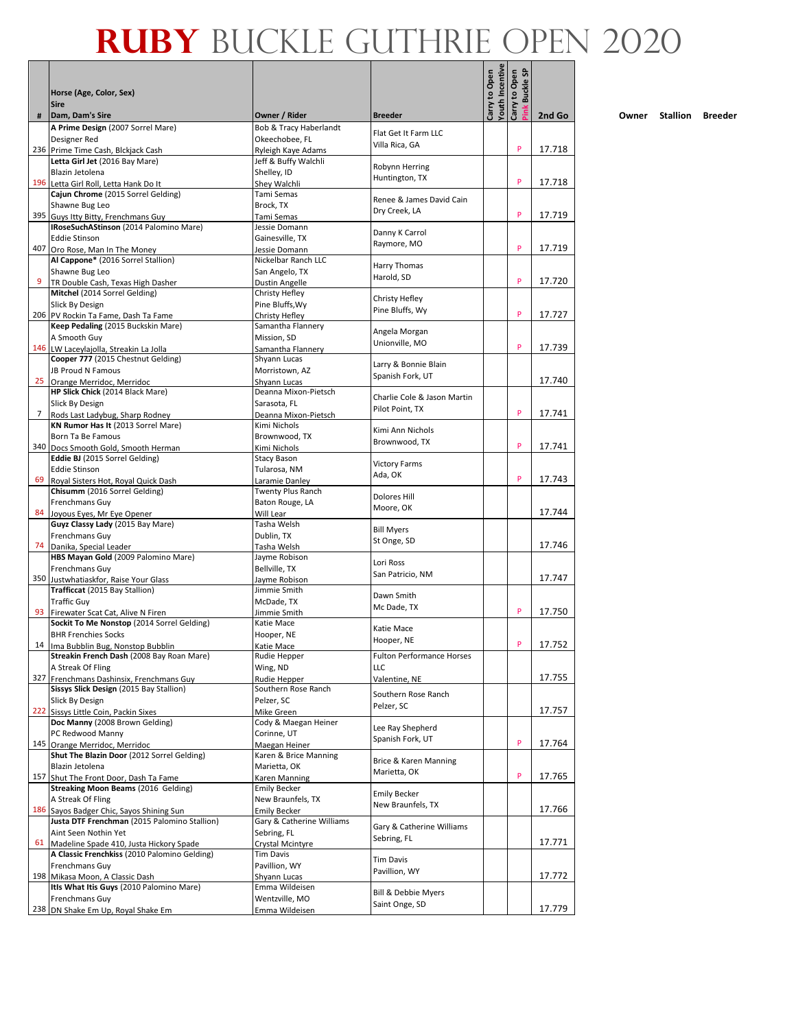|     | Horse (Age, Color, Sex)<br><b>Sire</b>                                                   |                                                  |                                         | Youth Incentive<br>Carry to Open | <b>Buckle SP</b><br>Carry to Open |        |
|-----|------------------------------------------------------------------------------------------|--------------------------------------------------|-----------------------------------------|----------------------------------|-----------------------------------|--------|
| #   | Dam, Dam's Sire                                                                          | Owner / Rider                                    | <b>Breeder</b>                          |                                  |                                   | 2nd Go |
|     | A Prime Design (2007 Sorrel Mare)                                                        | Bob & Tracy Haberlandt                           | Flat Get It Farm LLC                    |                                  |                                   |        |
|     | Designer Red                                                                             | Okeechobee, FL                                   | Villa Rica, GA                          |                                  | P                                 |        |
|     | 236 Prime Time Cash, Blckjack Cash<br>Letta Girl Jet (2016 Bay Mare)                     | Ryleigh Kaye Adams                               |                                         |                                  |                                   | 17.718 |
|     | Blazin Jetolena                                                                          | Jeff & Buffy Walchli<br>Shelley, ID              | Robynn Herring                          |                                  |                                   |        |
|     | 196 Letta Girl Roll, Letta Hank Do It                                                    | Shey Walchli                                     | Huntington, TX                          |                                  | P                                 | 17.718 |
|     | Cajun Chrome (2015 Sorrel Gelding)                                                       | Tami Semas                                       |                                         |                                  |                                   |        |
|     | Shawne Bug Leo                                                                           | Brock, TX                                        | Renee & James David Cain                |                                  |                                   |        |
|     | 395 Guys Itty Bitty, Frenchmans Guy                                                      | Tami Semas                                       | Dry Creek, LA                           |                                  | P                                 | 17.719 |
|     | IRoseSuchAStinson (2014 Palomino Mare)                                                   | Jessie Domann                                    | Danny K Carrol                          |                                  |                                   |        |
| 407 | <b>Eddie Stinson</b>                                                                     | Gainesville, TX                                  | Raymore, MO                             |                                  | P                                 | 17.719 |
|     | Oro Rose, Man In The Money<br>Al Cappone* (2016 Sorrel Stallion)                         | Jessie Domann<br>Nickelbar Ranch LLC             |                                         |                                  |                                   |        |
|     | Shawne Bug Leo                                                                           | San Angelo, TX                                   | Harry Thomas                            |                                  |                                   |        |
|     | TR Double Cash, Texas High Dasher                                                        | Dustin Angelle                                   | Harold, SD                              |                                  | P                                 | 17.720 |
|     | Mitchel (2014 Sorrel Gelding)                                                            | Christy Hefley                                   |                                         |                                  |                                   |        |
|     | Slick By Design                                                                          | Pine Bluffs, Wy                                  | Christy Hefley<br>Pine Bluffs, Wy       |                                  |                                   |        |
|     | 206 PV Rockin Ta Fame, Dash Ta Fame                                                      | Christy Hefley                                   |                                         |                                  | P                                 | 17.727 |
|     | Keep Pedaling (2015 Buckskin Mare)                                                       | Samantha Flannery                                | Angela Morgan                           |                                  |                                   |        |
|     | A Smooth Guy                                                                             | Mission, SD                                      | Unionville, MO                          |                                  | P                                 | 17.739 |
|     | 146 LW Laceylajolla, Streakin La Jolla<br>Cooper 777 (2015 Chestnut Gelding)             | Samantha Flannery<br>Shyann Lucas                |                                         |                                  |                                   |        |
|     | JB Proud N Famous                                                                        | Morristown, AZ                                   | Larry & Bonnie Blain                    |                                  |                                   |        |
| 25  | Orange Merridoc, Merridoc                                                                | Shyann Lucas                                     | Spanish Fork, UT                        |                                  |                                   | 17.740 |
|     | HP Slick Chick (2014 Black Mare)                                                         | Deanna Mixon-Pietsch                             | Charlie Cole & Jason Martin             |                                  |                                   |        |
|     | Slick By Design                                                                          | Sarasota, FL                                     | Pilot Point, TX                         |                                  |                                   |        |
| 7   | Rods Last Ladybug, Sharp Rodney                                                          | Deanna Mixon-Pietsch                             |                                         |                                  | P                                 | 17.741 |
|     | KN Rumor Has It (2013 Sorrel Mare)<br>Born Ta Be Famous                                  | Kimi Nichols<br>Brownwood, TX                    | Kimi Ann Nichols                        |                                  |                                   |        |
|     | 340 Docs Smooth Gold, Smooth Herman                                                      | Kimi Nichols                                     | Brownwood, TX                           |                                  | P                                 | 17.741 |
|     | Eddie BJ (2015 Sorrel Gelding)                                                           | Stacy Bason                                      |                                         |                                  |                                   |        |
|     | <b>Eddie Stinson</b>                                                                     | Tularosa, NM                                     | <b>Victory Farms</b><br>Ada, OK         |                                  |                                   |        |
| 69  | Royal Sisters Hot, Royal Quick Dash                                                      | Laramie Danley                                   |                                         |                                  | P                                 | 17.743 |
|     | Chisumm (2016 Sorrel Gelding)                                                            | Twenty Plus Ranch                                | Dolores Hill                            |                                  |                                   |        |
| 84  | Frenchmans Guy<br>Joyous Eyes, Mr Eye Opener                                             | Baton Rouge, LA<br>Will Lear                     | Moore, OK                               |                                  |                                   | 17.744 |
|     | Guyz Classy Lady (2015 Bay Mare)                                                         | Tasha Welsh                                      |                                         |                                  |                                   |        |
|     | Frenchmans Guy                                                                           | Dublin, TX                                       | <b>Bill Myers</b>                       |                                  |                                   |        |
| 74  | Danika, Special Leader                                                                   | Tasha Welsh                                      | St Onge, SD                             |                                  |                                   | 17.746 |
|     | HBS Mayan Gold (2009 Palomino Mare)                                                      | Jayme Robison                                    | Lori Ross                               |                                  |                                   |        |
|     | Frenchmans Guy                                                                           | Bellville, TX                                    | San Patricio, NM                        |                                  |                                   |        |
|     | 350 Justwhatiaskfor, Raise Your Glass<br>Trafficcat (2015 Bay Stallion)                  | Javme Robison<br>Jimmie Smith                    |                                         |                                  |                                   | 17.747 |
|     | <b>Traffic Guv</b>                                                                       | McDade, TX                                       | Dawn Smith                              |                                  |                                   |        |
|     | 93 Firewater Scat Cat, Alive N Firen                                                     | Jimmie Smith                                     | Mc Dade, TX                             |                                  | P                                 | 17.750 |
|     | Sockit To Me Nonstop (2014 Sorrel Gelding)                                               | Katie Mace                                       | Katie Mace                              |                                  |                                   |        |
|     | <b>BHR Frenchies Socks</b>                                                               | Hooper, NE                                       | Hooper, NE                              |                                  | $\boldsymbol{\mathsf{P}}$         |        |
|     | 14 Ima Bubblin Bug, Nonston Bubblin                                                      | Katie Mace                                       |                                         |                                  |                                   | 17.752 |
|     | Streakin French Dash (2008 Bay Roan Mare)<br>A Streak Of Fling                           | Rudie Hepper<br>Wing, ND                         | <b>Fulton Performance Horses</b><br>LLC |                                  |                                   |        |
|     | 327 Frenchmans Dashinsix, Frenchmans Guy                                                 | Rudie Hepper                                     | Valentine, NE                           |                                  |                                   | 17.755 |
|     | Sissys Slick Design (2015 Bay Stallion)                                                  | Southern Rose Ranch                              |                                         |                                  |                                   |        |
|     | Slick By Design                                                                          | Pelzer, SC                                       | Southern Rose Ranch<br>Pelzer, SC       |                                  |                                   |        |
| 222 | Sissys Little Coin, Packin Sixes                                                         | Mike Green                                       |                                         |                                  |                                   | 17.757 |
|     | Doc Manny (2008 Brown Gelding)<br>PC Redwood Manny                                       | Cody & Maegan Heiner<br>Corinne, UT              | Lee Ray Shepherd                        |                                  |                                   |        |
|     | 145 Orange Merridoc, Merridoc                                                            | Maegan Heiner                                    | Spanish Fork, UT                        |                                  | P                                 | 17.764 |
|     | Shut The Blazin Door (2012 Sorrel Gelding)                                               | Karen & Brice Manning                            |                                         |                                  |                                   |        |
|     | Blazin Jetolena                                                                          | Marietta, OK                                     | Brice & Karen Manning                   |                                  |                                   |        |
|     | 157 Shut The Front Door, Dash Ta Fame                                                    | Karen Manning                                    | Marietta, OK                            |                                  | P                                 | 17.765 |
|     | Streaking Moon Beams (2016 Gelding)                                                      | <b>Emily Becker</b>                              | <b>Emily Becker</b>                     |                                  |                                   |        |
|     | A Streak Of Fling                                                                        | New Braunfels, TX                                | New Braunfels, TX                       |                                  |                                   | 17.766 |
|     | 186 Sayos Badger Chic, Sayos Shining Sun<br>Justa DTF Frenchman (2015 Palomino Stallion) | <b>Emily Becker</b><br>Gary & Catherine Williams |                                         |                                  |                                   |        |
|     | Aint Seen Nothin Yet                                                                     | Sebring, FL                                      | Gary & Catherine Williams               |                                  |                                   |        |
| 61  | Madeline Spade 410, Justa Hickory Spade                                                  | Crystal Mcintyre                                 | Sebring, FL                             |                                  |                                   | 17.771 |
|     | A Classic Frenchkiss (2010 Palomino Gelding)                                             | Tim Davis                                        | <b>Tim Davis</b>                        |                                  |                                   |        |
|     | Frenchmans Guy                                                                           | Pavillion, WY                                    | Pavillion, WY                           |                                  |                                   |        |
|     | 198 Mikasa Moon, A Classic Dash<br>Itls What Itis Guys (2010 Palomino Mare)              | Shyann Lucas<br>Emma Wildeisen                   |                                         |                                  |                                   | 17.772 |
|     | Frenchmans Guy                                                                           | Wentzville, MO                                   | Bill & Debbie Myers                     |                                  |                                   |        |
|     | 238 DN Shake Em Up, Royal Shake Em                                                       | Emma Wildeisen                                   | Saint Onge, SD                          |                                  |                                   | 17.779 |

Г  $\blacksquare$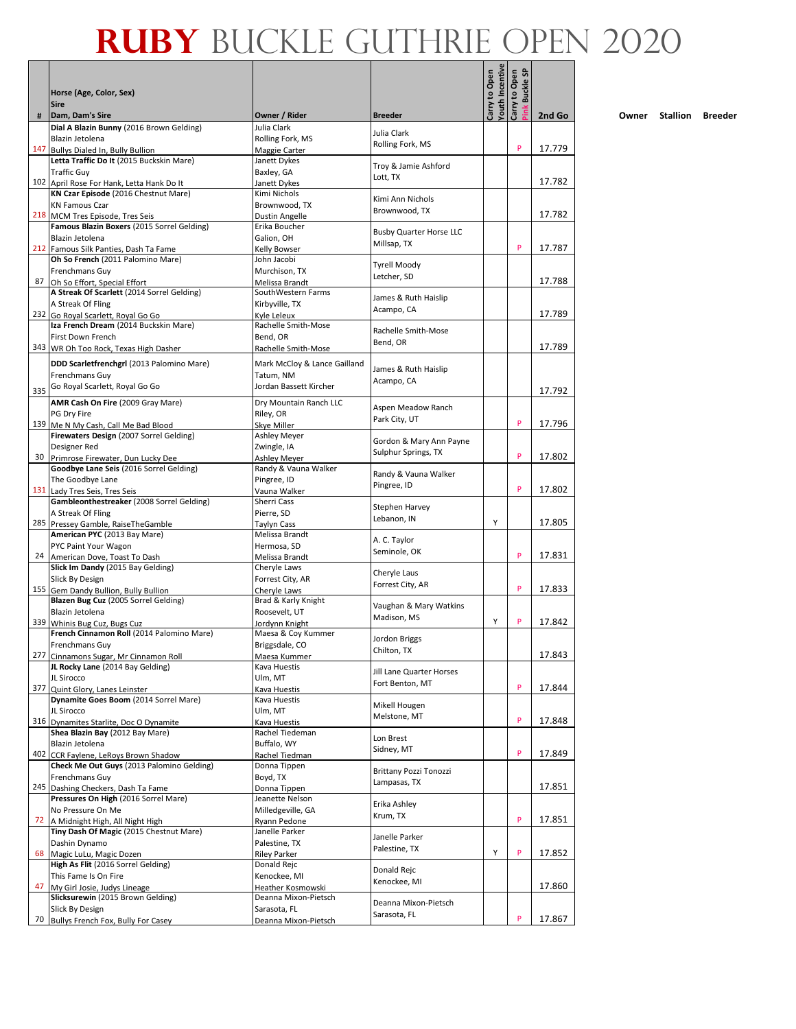|     |                                                                               |                                           |                                  | <b>Youth Incentive</b> | <u>ទ</u>                 |        |
|-----|-------------------------------------------------------------------------------|-------------------------------------------|----------------------------------|------------------------|--------------------------|--------|
|     | Horse (Age, Color, Sex)<br><b>Sire</b>                                        |                                           |                                  | Carry to Open          | Carry to Open<br>Buckle: |        |
| #   | Dam, Dam's Sire<br>Dial A Blazin Bunny (2016 Brown Gelding)                   | Owner / Rider<br>Julia Clark              | <b>Breeder</b>                   |                        |                          | 2nd Go |
|     | Blazin Jetolena                                                               | Rolling Fork, MS                          | Julia Clark                      |                        |                          |        |
| 147 | Bullys Dialed In, Bully Bullion                                               | Maggie Carter                             | Rolling Fork, MS                 |                        | P                        | 17.779 |
|     | Letta Traffic Do It (2015 Buckskin Mare)                                      | Janett Dykes                              |                                  |                        |                          |        |
|     | <b>Traffic Guy</b>                                                            | Baxley, GA                                | Troy & Jamie Ashford<br>Lott, TX |                        |                          |        |
|     | 102 April Rose For Hank, Letta Hank Do It                                     | Janett Dykes                              |                                  |                        |                          | 17.782 |
|     | KN Czar Episode (2016 Chestnut Mare)                                          | Kimi Nichols                              | Kimi Ann Nichols                 |                        |                          |        |
|     | <b>KN Famous Czar</b>                                                         | Brownwood, TX                             | Brownwood, TX                    |                        |                          | 17.782 |
|     | 218 MCM Tres Episode, Tres Seis<br>Famous Blazin Boxers (2015 Sorrel Gelding) | Dustin Angelle<br>Erika Boucher           |                                  |                        |                          |        |
|     | Blazin Jetolena                                                               | Galion, OH                                | <b>Busby Quarter Horse LLC</b>   |                        |                          |        |
|     | 212 Famous Silk Panties, Dash Ta Fame                                         | Kelly Bowser                              | Millsap, TX                      |                        | P                        | 17.787 |
|     | Oh So French (2011 Palomino Mare)                                             | John Jacobi                               | <b>Tyrell Moody</b>              |                        |                          |        |
|     | Frenchmans Guy                                                                | Murchison, TX                             | Letcher, SD                      |                        |                          |        |
| 87  | Oh So Effort, Special Effort                                                  | Melissa Brandt                            |                                  |                        |                          | 17.788 |
|     | A Streak Of Scarlett (2014 Sorrel Gelding)                                    | SouthWestern Farms                        | James & Ruth Haislip             |                        |                          |        |
|     | A Streak Of Fling<br>232 Go Royal Scarlett, Royal Go Go                       | Kirbyville, TX<br>Kvle Leleux             | Acampo, CA                       |                        |                          | 17.789 |
|     | Iza French Dream (2014 Buckskin Mare)                                         | Rachelle Smith-Mose                       |                                  |                        |                          |        |
|     | First Down French                                                             | Bend, OR                                  | Rachelle Smith-Mose              |                        |                          |        |
|     | 343 WR Oh Too Rock, Texas High Dasher                                         | Rachelle Smith-Mose                       | Bend, OR                         |                        |                          | 17.789 |
|     | DDD Scarletfrenchgrl (2013 Palomino Mare)                                     | Mark McCloy & Lance Gailland              |                                  |                        |                          |        |
|     | Frenchmans Guy                                                                | Tatum, NM                                 | James & Ruth Haislip             |                        |                          |        |
|     | Go Royal Scarlett, Royal Go Go                                                | Jordan Bassett Kircher                    | Acampo, CA                       |                        |                          |        |
| 335 |                                                                               |                                           |                                  |                        |                          | 17.792 |
|     | AMR Cash On Fire (2009 Gray Mare)<br><b>PG Drv Fire</b>                       | Dry Mountain Ranch LLC                    | Aspen Meadow Ranch               |                        |                          |        |
|     | 139 Me N My Cash, Call Me Bad Blood                                           | Riley, OR<br>Skye Miller                  | Park City, UT                    |                        | P                        | 17.796 |
|     | Firewaters Design (2007 Sorrel Gelding)                                       | Ashley Meyer                              |                                  |                        |                          |        |
|     | Designer Red                                                                  | Zwingle, IA                               | Gordon & Mary Ann Payne          |                        |                          |        |
| 30  | Primrose Firewater, Dun Lucky Dee                                             | <b>Ashley Meyer</b>                       | Sulphur Springs, TX              |                        | P                        | 17.802 |
|     | Goodbye Lane Seis (2016 Sorrel Gelding)                                       | Randy & Vauna Walker                      | Randy & Vauna Walker             |                        |                          |        |
|     | The Goodbye Lane                                                              | Pingree, ID                               | Pingree, ID                      |                        |                          |        |
|     | 131 Lady Tres Seis, Tres Seis                                                 | Vauna Walker                              |                                  |                        | P                        | 17.802 |
|     | Gambleonthestreaker (2008 Sorrel Gelding)<br>A Streak Of Fling                | Sherri Cass                               | Stephen Harvey                   |                        |                          |        |
|     | 285 Pressey Gamble, RaiseTheGamble                                            | Pierre, SD<br>Taylyn Cass                 | Lebanon, IN                      | Υ                      |                          | 17.805 |
|     | American PYC (2013 Bay Mare)                                                  | Melissa Brandt                            |                                  |                        |                          |        |
|     | PYC Paint Your Wagon                                                          | Hermosa, SD                               | A. C. Taylor                     |                        |                          |        |
|     | 24 American Dove, Toast To Dash                                               | Melissa Brandt                            | Seminole, OK                     |                        | P                        | 17.831 |
|     | Slick Im Dandy (2015 Bay Gelding)                                             | Cheryle Laws                              | Cheryle Laus                     |                        |                          |        |
|     | Slick By Design                                                               | Forrest City, AR                          | Forrest City, AR                 |                        |                          |        |
|     | 155 Gem Dandy Bullion, Bully Bullion                                          | Cheryle Laws                              |                                  |                        | P                        | 17.833 |
|     | Blazen Bug Cuz (2005 Sorrel Gelding)<br>Blazin Jetolena                       | Brad & Karly Knight<br>Roosevelt, UT      | Vaughan & Mary Watkins           |                        |                          |        |
|     | 339 Whinis Bug Cuz, Bugs Cuz                                                  | Jordynn Knight                            | Madison, MS                      | Υ                      | P                        | 17.842 |
|     | French Cinnamon Roll (2014 Palomino Mare)                                     | Maesa & Coy Kummer                        |                                  |                        |                          |        |
|     | Frenchmans Guy                                                                | Briggsdale, CO                            | Jordon Briggs                    |                        |                          |        |
|     | 277 Cinnamons Sugar, Mr Cinnamon Roll                                         | Maesa Kummer                              | Chilton, TX                      |                        |                          | 17.843 |
|     | JL Rocky Lane (2014 Bay Gelding)                                              | Kava Huestis                              | Jill Lane Quarter Horses         |                        |                          |        |
| 377 | JL Sirocco                                                                    | Ulm, MT                                   | Fort Benton, MT                  |                        | P                        | 17.844 |
|     | Quint Glory, Lanes Leinster<br>Dynamite Goes Boom (2014 Sorrel Mare)          | Kava Huestis<br>Kava Huestis              |                                  |                        |                          |        |
|     | JL Sirocco                                                                    | Ulm, MT                                   | Mikell Hougen                    |                        |                          |        |
|     | 316 Dynamites Starlite, Doc O Dynamite                                        | Kava Huestis                              | Melstone, MT                     |                        | P                        | 17.848 |
|     | Shea Blazin Bay (2012 Bay Mare)                                               | Rachel Tiedeman                           | Lon Brest                        |                        |                          |        |
|     | Blazin Jetolena                                                               | Buffalo, WY                               | Sidney, MT                       |                        |                          |        |
|     | 402 CCR Faylene, LeRoys Brown Shadow                                          | Rachel Tiedman                            |                                  |                        | P                        | 17.849 |
|     | Check Me Out Guys (2013 Palomino Gelding)                                     | Donna Tippen                              | Brittany Pozzi Tonozzi           |                        |                          |        |
|     | Frenchmans Guy                                                                | Boyd, TX                                  | Lampasas, TX                     |                        |                          | 17.851 |
|     | 245 Dashing Checkers, Dash Ta Fame<br>Pressures On High (2016 Sorrel Mare)    | Donna Tippen<br>Jeanette Nelson           |                                  |                        |                          |        |
|     | No Pressure On Me                                                             | Milledgeville, GA                         | Erika Ashley                     |                        |                          |        |
| 72  | A Midnight High, All Night High                                               | Ryann Pedone                              | Krum, TX                         |                        | P                        | 17.851 |
|     | Tiny Dash Of Magic (2015 Chestnut Mare)                                       | Janelle Parker                            |                                  |                        |                          |        |
|     | Dashin Dynamo                                                                 | Palestine, TX                             | Janelle Parker<br>Palestine, TX  |                        |                          |        |
| 68  | Magic LuLu, Magic Dozen                                                       | Riley Parker                              |                                  | Υ                      | P                        | 17.852 |
|     | High As Flit (2016 Sorrel Gelding)                                            | Donald Rejc                               | Donald Rejc                      |                        |                          |        |
|     | This Fame Is On Fire                                                          | Kenockee, MI                              | Kenockee, MI                     |                        |                          | 17.860 |
| 47  | My Girl Josie, Judys Lineage<br>Slicksurewin (2015 Brown Gelding)             | Heather Kosmowski<br>Deanna Mixon-Pietsch |                                  |                        |                          |        |
|     | Slick By Design                                                               | Sarasota, FL                              | Deanna Mixon-Pietsch             |                        |                          |        |
| 70  | Bullys French Fox, Bully For Casey                                            | Deanna Mixon-Pietsch                      | Sarasota, FL                     |                        | P                        | 17.867 |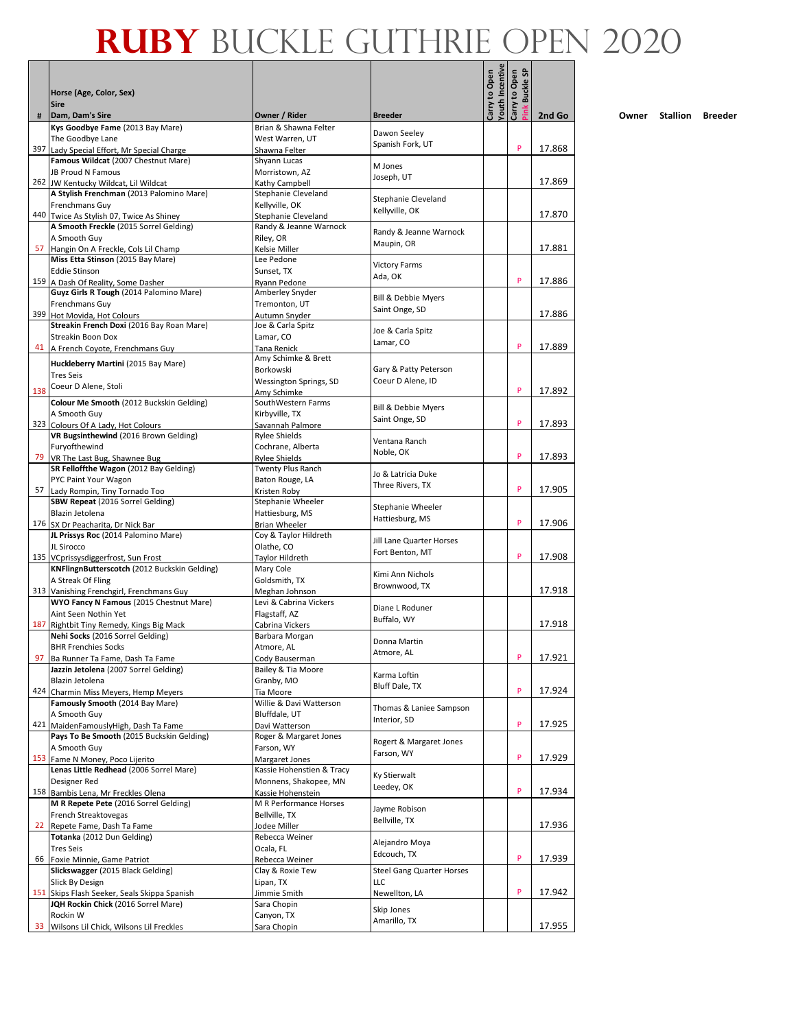|     |                                                                                     |                                               |                                  | <b>Youth Incentive</b><br>Carry to Open | <u>ទ</u><br>Carry to Open<br>Buckle ! |        |
|-----|-------------------------------------------------------------------------------------|-----------------------------------------------|----------------------------------|-----------------------------------------|---------------------------------------|--------|
|     | Horse (Age, Color, Sex)<br><b>Sire</b>                                              |                                               |                                  |                                         |                                       |        |
| #   | Dam, Dam's Sire                                                                     | Owner / Rider                                 | <b>Breeder</b>                   |                                         |                                       | 2nd Go |
|     | Kys Goodbye Fame (2013 Bay Mare)<br>The Goodbye Lane                                | Brian & Shawna Felter<br>West Warren, UT      | Dawon Seeley                     |                                         |                                       |        |
|     | 397 Lady Special Effort, Mr Special Charge                                          | Shawna Felter                                 | Spanish Fork, UT                 |                                         | P                                     | 17.868 |
|     | Famous Wildcat (2007 Chestnut Mare)                                                 | Shyann Lucas                                  | M Jones                          |                                         |                                       |        |
|     | JB Proud N Famous                                                                   | Morristown, AZ                                | Joseph, UT                       |                                         |                                       | 17.869 |
|     | 262 JW Kentucky Wildcat, Lil Wildcat<br>A Stylish Frenchman (2013 Palomino Mare)    | Kathy Campbell<br>Stephanie Cleveland         |                                  |                                         |                                       |        |
|     | Frenchmans Guy                                                                      | Kellyville, OK                                | Stephanie Cleveland              |                                         |                                       |        |
|     | 440 Twice As Stylish 07, Twice As Shiney                                            | Stephanie Cleveland                           | Kellyville, OK                   |                                         |                                       | 17.870 |
|     | A Smooth Freckle (2015 Sorrel Gelding)                                              | Randy & Jeanne Warnock                        | Randy & Jeanne Warnock           |                                         |                                       |        |
| 57  | A Smooth Guy<br>Hangin On A Freckle, Cols Lil Champ                                 | Riley, OR<br>Kelsie Miller                    | Maupin, OR                       |                                         |                                       | 17.881 |
|     | Miss Etta Stinson (2015 Bay Mare)                                                   | Lee Pedone                                    | <b>Victory Farms</b>             |                                         |                                       |        |
|     | <b>Eddie Stinson</b>                                                                | Sunset, TX                                    | Ada, OK                          |                                         |                                       |        |
|     | 159 A Dash Of Reality, Some Dasher                                                  | Ryann Pedone                                  |                                  |                                         | P                                     | 17.886 |
|     | Guyz Girls R Tough (2014 Palomino Mare)<br>Frenchmans Guy                           | Amberley Snyder<br>Tremonton, UT              | <b>Bill &amp; Debbie Myers</b>   |                                         |                                       |        |
| 399 | Hot Movida, Hot Colours                                                             | Autumn Snyder                                 | Saint Onge, SD                   |                                         |                                       | 17.886 |
|     | Streakin French Doxi (2016 Bay Roan Mare)                                           | Joe & Carla Spitz                             | Joe & Carla Spitz                |                                         |                                       |        |
|     | Streakin Boon Dox                                                                   | Lamar, CO                                     | Lamar, CO                        |                                         | P                                     |        |
| 41  | A French Coyote, Frenchmans Guy                                                     | Tana Renick<br>Amy Schimke & Brett            |                                  |                                         |                                       | 17.889 |
|     | Huckleberry Martini (2015 Bay Mare)                                                 | Borkowski                                     | Gary & Patty Peterson            |                                         |                                       |        |
|     | Tres Seis<br>Coeur D Alene, Stoli                                                   | Wessington Springs, SD                        | Coeur D Alene, ID                |                                         |                                       |        |
| 138 |                                                                                     | Amy Schimke                                   |                                  |                                         | P                                     | 17.892 |
|     | Colour Me Smooth (2012 Buckskin Gelding)<br>A Smooth Guy                            | SouthWestern Farms<br>Kirbyville, TX          | Bill & Debbie Myers              |                                         |                                       |        |
|     | 323 Colours Of A Lady, Hot Colours                                                  | Savannah Palmore                              | Saint Onge, SD                   |                                         | P                                     | 17.893 |
|     | VR Bugsinthewind (2016 Brown Gelding)                                               | <b>Rylee Shields</b>                          | Ventana Ranch                    |                                         |                                       |        |
|     | Furyofthewind                                                                       | Cochrane, Alberta                             | Noble, OK                        |                                         |                                       |        |
|     | 79 VR The Last Bug, Shawnee Bug<br>SR Felloffthe Wagon (2012 Bay Gelding)           | <b>Rylee Shields</b><br>Twenty Plus Ranch     |                                  |                                         | P                                     | 17.893 |
|     | PYC Paint Your Wagon                                                                | Baton Rouge, LA                               | Jo & Latricia Duke               |                                         |                                       |        |
| 57  | Lady Rompin, Tiny Tornado Too                                                       | Kristen Roby                                  | Three Rivers, TX                 |                                         | P                                     | 17.905 |
|     | SBW Repeat (2016 Sorrel Gelding)                                                    | Stephanie Wheeler                             | Stephanie Wheeler                |                                         |                                       |        |
|     | Blazin Jetolena                                                                     | Hattiesburg, MS                               | Hattiesburg, MS                  |                                         | P                                     | 17.906 |
|     | 176 SX Dr Peacharita, Dr Nick Bar<br>JL Prissys Roc (2014 Palomino Mare)            | <b>Brian Wheeler</b><br>Coy & Taylor Hildreth |                                  |                                         |                                       |        |
|     | JL Sirocco                                                                          | Olathe, CO                                    | Jill Lane Quarter Horses         |                                         |                                       |        |
|     | 135 VCprissysdiggerfrost, Sun Frost                                                 | Taylor Hildreth                               | Fort Benton, MT                  |                                         | P                                     | 17.908 |
|     | KNFlingnButterscotch (2012 Buckskin Gelding)                                        | Mary Cole                                     | Kimi Ann Nichols                 |                                         |                                       |        |
|     | A Streak Of Fling<br>313 Vanishing Frenchgirl, Frenchmans Guy                       | Goldsmith, TX<br>Meghan Johnson               | Brownwood, TX                    |                                         |                                       | 17.918 |
|     | WYO Fancy N Famous (2015 Chestnut Mare)                                             | Levi & Cabrina Vickers                        |                                  |                                         |                                       |        |
|     | Aint Seen Nothin Yet                                                                | Flagstaff, AZ                                 | Diane L Roduner<br>Buffalo, WY   |                                         |                                       |        |
| 187 | Rightbit Tiny Remedy, Kings Big Mack                                                | Cabrina Vickers                               |                                  |                                         |                                       | 17.918 |
|     | Nehi Socks (2016 Sorrel Gelding)<br><b>BHR Frenchies Socks</b>                      | Barbara Morgan<br>Atmore, AL                  | Donna Martin                     |                                         |                                       |        |
| 97  | Ba Runner Ta Fame, Dash Ta Fame                                                     | Cody Bauserman                                | Atmore, AL                       |                                         | P                                     | 17.921 |
|     | Jazzin Jetolena (2007 Sorrel Gelding)                                               | Bailey & Tia Moore                            | Karma Loftin                     |                                         |                                       |        |
|     | Blazin Jetolena                                                                     | Granby, MO                                    | <b>Bluff Dale, TX</b>            |                                         |                                       |        |
|     | 424 Charmin Miss Meyers, Hemp Meyers<br>Famously Smooth (2014 Bay Mare)             | Tia Moore<br>Willie & Davi Watterson          |                                  |                                         | P                                     | 17.924 |
|     | A Smooth Guy                                                                        | Bluffdale, UT                                 | Thomas & Laniee Sampson          |                                         |                                       |        |
|     | 421 MaidenFamouslyHigh, Dash Ta Fame                                                | Davi Watterson                                | Interior, SD                     |                                         | P                                     | 17.925 |
|     | Pays To Be Smooth (2015 Buckskin Gelding)                                           | Roger & Margaret Jones                        | Rogert & Margaret Jones          |                                         |                                       |        |
|     | A Smooth Guy                                                                        | Farson, WY                                    | Farson, WY                       |                                         | P                                     |        |
|     | 153 Fame N Money, Poco Lijerito<br>Lenas Little Redhead (2006 Sorrel Mare)          | Margaret Jones<br>Kassie Hohenstien & Tracy   |                                  |                                         |                                       | 17.929 |
|     | Designer Red                                                                        | Monnens, Shakopee, MN                         | Ky Stierwalt                     |                                         |                                       |        |
|     | 158 Bambis Lena, Mr Freckles Olena                                                  | Kassie Hohenstein                             | Leedey, OK                       |                                         | P                                     | 17.934 |
|     | M R Repete Pete (2016 Sorrel Gelding)                                               | M R Performance Horses                        | Jayme Robison                    |                                         |                                       |        |
|     | French Streaktovegas                                                                | Bellville, TX                                 | Bellville, TX                    |                                         |                                       |        |
| 22  | Repete Fame, Dash Ta Fame<br>Totanka (2012 Dun Gelding)                             | Jodee Miller<br>Rebecca Weiner                |                                  |                                         |                                       | 17.936 |
|     | <b>Tres Seis</b>                                                                    | Ocala, FL                                     | Alejandro Moya                   |                                         |                                       |        |
| 66  | Foxie Minnie, Game Patriot                                                          | Rebecca Weiner                                | Edcouch, TX                      |                                         | P                                     | 17.939 |
|     | Slickswagger (2015 Black Gelding)                                                   | Clay & Roxie Tew                              | <b>Steel Gang Quarter Horses</b> |                                         |                                       |        |
|     | Slick By Design                                                                     | Lipan, TX                                     | LLC                              |                                         | P                                     | 17.942 |
|     | 151 Skips Flash Seeker, Seals Skippa Spanish<br>JQH Rockin Chick (2016 Sorrel Mare) | Jimmie Smith<br>Sara Chopin                   | Newellton, LA                    |                                         |                                       |        |
|     | Rockin W                                                                            | Canyon, TX                                    | Skip Jones                       |                                         |                                       |        |
| 33  | Wilsons Lil Chick, Wilsons Lil Freckles                                             | Sara Chopin                                   | Amarillo, TX                     |                                         |                                       | 17.955 |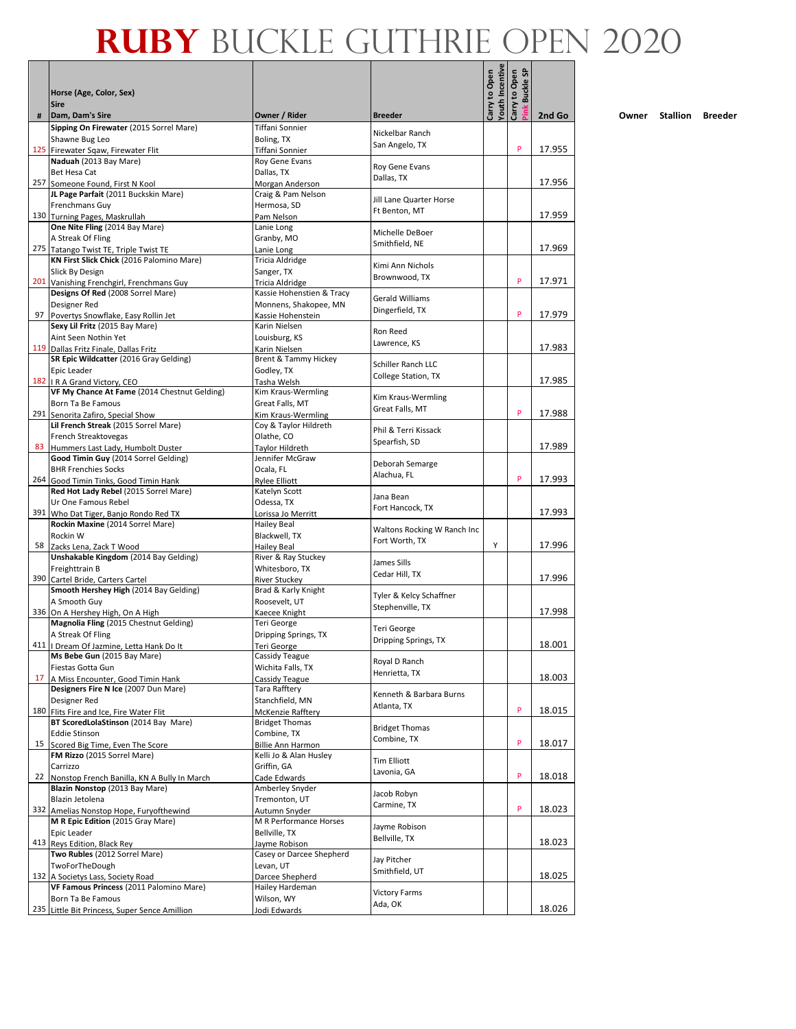|     |                                                                              |                                             |                                |                                         | <b>SP</b>                        |        |
|-----|------------------------------------------------------------------------------|---------------------------------------------|--------------------------------|-----------------------------------------|----------------------------------|--------|
|     | Horse (Age, Color, Sex)<br><b>Sire</b>                                       |                                             |                                | <b>Youth Incentive</b><br>Carry to Open | Carry to Open<br><b>Buckle</b> : |        |
| #   | Dam, Dam's Sire                                                              | Owner / Rider                               | <b>Breeder</b>                 |                                         |                                  | 2nd Go |
|     | Sipping On Firewater (2015 Sorrel Mare)                                      | Tiffani Sonnier                             | Nickelbar Ranch                |                                         |                                  |        |
|     | Shawne Bug Leo<br>125 Firewater Sqaw, Firewater Flit                         | Boling, TX<br>Tiffani Sonnier               | San Angelo, TX                 |                                         | P                                | 17.955 |
|     | Naduah (2013 Bay Mare)                                                       | Roy Gene Evans                              |                                |                                         |                                  |        |
|     | Bet Hesa Cat                                                                 | Dallas, TX                                  | Roy Gene Evans                 |                                         |                                  |        |
|     | 257 Someone Found, First N Kool                                              | Morgan Anderson                             | Dallas, TX                     |                                         |                                  | 17.956 |
|     | JL Page Parfait (2011 Buckskin Mare)                                         | Craig & Pam Nelson                          | Jill Lane Quarter Horse        |                                         |                                  |        |
|     | Frenchmans Guy                                                               | Hermosa, SD                                 | Ft Benton, MT                  |                                         |                                  |        |
|     | 130 Turning Pages, Maskrullah                                                | Pam Nelson                                  |                                |                                         |                                  | 17.959 |
|     | One Nite Fling (2014 Bay Mare)                                               | Lanie Long                                  | Michelle DeBoer                |                                         |                                  |        |
|     | A Streak Of Fling<br>275 Tatango Twist TE, Triple Twist TE                   | Granby, MO<br>Lanie Long                    | Smithfield, NE                 |                                         |                                  | 17.969 |
|     | KN First Slick Chick (2016 Palomino Mare)                                    | Tricia Aldridge                             |                                |                                         |                                  |        |
|     | Slick By Design                                                              | Sanger, TX                                  | Kimi Ann Nichols               |                                         |                                  |        |
| 201 | Vanishing Frenchgirl, Frenchmans Guy                                         | Tricia Aldridge                             | Brownwood, TX                  |                                         | P                                | 17.971 |
|     | Designs Of Red (2008 Sorrel Mare)                                            | Kassie Hohenstien & Tracy                   | <b>Gerald Williams</b>         |                                         |                                  |        |
|     | Designer Red                                                                 | Monnens, Shakopee, MN                       | Dingerfield, TX                |                                         |                                  |        |
| 97  | Povertys Snowflake, Easy Rollin Jet                                          | Kassie Hohenstein                           |                                |                                         | P                                | 17.979 |
|     | Sexy Lil Fritz (2015 Bay Mare)                                               | Karin Nielsen                               | Ron Reed                       |                                         |                                  |        |
|     | Aint Seen Nothin Yet<br>119 Dallas Fritz Finale, Dallas Fritz                | Louisburg, KS<br>Karin Nielsen              | Lawrence, KS                   |                                         |                                  | 17.983 |
|     | SR Epic Wildcatter (2016 Gray Gelding)                                       | Brent & Tammy Hickey                        |                                |                                         |                                  |        |
|     | Epic Leader                                                                  | Godley, TX                                  | Schiller Ranch LLC             |                                         |                                  |        |
|     | 182   R A Grand Victory, CEO                                                 | Tasha Welsh                                 | College Station, TX            |                                         |                                  | 17.985 |
|     | VF My Chance At Fame (2014 Chestnut Gelding)                                 | Kim Kraus-Wermling                          | Kim Kraus-Wermling             |                                         |                                  |        |
|     | Born Ta Be Famous                                                            | Great Falls, MT                             | Great Falls, MT                |                                         | P                                |        |
| 291 | Senorita Zafiro, Special Show<br>Lil French Streak (2015 Sorrel Mare)        | Kim Kraus-Wermling<br>Coy & Taylor Hildreth |                                |                                         |                                  | 17.988 |
|     | French Streaktovegas                                                         | Olathe, CO                                  | Phil & Terri Kissack           |                                         |                                  |        |
| 83  | Hummers Last Lady, Humbolt Duster                                            | Taylor Hildreth                             | Spearfish, SD                  |                                         |                                  | 17.989 |
|     | Good Timin Guy (2014 Sorrel Gelding)                                         | Jennifer McGraw                             |                                |                                         |                                  |        |
|     | <b>BHR Frenchies Socks</b>                                                   | Ocala, FL                                   | Deborah Semarge<br>Alachua, FL |                                         |                                  |        |
|     | 264 Good Timin Tinks, Good Timin Hank                                        | <b>Rylee Elliott</b>                        |                                |                                         | P                                | 17.993 |
|     | Red Hot Lady Rebel (2015 Sorrel Mare)                                        | Katelyn Scott                               | Jana Bean                      |                                         |                                  |        |
| 391 | Ur One Famous Rebel<br>Who Dat Tiger, Banjo Rondo Red TX                     | Odessa, TX<br>Lorissa Jo Merritt            | Fort Hancock, TX               |                                         |                                  | 17.993 |
|     | Rockin Maxine (2014 Sorrel Mare)                                             | <b>Hailey Beal</b>                          |                                |                                         |                                  |        |
|     | Rockin W                                                                     | Blackwell, TX                               | Waltons Rocking W Ranch Inc    |                                         |                                  |        |
| 58  | Zacks Lena, Zack T Wood                                                      | <b>Hailey Beal</b>                          | Fort Worth, TX                 | Y                                       |                                  | 17.996 |
|     | Unshakable Kingdom (2014 Bay Gelding)                                        | River & Ray Stuckey                         | James Sills                    |                                         |                                  |        |
| 390 | Freighttrain B                                                               | Whitesboro, TX                              | Cedar Hill, TX                 |                                         |                                  | 17.996 |
|     | Cartel Bride, Carters Cartel<br>Smooth Hershey High (2014 Bay Gelding)       | <b>River Stuckev</b><br>Brad & Karly Knight |                                |                                         |                                  |        |
|     | A Smooth Guy                                                                 | Roosevelt, UT                               | Tyler & Kelcy Schaffner        |                                         |                                  |        |
|     | 336 On A Hershey High, On A High                                             | Kaecee Knight                               | Stephenville, TX               |                                         |                                  | 17.998 |
|     | Magnolia Fling (2015 Chestnut Gelding)                                       | Teri George                                 | Teri George                    |                                         |                                  |        |
|     | A Streak Of Fling                                                            | Dripping Springs, TX                        | Dripping Springs, TX           |                                         |                                  |        |
|     | 411   Dream Of Jazmine, Letta Hank Do It<br>Ms Bebe Gun (2015 Bay Mare)      | Teri George                                 |                                |                                         |                                  | 18.001 |
|     | Fiestas Gotta Gun                                                            | Cassidy Teague<br>Wichita Falls, TX         | Royal D Ranch                  |                                         |                                  |        |
| 17  | A Miss Encounter, Good Timin Hank                                            | Cassidy Teague                              | Henrietta, TX                  |                                         |                                  | 18.003 |
|     | Designers Fire N Ice (2007 Dun Mare)                                         | Tara Rafftery                               | Kenneth & Barbara Burns        |                                         |                                  |        |
|     | Designer Red                                                                 | Stanchfield, MN                             | Atlanta, TX                    |                                         |                                  |        |
| 180 | Flits Fire and Ice, Fire Water Flit                                          | McKenzie Raffterv                           |                                |                                         | P                                | 18.015 |
|     | BT ScoredLolaStinson (2014 Bay Mare)<br><b>Eddie Stinson</b>                 | <b>Bridget Thomas</b>                       | <b>Bridget Thomas</b>          |                                         |                                  |        |
| 15  | Scored Big Time, Even The Score                                              | Combine, TX<br>Billie Ann Harmon            | Combine, TX                    |                                         | P                                | 18.017 |
|     | FM Rizzo (2015 Sorrel Mare)                                                  | Kelli Jo & Alan Husley                      |                                |                                         |                                  |        |
|     | Carrizzo                                                                     | Griffin, GA                                 | <b>Tim Elliott</b>             |                                         |                                  |        |
| 22  | Nonstop French Banilla, KN A Bully In March                                  | Cade Edwards                                | Lavonia, GA                    |                                         | P                                | 18.018 |
|     | Blazin Nonstop (2013 Bay Mare)                                               | Amberley Snyder                             | Jacob Robyn                    |                                         |                                  |        |
| 332 | Blazin Jetolena                                                              | Tremonton, UT                               | Carmine, TX                    |                                         | P                                | 18.023 |
|     | Amelias Nonstop Hope, Furyofthewind<br>M R Epic Edition (2015 Gray Mare)     | Autumn Snyder<br>M R Performance Horses     |                                |                                         |                                  |        |
|     | Epic Leader                                                                  | Bellville, TX                               | Jayme Robison                  |                                         |                                  |        |
|     | 413 Reys Edition, Black Rey                                                  | Jayme Robison                               | Bellville, TX                  |                                         |                                  | 18.023 |
|     | Two Rubles (2012 Sorrel Mare)                                                | Casey or Darcee Shepherd                    | Jay Pitcher                    |                                         |                                  |        |
|     | TwoForTheDough                                                               | Levan, UT                                   | Smithfield, UT                 |                                         |                                  |        |
|     | 132 A Societys Lass, Society Road<br>VF Famous Princess (2011 Palomino Mare) | Darcee Shepherd                             |                                |                                         |                                  | 18.025 |
|     | Born Ta Be Famous                                                            | Hailey Hardeman<br>Wilson, WY               | <b>Victory Farms</b>           |                                         |                                  |        |
|     | 235 Little Bit Princess, Super Sence Amillion                                | Jodi Edwards                                | Ada, OK                        |                                         |                                  | 18.026 |

П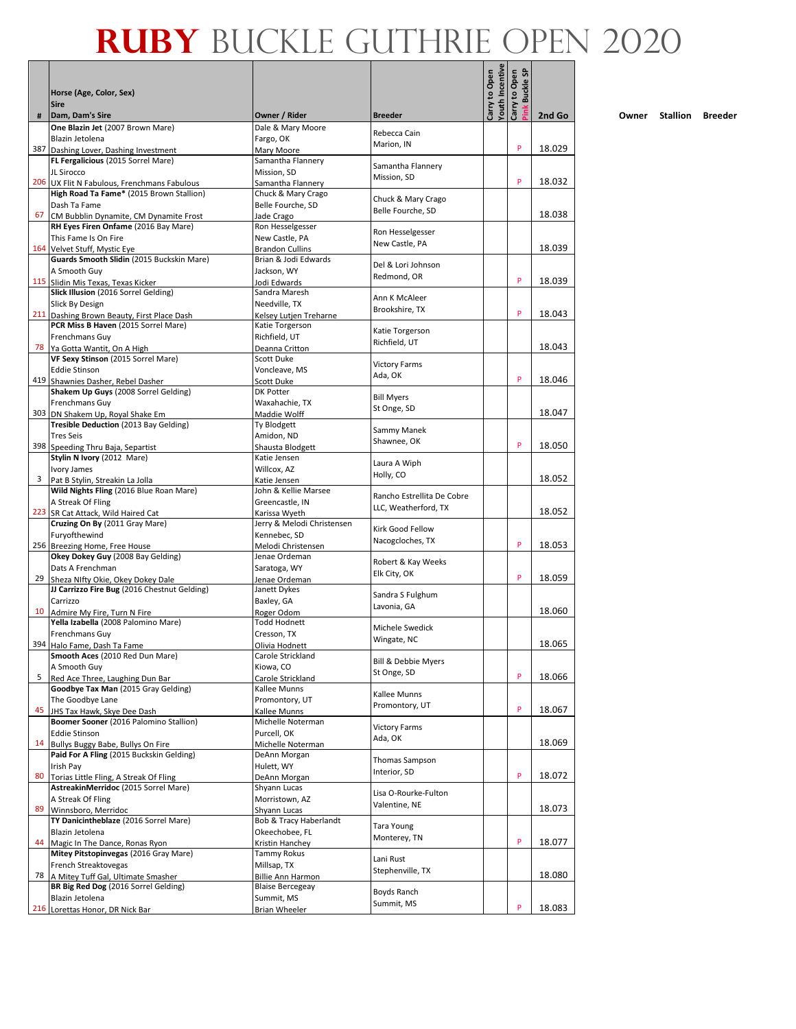|    | Horse (Age, Color, Sex)                                                          |                                              |                                         | <b>Couth Incentive</b><br>Carry to Open | န္တ<br>Carry to Open<br><b>Buckle</b> |        |
|----|----------------------------------------------------------------------------------|----------------------------------------------|-----------------------------------------|-----------------------------------------|---------------------------------------|--------|
|    | <b>Sire</b>                                                                      |                                              |                                         |                                         |                                       |        |
| #  | Dam, Dam's Sire<br>One Blazin Jet (2007 Brown Mare)                              | Owner / Rider<br>Dale & Mary Moore           | <b>Breeder</b>                          |                                         |                                       | 2nd Go |
|    | Blazin Jetolena                                                                  | Fargo, OK                                    | Rebecca Cain                            |                                         |                                       |        |
|    | 387 Dashing Lover, Dashing Investment                                            | Mary Moore                                   | Marion, IN                              |                                         | P                                     | 18.029 |
|    | FL Fergalicious (2015 Sorrel Mare)                                               | Samantha Flannery                            | Samantha Flannery                       |                                         |                                       |        |
|    | JL Sirocco<br>206 UX Flit N Fabulous, Frenchmans Fabulous                        | Mission, SD<br>Samantha Flannery             | Mission, SD                             |                                         | P                                     | 18.032 |
|    | High Road Ta Fame* (2015 Brown Stallion)                                         | Chuck & Mary Crago                           |                                         |                                         |                                       |        |
|    | Dash Ta Fame                                                                     | Belle Fourche, SD                            | Chuck & Mary Crago<br>Belle Fourche, SD |                                         |                                       |        |
| 67 | CM Bubblin Dynamite, CM Dynamite Frost                                           | Jade Crago                                   |                                         |                                         |                                       | 18.038 |
|    | RH Eyes Firen Onfame (2016 Bay Mare)                                             | Ron Hesselgesser                             | Ron Hesselgesser                        |                                         |                                       |        |
|    | This Fame Is On Fire<br>164 Velvet Stuff, Mystic Eye                             | New Castle, PA<br><b>Brandon Cullins</b>     | New Castle, PA                          |                                         |                                       | 18.039 |
|    | Guards Smooth Slidin (2015 Buckskin Mare)                                        | Brian & Jodi Edwards                         |                                         |                                         |                                       |        |
|    | A Smooth Guy                                                                     | Jackson, WY                                  | Del & Lori Johnson<br>Redmond, OR       |                                         |                                       |        |
|    | 115 Slidin Mis Texas, Texas Kicker                                               | Jodi Edwards                                 |                                         |                                         | P                                     | 18.039 |
|    | Slick Illusion (2016 Sorrel Gelding)<br>Slick By Design                          | Sandra Maresh<br>Needville, TX               | Ann K McAleer                           |                                         |                                       |        |
|    | 211 Dashing Brown Beauty, First Place Dash                                       | Kelsey Lutjen Treharne                       | Brookshire, TX                          |                                         | P                                     | 18.043 |
|    | PCR Miss B Haven (2015 Sorrel Mare)                                              | Katie Torgerson                              |                                         |                                         |                                       |        |
|    | Frenchmans Guy                                                                   | Richfield, UT                                | Katie Torgerson<br>Richfield. UT        |                                         |                                       |        |
|    | 78 Ya Gotta Wantit, On A High                                                    | Deanna Critton<br>Scott Duke                 |                                         |                                         |                                       | 18.043 |
|    | VF Sexy Stinson (2015 Sorrel Mare)<br><b>Eddie Stinson</b>                       | Voncleave, MS                                | <b>Victory Farms</b>                    |                                         |                                       |        |
|    | 419 Shawnies Dasher, Rebel Dasher                                                | Scott Duke                                   | Ada, OK                                 |                                         | P                                     | 18.046 |
|    | Shakem Up Guys (2008 Sorrel Gelding)                                             | DK Potter                                    | <b>Bill Myers</b>                       |                                         |                                       |        |
|    | Frenchmans Guy                                                                   | Waxahachie, TX                               | St Onge, SD                             |                                         |                                       |        |
|    | 303 DN Shakem Up, Royal Shake Em                                                 | Maddie Wolff                                 |                                         |                                         |                                       | 18.047 |
|    | Tresible Deduction (2013 Bay Gelding)<br><b>Tres Seis</b>                        | Ty Blodgett<br>Amidon, ND                    | Sammy Manek                             |                                         |                                       |        |
|    | 398 Speeding Thru Baja, Separtist                                                | Shausta Blodgett                             | Shawnee, OK                             |                                         | P                                     | 18.050 |
|    | Stylin N Ivory (2012 Mare)                                                       | Katie Jensen                                 | Laura A Wiph                            |                                         |                                       |        |
|    | Ivory James                                                                      | Willcox, AZ                                  | Holly, CO                               |                                         |                                       |        |
|    | 3 Pat B Stylin, Streakin La Jolla<br>Wild Nights Fling (2016 Blue Roan Mare)     | Katie Jensen<br>John & Kellie Marsee         |                                         |                                         |                                       | 18.052 |
|    | A Streak Of Fling                                                                | Greencastle, IN                              | Rancho Estrellita De Cobre              |                                         |                                       |        |
|    | 223 SR Cat Attack, Wild Haired Cat                                               | Karissa Wyeth                                | LLC, Weatherford, TX                    |                                         |                                       | 18.052 |
|    | Cruzing On By (2011 Gray Mare)                                                   | Jerry & Melodi Christensen                   | Kirk Good Fellow                        |                                         |                                       |        |
|    | Furyofthewind                                                                    | Kennebec, SD                                 | Nacogcloches, TX                        |                                         | P                                     |        |
|    | 256 Breezing Home, Free House<br>Okey Dokey Guy (2008 Bay Gelding)               | Melodi Christensen<br>Jenae Ordeman          |                                         |                                         |                                       | 18.053 |
|    | Dats A Frenchman                                                                 | Saratoga, WY                                 | Robert & Kay Weeks                      |                                         |                                       |        |
| 29 | Sheza NIfty Okie, Okey Dokey Dale                                                | Jenae Ordeman                                | Elk City, OK                            |                                         | P                                     | 18.059 |
|    | JJ Carrizzo Fire Bug (2016 Chestnut Gelding)                                     | Janett Dykes                                 | Sandra S Fulghum                        |                                         |                                       |        |
|    | Carrizzo                                                                         | Baxley, GA                                   | Lavonia, GA                             |                                         |                                       |        |
|    | 10 Admire My Fire, Turn N Fire<br>Yella Izabella (2008 Palomino Mare)            | Roger Odom<br><b>Todd Hodnett</b>            |                                         |                                         |                                       | 18.060 |
|    | Frenchmans Guy                                                                   | Cresson, TX                                  | Michele Swedick                         |                                         |                                       |        |
|    | 394 Halo Fame, Dash Ta Fame                                                      | Olivia Hodnett                               | Wingate, NC                             |                                         |                                       | 18.065 |
|    | Smooth Aces (2010 Red Dun Mare)                                                  | Carole Strickland                            | Bill & Debbie Myers                     |                                         |                                       |        |
|    | A Smooth Guy                                                                     | Kiowa, CO                                    | St Onge, SD                             |                                         | P                                     |        |
| 5  | Red Ace Three, Laughing Dun Bar<br>Goodbye Tax Man (2015 Gray Gelding)           | Carole Strickland<br>Kallee Munns            |                                         |                                         |                                       | 18.066 |
|    | The Goodbye Lane                                                                 | Promontory, UT                               | Kallee Munns                            |                                         |                                       |        |
| 45 | JHS Tax Hawk, Skye Dee Dash                                                      | Kallee Munns                                 | Promontory, UT                          |                                         | P                                     | 18.067 |
|    | Boomer Sooner (2016 Palomino Stallion)                                           | Michelle Noterman                            | <b>Victory Farms</b>                    |                                         |                                       |        |
|    | <b>Eddie Stinson</b>                                                             | Purcell, OK                                  | Ada, OK                                 |                                         |                                       |        |
|    | 14 Bullys Buggy Babe, Bullys On Fire<br>Paid For A Fling (2015 Buckskin Gelding) | Michelle Noterman<br>DeAnn Morgan            |                                         |                                         |                                       | 18.069 |
|    | Irish Pay                                                                        | Hulett, WY                                   | Thomas Sampson                          |                                         |                                       |        |
| 80 | Torias Little Fling, A Streak Of Fling                                           | DeAnn Morgan                                 | Interior, SD                            |                                         | P                                     | 18.072 |
|    | AstreakinMerridoc (2015 Sorrel Mare)                                             | Shyann Lucas                                 | Lisa O-Rourke-Fulton                    |                                         |                                       |        |
| 89 | A Streak Of Fling                                                                | Morristown, AZ                               | Valentine, NE                           |                                         |                                       | 18.073 |
|    | Winnsboro, Merridoc<br>TY Danicintheblaze (2016 Sorrel Mare)                     | Shyann Lucas<br>Bob & Tracy Haberlandt       |                                         |                                         |                                       |        |
|    | Blazin Jetolena                                                                  | Okeechobee, FL                               | Tara Young                              |                                         |                                       |        |
| 44 | Magic In The Dance, Ronas Ryon                                                   | Kristin Hanchey                              | Monterey, TN                            |                                         | P                                     | 18.077 |
|    | Mitey Pitstopinvegas (2016 Gray Mare)                                            | Tammy Rokus                                  | Lani Rust                               |                                         |                                       |        |
|    | French Streaktovegas                                                             | Millsap, TX                                  | Stephenville, TX                        |                                         |                                       | 18.080 |
| 78 | A Mitey Tuff Gal, Ultimate Smasher<br>BR Big Red Dog (2016 Sorrel Gelding)       | Billie Ann Harmon<br><b>Blaise Bercegeay</b> |                                         |                                         |                                       |        |
|    | Blazin Jetolena                                                                  | Summit, MS                                   | Boyds Ranch                             |                                         |                                       |        |
|    | 216 Lorettas Honor, DR Nick Bar                                                  | <b>Brian Wheeler</b>                         | Summit, MS                              |                                         | P                                     | 18.083 |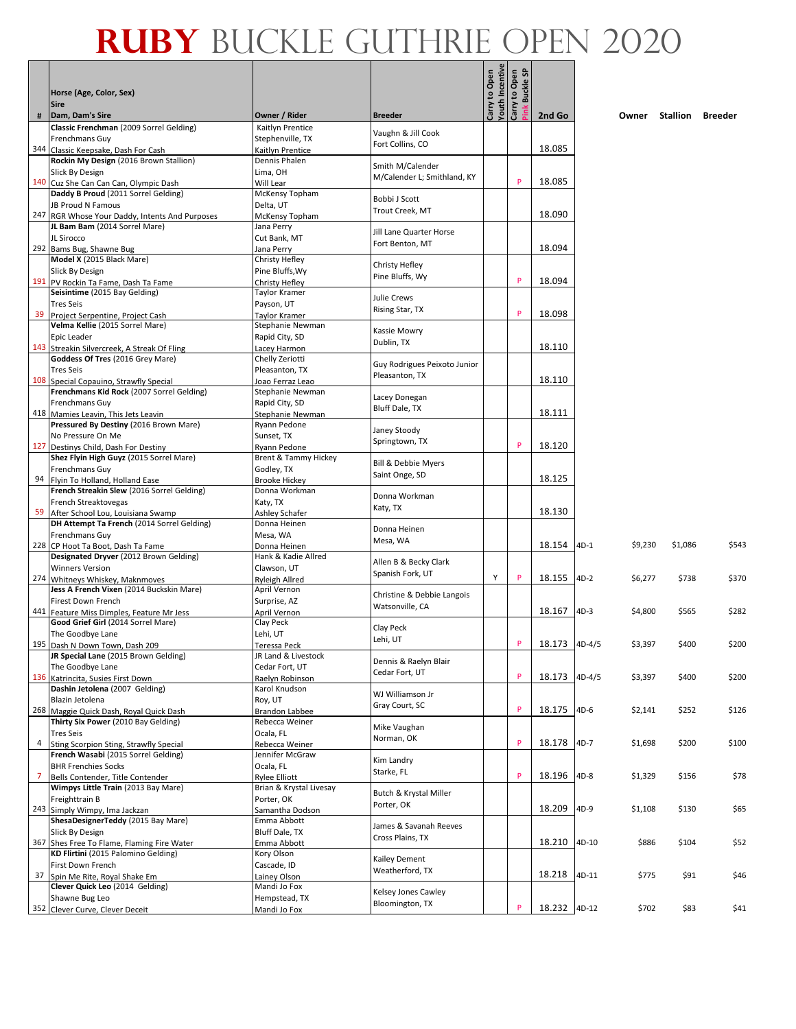Г - 1

|                | Horse (Age, Color, Sex)<br><b>Sire</b>                                          |                                         |                                        | Youth Incentive<br>Carry to Open | Carry to Open<br>န္တ<br><b>Buckle</b> |               |         |         |          |         |
|----------------|---------------------------------------------------------------------------------|-----------------------------------------|----------------------------------------|----------------------------------|---------------------------------------|---------------|---------|---------|----------|---------|
| #              | Dam, Dam's Sire                                                                 | Owner / Rider                           | <b>Breeder</b>                         |                                  |                                       | 2nd Go        |         | Owner   | Stallion | Breeder |
|                | Classic Frenchman (2009 Sorrel Gelding)                                         | Kaitlyn Prentice                        |                                        |                                  |                                       |               |         |         |          |         |
|                | Frenchmans Guy                                                                  | Stephenville, TX                        | Vaughn & Jill Cook<br>Fort Collins, CO |                                  |                                       |               |         |         |          |         |
|                | 344 Classic Keepsake, Dash For Cash                                             | Kaitlyn Prentice                        |                                        |                                  |                                       | 18.085        |         |         |          |         |
|                | Rockin My Design (2016 Brown Stallion)                                          | Dennis Phalen                           | Smith M/Calender                       |                                  |                                       |               |         |         |          |         |
|                | Slick By Design                                                                 | Lima, OH                                | M/Calender L; Smithland, KY            |                                  | P                                     | 18.085        |         |         |          |         |
|                | 140 Cuz She Can Can Can, Olympic Dash<br>Daddy B Proud (2011 Sorrel Gelding)    | Will Lear<br>McKensy Topham             |                                        |                                  |                                       |               |         |         |          |         |
|                | JB Proud N Famous                                                               | Delta, UT                               | Bobbi J Scott                          |                                  |                                       |               |         |         |          |         |
|                | 247 RGR Whose Your Daddy, Intents And Purposes                                  | McKensy Topham                          | Trout Creek, MT                        |                                  |                                       | 18.090        |         |         |          |         |
|                | JL Bam Bam (2014 Sorrel Mare)                                                   | Jana Perry                              | Jill Lane Quarter Horse                |                                  |                                       |               |         |         |          |         |
|                | JL Sirocco                                                                      | Cut Bank, MT                            | Fort Benton, MT                        |                                  |                                       |               |         |         |          |         |
|                | 292 Bams Bug, Shawne Bug                                                        | Jana Perry                              |                                        |                                  |                                       | 18.094        |         |         |          |         |
|                | Model X (2015 Black Mare)                                                       | Christy Hefley                          | Christy Hefley                         |                                  |                                       |               |         |         |          |         |
|                | Slick By Design<br>191 PV Rockin Ta Fame, Dash Ta Fame                          | Pine Bluffs, Wy<br>Christy Hefley       | Pine Bluffs, Wy                        |                                  | P                                     | 18.094        |         |         |          |         |
|                | Seisintime (2015 Bay Gelding)                                                   | Taylor Kramer                           |                                        |                                  |                                       |               |         |         |          |         |
|                | <b>Tres Seis</b>                                                                | Payson, UT                              | Julie Crews                            |                                  |                                       |               |         |         |          |         |
| 39             | Project Serpentine, Project Cash                                                | Taylor Kramer                           | Rising Star, TX                        |                                  | P                                     | 18.098        |         |         |          |         |
|                | Velma Kellie (2015 Sorrel Mare)                                                 | Stephanie Newman                        | Kassie Mowry                           |                                  |                                       |               |         |         |          |         |
|                | Epic Leader                                                                     | Rapid City, SD                          | Dublin, TX                             |                                  |                                       |               |         |         |          |         |
|                | 143 Streakin Silvercreek, A Streak Of Fling<br>Goddess Of Tres (2016 Grey Mare) | Lacey Harmon                            |                                        |                                  |                                       | 18.110        |         |         |          |         |
|                | <b>Tres Seis</b>                                                                | Chelly Zeriotti<br>Pleasanton, TX       | Guy Rodrigues Peixoto Junior           |                                  |                                       |               |         |         |          |         |
|                | 108 Special Copauino, Strawfly Special                                          | Joao Ferraz Leao                        | Pleasanton, TX                         |                                  |                                       | 18.110        |         |         |          |         |
|                | Frenchmans Kid Rock (2007 Sorrel Gelding)                                       | Stephanie Newman                        |                                        |                                  |                                       |               |         |         |          |         |
|                | Frenchmans Guy                                                                  | Rapid City, SD                          | Lacey Donegan                          |                                  |                                       |               |         |         |          |         |
|                | 418 Mamies Leavin, This Jets Leavin                                             | Stephanie Newman                        | <b>Bluff Dale, TX</b>                  |                                  |                                       | 18.111        |         |         |          |         |
|                | Pressured By Destiny (2016 Brown Mare)                                          | Ryann Pedone                            | Janey Stoody                           |                                  |                                       |               |         |         |          |         |
|                | No Pressure On Me                                                               | Sunset, TX                              | Springtown, TX                         |                                  | P                                     |               |         |         |          |         |
|                | 127 Destinys Child, Dash For Destiny<br>Shez Flyin High Guyz (2015 Sorrel Mare) | Ryann Pedone<br>Brent & Tammy Hickey    |                                        |                                  |                                       | 18.120        |         |         |          |         |
|                | Frenchmans Guy                                                                  | Godley, TX                              | Bill & Debbie Myers                    |                                  |                                       |               |         |         |          |         |
|                | 94 Flyin To Holland, Holland Ease                                               | <b>Brooke Hickey</b>                    | Saint Onge, SD                         |                                  |                                       | 18.125        |         |         |          |         |
|                | French Streakin Slew (2016 Sorrel Gelding)                                      | Donna Workman                           |                                        |                                  |                                       |               |         |         |          |         |
|                | French Streaktovegas                                                            | Katy, TX                                | Donna Workman<br>Katy, TX              |                                  |                                       |               |         |         |          |         |
|                | 59 After School Lou, Louisiana Swamp                                            | Ashley Schafer                          |                                        |                                  |                                       | 18.130        |         |         |          |         |
|                | DH Attempt Ta French (2014 Sorrel Gelding)                                      | Donna Heinen                            | Donna Heinen                           |                                  |                                       |               |         |         |          |         |
|                | Frenchmans Guy                                                                  | Mesa, WA                                | Mesa, WA                               |                                  |                                       | 18.154        | $4D-1$  | \$9,230 | \$1,086  | \$543   |
|                | 228 CP Hoot Ta Boot, Dash Ta Fame<br>Designated Dryver (2012 Brown Gelding)     | Donna Heinen<br>Hank & Kadie Allred     |                                        |                                  |                                       |               |         |         |          |         |
|                | <b>Winners Version</b>                                                          | Clawson, UT                             | Allen B & Becky Clark                  |                                  |                                       |               |         |         |          |         |
|                | 274 Whitneys Whiskey, Maknmoves                                                 | Ryleigh Allred                          | Spanish Fork, UT                       | Y                                | P                                     | 18.155        | $4D-2$  | \$6,277 | \$738    | \$370   |
|                | Jess A French Vixen (2014 Buckskin Mare)                                        | April Vernon                            | Christine & Debbie Langois             |                                  |                                       |               |         |         |          |         |
|                | Firest Down French                                                              | Surprise, AZ                            | Watsonville, CA                        |                                  |                                       |               |         |         |          |         |
|                | 441 Feature Miss Dimples, Feature Mr Jess                                       | April Vernon                            |                                        |                                  |                                       | 18.167        | $4D-3$  | \$4,800 | \$565    | \$282   |
|                | Good Grief Girl (2014 Sorrel Mare)                                              | Clay Peck                               | Clay Peck                              |                                  |                                       |               |         |         |          |         |
|                | The Goodbye Lane<br>195 Dash N Down Town, Dash 209                              | Lehi, UT<br><b>Teressa Peck</b>         | Lehi, UT                               |                                  | P                                     | 18.173 4D-4/5 |         | \$3,397 | \$400    | \$200   |
|                | JR Special Lane (2015 Brown Gelding)                                            | JR Land & Livestock                     |                                        |                                  |                                       |               |         |         |          |         |
|                | The Goodbye Lane                                                                | Cedar Fort, UT                          | Dennis & Raelyn Blair                  |                                  |                                       |               |         |         |          |         |
|                | 136 Katrincita, Susies First Down                                               | Raelyn Robinson                         | Cedar Fort, UT                         |                                  | P                                     | 18.173        | 4D-4/5  | \$3,397 | \$400    | \$200   |
|                | Dashin Jetolena (2007 Gelding)                                                  | Karol Knudson                           | WJ Williamson Jr                       |                                  |                                       |               |         |         |          |         |
|                | Blazin Jetolena                                                                 | Roy, UT                                 | Gray Court, SC                         |                                  | P                                     | 18.175        | $4D-6$  |         |          |         |
|                | 268 Maggie Quick Dash, Royal Quick Dash<br>Thirty Six Power (2010 Bay Gelding)  | <b>Brandon Labbee</b><br>Rebecca Weiner |                                        |                                  |                                       |               |         | \$2,141 | \$252    | \$126   |
|                | <b>Tres Seis</b>                                                                | Ocala, FL                               | Mike Vaughan                           |                                  |                                       |               |         |         |          |         |
| 4              | Sting Scorpion Sting, Strawfly Special                                          | Rebecca Weiner                          | Norman, OK                             |                                  | P                                     | 18.178        | $4D-7$  | \$1,698 | \$200    | \$100   |
|                | French Wasabi (2015 Sorrel Gelding)                                             | Jennifer McGraw                         | Kim Landry                             |                                  |                                       |               |         |         |          |         |
|                | <b>BHR Frenchies Socks</b>                                                      | Ocala, FL                               | Starke, FL                             |                                  |                                       |               |         |         |          |         |
| $\overline{7}$ | Bells Contender, Title Contender                                                | <b>Rylee Elliott</b>                    |                                        |                                  | P                                     | 18.196        | $4D-8$  | \$1,329 | \$156    | \$78    |
|                | Wimpys Little Train (2013 Bay Mare)                                             | Brian & Krystal Livesay                 | Butch & Krystal Miller                 |                                  |                                       |               |         |         |          |         |
|                | Freighttrain B<br>243 Simply Wimpy, Ima Jackzan                                 | Porter, OK<br>Samantha Dodson           | Porter, OK                             |                                  |                                       | 18.209        | 4D-9    | \$1,108 | \$130    | \$65    |
|                | ShesaDesignerTeddy (2015 Bay Mare)                                              | Emma Abbott                             |                                        |                                  |                                       |               |         |         |          |         |
|                | Slick By Design                                                                 | Bluff Dale, TX                          | James & Savanah Reeves                 |                                  |                                       |               |         |         |          |         |
|                | 367 Shes Free To Flame, Flaming Fire Water                                      | Emma Abbott                             | Cross Plains, TX                       |                                  |                                       | 18.210        | $4D-10$ | \$886   | \$104    | \$52    |
|                | KD Flirtini (2015 Palomino Gelding)                                             | Kory Olson                              | Kailey Dement                          |                                  |                                       |               |         |         |          |         |
|                | First Down French                                                               | Cascade, ID                             | Weatherford, TX                        |                                  |                                       |               |         |         |          |         |
| 37             | Spin Me Rite, Royal Shake Em                                                    | Lainey Olson                            |                                        |                                  |                                       | 18.218        | 4D-11   | \$775   | \$91     | \$46    |
|                | Clever Quick Leo (2014 Gelding)<br>Shawne Bug Leo                               | Mandi Jo Fox<br>Hempstead, TX           | Kelsey Jones Cawley                    |                                  |                                       |               |         |         |          |         |
|                | 352 Clever Curve, Clever Deceit                                                 | Mandi Jo Fox                            | Bloomington, TX                        |                                  | P                                     | 18.232 4D-12  |         | \$702   | \$83     | \$41    |
|                |                                                                                 |                                         |                                        |                                  |                                       |               |         |         |          |         |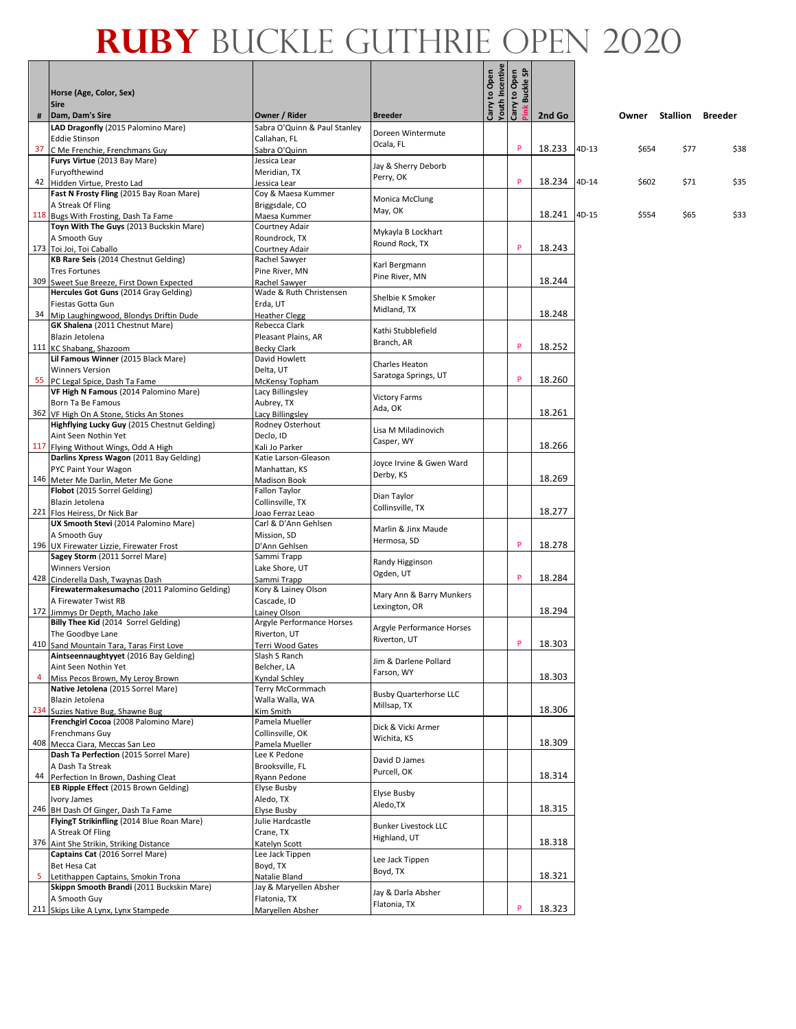|                | Horse (Age, Color, Sex)<br><b>Sire</b>                                            |                                        |                                | Carry to Open | <b>Youth Incentive<br/>Carry to Open<br/>Pink Buckle SP</b> |        |       |       |                         |      |
|----------------|-----------------------------------------------------------------------------------|----------------------------------------|--------------------------------|---------------|-------------------------------------------------------------|--------|-------|-------|-------------------------|------|
| #              | Dam, Dam's Sire                                                                   | Owner / Rider                          | <b>Breeder</b>                 |               |                                                             | 2nd Go |       | Owner | <b>Stallion Breeder</b> |      |
|                | LAD Dragonfly (2015 Palomino Mare)                                                | Sabra O'Quinn & Paul Stanley           |                                |               |                                                             |        |       |       |                         |      |
|                | <b>Eddie Stinson</b>                                                              | Callahan, FL                           | Doreen Wintermute<br>Ocala, FL |               |                                                             |        |       |       |                         |      |
|                | 37 C Me Frenchie, Frenchmans Guy                                                  | Sabra O'Quinn                          |                                |               | P                                                           | 18.233 | 4D-13 | \$654 | \$77                    | \$38 |
|                | Furys Virtue (2013 Bay Mare)                                                      | Jessica Lear                           | Jay & Sherry Deborb            |               |                                                             |        |       |       |                         |      |
|                | Furyofthewind                                                                     | Meridian, TX                           | Perry, OK                      |               |                                                             |        |       |       |                         |      |
|                | 42 Hidden Virtue, Presto Lad                                                      | Jessica Lear                           |                                |               | P                                                           | 18.234 | 4D-14 | \$602 | \$71                    | \$35 |
|                | Fast N Frosty Fling (2015 Bay Roan Mare)<br>A Streak Of Fling                     | Coy & Maesa Kummer                     | Monica McClung                 |               |                                                             |        |       |       |                         |      |
|                | 118 Bugs With Frosting, Dash Ta Fame                                              | Briggsdale, CO<br>Maesa Kummer         | May, OK                        |               |                                                             | 18.241 | 4D-15 | \$554 | \$65                    | \$33 |
|                | Toyn With The Guys (2013 Buckskin Mare)                                           | <b>Courtney Adair</b>                  |                                |               |                                                             |        |       |       |                         |      |
|                | A Smooth Guy                                                                      | Roundrock, TX                          | Mykayla B Lockhart             |               |                                                             |        |       |       |                         |      |
|                | 173 Toi Joi, Toi Caballo                                                          | Courtney Adair                         | Round Rock, TX                 |               | P                                                           | 18.243 |       |       |                         |      |
|                | KB Rare Seis (2014 Chestnut Gelding)                                              | Rachel Sawyer                          |                                |               |                                                             |        |       |       |                         |      |
|                | <b>Tres Fortunes</b>                                                              | Pine River, MN                         | Karl Bergmann                  |               |                                                             |        |       |       |                         |      |
|                | 309 Sweet Sue Breeze, First Down Expected                                         | Rachel Sawyer                          | Pine River, MN                 |               |                                                             | 18.244 |       |       |                         |      |
|                | Hercules Got Guns (2014 Gray Gelding)                                             | Wade & Ruth Christensen                | Shelbie K Smoker               |               |                                                             |        |       |       |                         |      |
|                | Fiestas Gotta Gun                                                                 | Erda, UT                               | Midland, TX                    |               |                                                             |        |       |       |                         |      |
|                | 34 Mip Laughingwood, Blondys Driftin Dude                                         | <b>Heather Clegg</b>                   |                                |               |                                                             | 18.248 |       |       |                         |      |
|                | GK Shalena (2011 Chestnut Mare)                                                   | Rebecca Clark                          | Kathi Stubblefield             |               |                                                             |        |       |       |                         |      |
|                | Blazin Jetolena                                                                   | Pleasant Plains, AR                    | Branch, AR                     |               |                                                             |        |       |       |                         |      |
|                | 111 KC Shabang, Shazoom                                                           | <b>Becky Clark</b>                     |                                |               | P                                                           | 18.252 |       |       |                         |      |
|                | Lil Famous Winner (2015 Black Mare)                                               | David Howlett                          | Charles Heaton                 |               |                                                             |        |       |       |                         |      |
|                | <b>Winners Version</b>                                                            | Delta, UT                              | Saratoga Springs, UT           |               | P                                                           | 18.260 |       |       |                         |      |
|                | 55 PC Legal Spice, Dash Ta Fame<br>VF High N Famous (2014 Palomino Mare)          | McKensy Topham                         |                                |               |                                                             |        |       |       |                         |      |
|                | Born Ta Be Famous                                                                 | Lacy Billingsley<br>Aubrey, TX         | <b>Victory Farms</b>           |               |                                                             |        |       |       |                         |      |
|                | 362 VF High On A Stone, Sticks An Stones                                          | Lacy Billingsley                       | Ada, OK                        |               |                                                             | 18.261 |       |       |                         |      |
|                | Highflying Lucky Guy (2015 Chestnut Gelding)                                      | Rodney Osterhout                       |                                |               |                                                             |        |       |       |                         |      |
|                | Aint Seen Nothin Yet                                                              | Declo, ID                              | Lisa M Miladinovich            |               |                                                             |        |       |       |                         |      |
|                | 117 Flying Without Wings, Odd A High                                              | Kali Jo Parker                         | Casper, WY                     |               |                                                             | 18.266 |       |       |                         |      |
|                | Darlins Xpress Wagon (2011 Bay Gelding)                                           | Katie Larson-Gleason                   |                                |               |                                                             |        |       |       |                         |      |
|                | PYC Paint Your Wagon                                                              | Manhattan, KS                          | Joyce Irvine & Gwen Ward       |               |                                                             |        |       |       |                         |      |
|                | 146 Meter Me Darlin, Meter Me Gone                                                | <b>Madison Book</b>                    | Derby, KS                      |               |                                                             | 18.269 |       |       |                         |      |
|                | Flobot (2015 Sorrel Gelding)                                                      | Fallon Taylor                          | Dian Taylor                    |               |                                                             |        |       |       |                         |      |
|                | Blazin Jetolena                                                                   | Collinsville, TX                       | Collinsville, TX               |               |                                                             |        |       |       |                         |      |
|                | 221 Flos Heiress, Dr Nick Bar                                                     | Joao Ferraz Leao                       |                                |               |                                                             | 18.277 |       |       |                         |      |
|                | UX Smooth Stevi (2014 Palomino Mare)                                              | Carl & D'Ann Gehlsen                   | Marlin & Jinx Maude            |               |                                                             |        |       |       |                         |      |
|                | A Smooth Guy                                                                      | Mission, SD                            | Hermosa, SD                    |               | P                                                           | 18.278 |       |       |                         |      |
|                | 196 UX Firewater Lizzie, Firewater Frost<br>Sagey Storm (2011 Sorrel Mare)        | D'Ann Gehlsen<br>Sammi Trapp           |                                |               |                                                             |        |       |       |                         |      |
|                | <b>Winners Version</b>                                                            | Lake Shore, UT                         | Randy Higginson                |               |                                                             |        |       |       |                         |      |
|                | 428 Cinderella Dash, Twaynas Dash                                                 | Sammi Trapp                            | Ogden, UT                      |               | P                                                           | 18.284 |       |       |                         |      |
|                | Firewatermakesumacho (2011 Palomino Gelding)                                      | Kory & Lainey Olson                    |                                |               |                                                             |        |       |       |                         |      |
|                | A Firewater Twist RB                                                              | Cascade, ID                            | Mary Ann & Barry Munkers       |               |                                                             |        |       |       |                         |      |
|                | 172 Jimmys Dr Depth, Macho Jake                                                   | Lainey Olson                           | Lexington, OR                  |               |                                                             | 18.294 |       |       |                         |      |
|                | Billy Thee Kid (2014 Sorrel Gelding)                                              | Argyle Performance Horses              | Argyle Performance Horses      |               |                                                             |        |       |       |                         |      |
|                | The Goodbye Lane                                                                  | Riverton, UT                           | Riverton, UT                   |               |                                                             |        |       |       |                         |      |
|                | 410 Sand Mountain Tara, Taras First Love                                          | Terri Wood Gates                       |                                |               | P                                                           | 18.303 |       |       |                         |      |
|                | Aintseennaughtyyet (2016 Bay Gelding)                                             | Slash S Ranch                          | Jim & Darlene Pollard          |               |                                                             |        |       |       |                         |      |
|                | Aint Seen Nothin Yet                                                              | Belcher, LA                            | Farson, WY                     |               |                                                             |        |       |       |                         |      |
| $\overline{4}$ | Miss Pecos Brown, My Leroy Brown<br>Native Jetolena (2015 Sorrel Mare)            | Kyndal Schley<br>Terry McCormmach      |                                |               |                                                             | 18.303 |       |       |                         |      |
|                | Blazin Jetolena                                                                   | Walla Walla, WA                        | <b>Busby Quarterhorse LLC</b>  |               |                                                             |        |       |       |                         |      |
|                | 234 Suzies Native Bug, Shawne Bug                                                 | Kim Smith                              | Millsap, TX                    |               |                                                             | 18.306 |       |       |                         |      |
|                | Frenchgirl Cocoa (2008 Palomino Mare)                                             | Pamela Mueller                         |                                |               |                                                             |        |       |       |                         |      |
|                | Frenchmans Guy                                                                    | Collinsville, OK                       | Dick & Vicki Armer             |               |                                                             |        |       |       |                         |      |
|                | 408 Mecca Ciara, Meccas San Leo                                                   | Pamela Mueller                         | Wichita, KS                    |               |                                                             | 18.309 |       |       |                         |      |
|                | Dash Ta Perfection (2015 Sorrel Mare)                                             | Lee K Pedone                           |                                |               |                                                             |        |       |       |                         |      |
|                | A Dash Ta Streak                                                                  | Brooksville, FL                        | David D James                  |               |                                                             |        |       |       |                         |      |
|                | 44 Perfection In Brown, Dashing Cleat                                             | Ryann Pedone                           | Purcell, OK                    |               |                                                             | 18.314 |       |       |                         |      |
|                | EB Ripple Effect (2015 Brown Gelding)                                             | Elyse Busby                            | Elyse Busby                    |               |                                                             |        |       |       |                         |      |
|                | <b>Ivory James</b>                                                                | Aledo, TX                              | Aledo, TX                      |               |                                                             |        |       |       |                         |      |
|                | 246 BH Dash Of Ginger, Dash Ta Fame                                               | Elyse Busby                            |                                |               |                                                             | 18.315 |       |       |                         |      |
|                | FlyingT Strikinfling (2014 Blue Roan Mare)                                        | Julie Hardcastle                       | <b>Bunker Livestock LLC</b>    |               |                                                             |        |       |       |                         |      |
|                | A Streak Of Fling                                                                 | Crane, TX                              | Highland, UT                   |               |                                                             |        |       |       |                         |      |
|                | 376 Aint She Strikin, Striking Distance                                           | Katelyn Scott                          |                                |               |                                                             | 18.318 |       |       |                         |      |
|                | Captains Cat (2016 Sorrel Mare)                                                   | Lee Jack Tippen                        | Lee Jack Tippen                |               |                                                             |        |       |       |                         |      |
|                | Bet Hesa Cat                                                                      | Boyd, TX                               | Boyd, TX                       |               |                                                             |        |       |       |                         |      |
|                | 5 Letithappen Captains, Smokin Trona<br>Skippn Smooth Brandi (2011 Buckskin Mare) | Natalie Bland                          |                                |               |                                                             | 18.321 |       |       |                         |      |
|                | A Smooth Guy                                                                      | Jay & Maryellen Absher<br>Flatonia, TX | Jay & Darla Absher             |               |                                                             |        |       |       |                         |      |
|                | 211 Skips Like A Lynx, Lynx Stampede                                              | Maryellen Absher                       | Flatonia, TX                   |               | P                                                           | 18.323 |       |       |                         |      |
|                |                                                                                   |                                        |                                |               |                                                             |        |       |       |                         |      |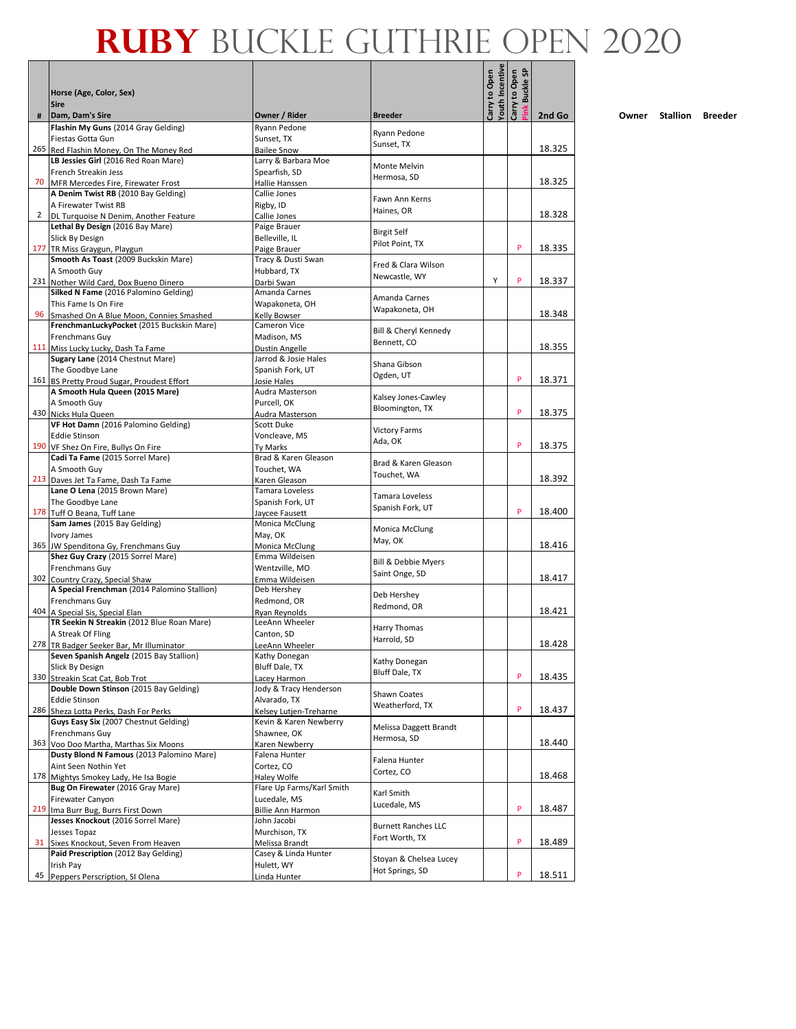#### **Pink Buckle SPIN Ruby** Buckle Guthrie OPEN 2020

|              | Horse (Age, Color, Sex)<br><b>Sire</b>                                          |                                           |                            | Youth Incentive<br>Carry to Open | <b>Buckle SP</b><br>Carry to Open |        |
|--------------|---------------------------------------------------------------------------------|-------------------------------------------|----------------------------|----------------------------------|-----------------------------------|--------|
| #            | Dam, Dam's Sire                                                                 | Owner / Rider                             | <b>Breeder</b>             |                                  | ink                               | 2nd Go |
|              | Flashin My Guns (2014 Gray Gelding)                                             | Ryann Pedone                              | Ryann Pedone               |                                  |                                   |        |
|              | Fiestas Gotta Gun                                                               | Sunset, TX                                | Sunset, TX                 |                                  |                                   |        |
|              | 265 Red Flashin Money, On The Money Red                                         | <b>Bailee Snow</b>                        |                            |                                  |                                   | 18.325 |
|              | LB Jessies Girl (2016 Red Roan Mare)<br>French Streakin Jess                    | Larry & Barbara Moe<br>Spearfish, SD      | Monte Melvin               |                                  |                                   |        |
|              | 70 MFR Mercedes Fire, Firewater Frost                                           | Hallie Hanssen                            | Hermosa, SD                |                                  |                                   | 18.325 |
|              | A Denim Twist RB (2010 Bay Gelding)                                             | Callie Jones                              |                            |                                  |                                   |        |
|              | A Firewater Twist RB                                                            | Rigby, ID                                 | Fawn Ann Kerns             |                                  |                                   |        |
| $\mathbf{2}$ | DL Turquoise N Denim, Another Feature                                           | Callie Jones                              | Haines, OR                 |                                  |                                   | 18.328 |
|              | Lethal By Design (2016 Bay Mare)                                                | Paige Brauer                              | <b>Birgit Self</b>         |                                  |                                   |        |
|              | Slick By Design                                                                 | Belleville, IL                            | Pilot Point, TX            |                                  |                                   |        |
|              | 177 TR Miss Graygun, Playgun                                                    | Paige Brauer                              |                            |                                  | P                                 | 18.335 |
|              | Smooth As Toast (2009 Buckskin Mare)                                            | Tracy & Dusti Swan                        | Fred & Clara Wilson        |                                  |                                   |        |
|              | A Smooth Guy                                                                    | Hubbard, TX                               | Newcastle, WY              | Υ                                | P                                 |        |
|              | 231 Nother Wild Card, Dox Bueno Dinero<br>Silked N Fame (2016 Palomino Gelding) | Darbi Swan<br>Amanda Carnes               |                            |                                  |                                   | 18.337 |
|              | This Fame Is On Fire                                                            | Wapakoneta, OH                            | Amanda Carnes              |                                  |                                   |        |
| 96           | Smashed On A Blue Moon, Connies Smashed                                         | Kelly Bowser                              | Wapakoneta, OH             |                                  |                                   | 18.348 |
|              | FrenchmanLuckyPocket (2015 Buckskin Mare)                                       | Cameron Vice                              |                            |                                  |                                   |        |
|              | Frenchmans Guy                                                                  | Madison, MS                               | Bill & Cheryl Kennedy      |                                  |                                   |        |
|              | 111 Miss Lucky Lucky, Dash Ta Fame                                              | Dustin Angelle                            | Bennett, CO                |                                  |                                   | 18.355 |
|              | Sugary Lane (2014 Chestnut Mare)                                                | Jarrod & Josie Hales                      | Shana Gibson               |                                  |                                   |        |
|              | The Goodbye Lane                                                                | Spanish Fork, UT                          | Ogden, UT                  |                                  |                                   |        |
|              | 161 BS Pretty Proud Sugar, Proudest Effort                                      | Josie Hales                               |                            |                                  | P                                 | 18.371 |
|              | A Smooth Hula Queen (2015 Mare)                                                 | Audra Masterson                           | Kalsey Jones-Cawley        |                                  |                                   |        |
|              | A Smooth Guy                                                                    | Purcell, OK                               | Bloomington, TX            |                                  | P                                 |        |
|              | 430 Nicks Hula Queen<br>VF Hot Damn (2016 Palomino Gelding)                     | Audra Masterson<br>Scott Duke             |                            |                                  |                                   | 18.375 |
|              | <b>Eddie Stinson</b>                                                            | Voncleave, MS                             | <b>Victory Farms</b>       |                                  |                                   |        |
|              | 190 VF Shez On Fire, Bullys On Fire                                             | Ty Marks                                  | Ada, OK                    |                                  | P                                 | 18.375 |
|              | Cadi Ta Fame (2015 Sorrel Mare)                                                 | Brad & Karen Gleason                      |                            |                                  |                                   |        |
|              | A Smooth Guy                                                                    | Touchet, WA                               | Brad & Karen Gleason       |                                  |                                   |        |
|              | 213 Daves Jet Ta Fame, Dash Ta Fame                                             | Karen Gleason                             | Touchet, WA                |                                  |                                   | 18.392 |
|              | Lane O Lena (2015 Brown Mare)                                                   | Tamara Loveless                           | Tamara Loveless            |                                  |                                   |        |
|              | The Goodbye Lane                                                                | Spanish Fork, UT                          | Spanish Fork, UT           |                                  |                                   |        |
|              | 178 Tuff O Beana, Tuff Lane                                                     | Jaycee Fausett                            |                            |                                  | P                                 | 18.400 |
|              | Sam James (2015 Bay Gelding)                                                    | Monica McClung                            | Monica McClung             |                                  |                                   |        |
|              | Ivory James<br>365 JW Spenditona Gy, Frenchmans Guy                             | May, OK                                   | May, OK                    |                                  |                                   | 18.416 |
|              | Shez Guy Crazy (2015 Sorrel Mare)                                               | Monica McClung<br>Emma Wildeisen          |                            |                                  |                                   |        |
|              | Frenchmans Guy                                                                  | Wentzville, MO                            | Bill & Debbie Myers        |                                  |                                   |        |
|              | 302 Country Crazy, Special Shaw                                                 | Emma Wildeisen                            | Saint Onge, SD             |                                  |                                   | 18.417 |
|              | A Special Frenchman (2014 Palomino Stallion)                                    | Deb Hershey                               |                            |                                  |                                   |        |
|              | Frenchmans Guy                                                                  | Redmond, OR                               | Deb Hershey                |                                  |                                   |        |
|              | 404 A Special Sis, Special Elan                                                 | Ryan Reynolds                             | Redmond, OR                |                                  |                                   | 18.421 |
|              | TR Seekin N Streakin (2012 Blue Roan Mare)                                      | LeeAnn Wheeler                            | Harry Thomas               |                                  |                                   |        |
|              | A Streak Of Fling                                                               | Canton, SD                                | Harrold, SD                |                                  |                                   |        |
|              | 278 TR Badger Seeker Bar, Mr Illuminator                                        | LeeAnn Wheeler                            |                            |                                  |                                   | 18.428 |
|              | Seven Spanish Angelz (2015 Bay Stallion)<br>Slick By Design                     | Kathy Donegan<br>Bluff Dale, TX           | Kathy Donegan              |                                  |                                   |        |
|              | 330 Streakin Scat Cat, Bob Trot                                                 | Lacey Harmon                              | Bluff Dale, TX             |                                  | P                                 | 18.435 |
|              | Double Down Stinson (2015 Bay Gelding)                                          | Jody & Tracy Henderson                    |                            |                                  |                                   |        |
|              | <b>Eddie Stinson</b>                                                            | Alvarado, TX                              | Shawn Coates               |                                  |                                   |        |
|              | 286 Sheza Lotta Perks, Dash For Perks                                           | Kelsey Lutjen-Treharne                    | Weatherford, TX            |                                  | P                                 | 18.437 |
|              | Guys Easy Six (2007 Chestnut Gelding)                                           | Kevin & Karen Newberry                    | Melissa Daggett Brandt     |                                  |                                   |        |
|              | Frenchmans Guy                                                                  | Shawnee, OK                               | Hermosa, SD                |                                  |                                   |        |
|              | 363 Voo Doo Martha, Marthas Six Moons                                           | Karen Newberry                            |                            |                                  |                                   | 18.440 |
|              | Dusty Blond N Famous (2013 Palomino Mare)                                       | Falena Hunter                             | Falena Hunter              |                                  |                                   |        |
|              | Aint Seen Nothin Yet                                                            | Cortez, CO                                | Cortez, CO                 |                                  |                                   |        |
|              | 178 Mightys Smokey Lady, He Isa Bogie                                           | Haley Wolfe                               |                            |                                  |                                   | 18.468 |
|              | Bug On Firewater (2016 Gray Mare)<br>Firewater Canyon                           | Flare Up Farms/Karl Smith<br>Lucedale, MS | Karl Smith                 |                                  |                                   |        |
|              | 219 Ima Burr Bug, Burrs First Down                                              | <b>Billie Ann Harmon</b>                  | Lucedale, MS               |                                  | P                                 | 18.487 |
|              | Jesses Knockout (2016 Sorrel Mare)                                              | John Jacobi                               |                            |                                  |                                   |        |
|              | Jesses Topaz                                                                    | Murchison, TX                             | <b>Burnett Ranches LLC</b> |                                  |                                   |        |
| 31           | Sixes Knockout, Seven From Heaven                                               | Melissa Brandt                            | Fort Worth, TX             |                                  | P                                 | 18.489 |
|              | Paid Prescription (2012 Bay Gelding)                                            | Casey & Linda Hunter                      | Stoyan & Chelsea Lucey     |                                  |                                   |        |
|              | Irish Pay                                                                       | Hulett, WY                                | Hot Springs, SD            |                                  |                                   |        |
| 45           | Peppers Perscription, SI Olena                                                  | Linda Hunter                              |                            |                                  | P                                 | 18.511 |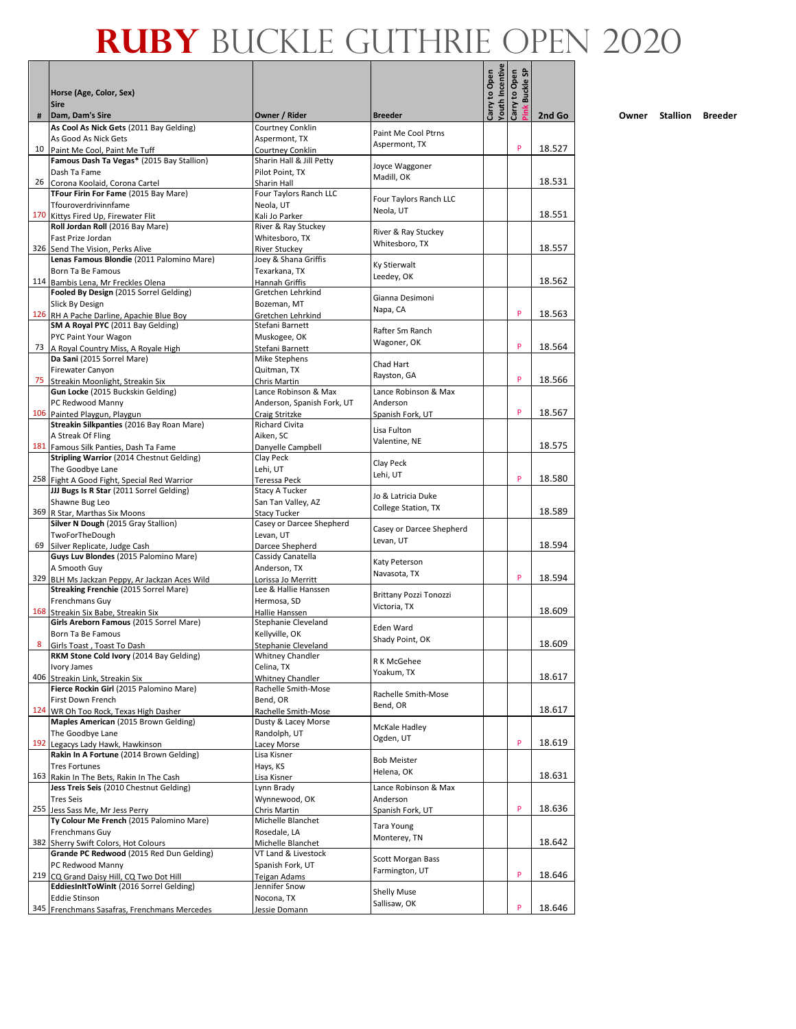|     |                                                                                     |                                       |                                |                                  | <b>G</b>                       |        |
|-----|-------------------------------------------------------------------------------------|---------------------------------------|--------------------------------|----------------------------------|--------------------------------|--------|
|     | Horse (Age, Color, Sex)<br><b>Sire</b>                                              |                                       |                                | Carry to Open<br>Youth Incentive | Carry to Open<br><b>Buckle</b> |        |
| #   | Dam, Dam's Sire                                                                     | Owner / Rider                         | <b>Breeder</b>                 |                                  |                                | 2nd Go |
|     | As Cool As Nick Gets (2011 Bay Gelding)<br>As Good As Nick Gets                     | Courtney Conklin<br>Aspermont, TX     | Paint Me Cool Ptrns            |                                  |                                |        |
| 10  | Paint Me Cool, Paint Me Tuff                                                        | <b>Courtney Conklin</b>               | Aspermont, TX                  |                                  | P                              | 18.527 |
|     | Famous Dash Ta Vegas* (2015 Bay Stallion)                                           | Sharin Hall & Jill Petty              |                                |                                  |                                |        |
|     | Dash Ta Fame                                                                        | Pilot Point, TX                       | Joyce Waggoner<br>Madill, OK   |                                  |                                |        |
|     | 26 Corona Koolaid, Corona Cartel                                                    | Sharin Hall                           |                                |                                  |                                | 18.531 |
|     | TFour Firin For Fame (2015 Bay Mare)                                                | Four Taylors Ranch LLC                | Four Taylors Ranch LLC         |                                  |                                |        |
|     | Tfouroverdrivinnfame<br>170 Kittys Fired Up, Firewater Flit                         | Neola, UT<br>Kali Jo Parker           | Neola, UT                      |                                  |                                | 18.551 |
|     | Roll Jordan Roll (2016 Bay Mare)                                                    | River & Ray Stuckey                   |                                |                                  |                                |        |
|     | Fast Prize Jordan                                                                   | Whitesboro, TX                        | River & Ray Stuckey            |                                  |                                |        |
|     | 326 Send The Vision, Perks Alive                                                    | <b>River Stuckey</b>                  | Whitesboro, TX                 |                                  |                                | 18.557 |
|     | Lenas Famous Blondie (2011 Palomino Mare)                                           | Joey & Shana Griffis                  | Ky Stierwalt                   |                                  |                                |        |
|     | Born Ta Be Famous                                                                   | Texarkana, TX                         | Leedey, OK                     |                                  |                                |        |
|     | 114 Bambis Lena, Mr Freckles Olena<br>Fooled By Design (2015 Sorrel Gelding)        | Hannah Griffis<br>Gretchen Lehrkind   |                                |                                  |                                | 18.562 |
|     | Slick By Design                                                                     | Bozeman, MT                           | Gianna Desimoni                |                                  |                                |        |
|     | 126 RH A Pache Darline, Apachie Blue Boy                                            | Gretchen Lehrkind                     | Napa, CA                       |                                  | P                              | 18.563 |
|     | SM A Royal PYC (2011 Bay Gelding)                                                   | Stefani Barnett                       |                                |                                  |                                |        |
|     | PYC Paint Your Wagon                                                                | Muskogee, OK                          | Rafter Sm Ranch<br>Wagoner, OK |                                  |                                |        |
|     | 73   A Royal Country Miss, A Royale High                                            | Stefani Barnett                       |                                |                                  | P                              | 18.564 |
|     | Da Sani (2015 Sorrel Mare)                                                          | Mike Stephens                         | Chad Hart                      |                                  |                                |        |
| 75  | Firewater Canyon                                                                    | Quitman, TX                           | Rayston, GA                    |                                  | P                              | 18.566 |
|     | Streakin Moonlight, Streakin Six<br>Gun Locke (2015 Buckskin Gelding)               | Chris Martin<br>Lance Robinson & Max  | Lance Robinson & Max           |                                  |                                |        |
|     | PC Redwood Manny                                                                    | Anderson, Spanish Fork, UT            | Anderson                       |                                  |                                |        |
|     | 106 Painted Playgun, Playgun                                                        | Craig Stritzke                        | Spanish Fork, UT               |                                  | P                              | 18.567 |
|     | Streakin Silkpanties (2016 Bay Roan Mare)                                           | Richard Civita                        | Lisa Fulton                    |                                  |                                |        |
|     | A Streak Of Fling                                                                   | Aiken, SC                             | Valentine, NE                  |                                  |                                |        |
|     | 181 Famous Silk Panties, Dash Ta Fame                                               | Danyelle Campbell                     |                                |                                  |                                | 18.575 |
|     | Stripling Warrior (2014 Chestnut Gelding)                                           | Clay Peck                             | Clay Peck                      |                                  |                                |        |
|     | The Goodbye Lane<br>258 Fight A Good Fight, Special Red Warrior                     | Lehi, UT<br>Teressa Peck              | Lehi, UT                       |                                  | P                              | 18.580 |
|     | JJJ Bugs Is R Star (2011 Sorrel Gelding)                                            | Stacy A Tucker                        |                                |                                  |                                |        |
|     | Shawne Bug Leo                                                                      | San Tan Valley, AZ                    | Jo & Latricia Duke             |                                  |                                |        |
|     | 369 R Star, Marthas Six Moons                                                       | <b>Stacy Tucker</b>                   | College Station, TX            |                                  |                                | 18.589 |
|     | Silver N Dough (2015 Gray Stallion)                                                 | Casey or Darcee Shepherd              | Casey or Darcee Shepherd       |                                  |                                |        |
| 69  | TwoForTheDough                                                                      | Levan, UT                             | Levan, UT                      |                                  |                                | 18.594 |
|     | Silver Replicate, Judge Cash<br>Guys Luv Blondes (2015 Palomino Mare)               | Darcee Shepherd<br>Cassidy Canatella  |                                |                                  |                                |        |
|     | A Smooth Guy                                                                        | Anderson, TX                          | Katy Peterson                  |                                  |                                |        |
| 329 | BLH Ms Jackzan Peppy, Ar Jackzan Aces Wild                                          | Lorissa Jo Merritt                    | Navasota, TX                   |                                  | P                              | 18.594 |
|     | Streaking Frenchie (2015 Sorrel Mare)                                               | Lee & Hallie Hanssen                  | <b>Brittany Pozzi Tonozzi</b>  |                                  |                                |        |
|     | Frenchmans Guy                                                                      | Hermosa, SD                           | Victoria, TX                   |                                  |                                |        |
|     | 168 Streakin Six Babe, Streakin Six<br>Girls Areborn Famous (2015 Sorrel Mare)      | Hallie Hanssen<br>Stephanie Cleveland |                                |                                  |                                | 18.609 |
|     | Born Ta Be Famous                                                                   | Kellyville, OK                        | Eden Ward                      |                                  |                                |        |
| 8   | Girls Toast, Toast To Dash                                                          | Stephanie Cleveland                   | Shady Point, OK                |                                  |                                | 18.609 |
|     | RKM Stone Cold Ivory (2014 Bay Gelding)                                             | Whitney Chandler                      |                                |                                  |                                |        |
|     | Ivory James                                                                         | Celina, TX                            | R K McGehee<br>Yoakum, TX      |                                  |                                |        |
|     | 406 Streakin Link, Streakin Six                                                     | Whitney Chandler                      |                                |                                  |                                | 18.617 |
|     | Fierce Rockin Girl (2015 Palomino Mare)                                             | Rachelle Smith-Mose                   | Rachelle Smith-Mose            |                                  |                                |        |
|     | First Down French<br>124 WR Oh Too Rock, Texas High Dasher                          | Bend, OR<br>Rachelle Smith-Mose       | Bend, OR                       |                                  |                                | 18.617 |
|     | Maples American (2015 Brown Gelding)                                                | Dusty & Lacey Morse                   |                                |                                  |                                |        |
|     | The Goodbye Lane                                                                    | Randolph, UT                          | McKale Hadley                  |                                  |                                |        |
|     | 192 Legacys Lady Hawk, Hawkinson                                                    | Lacey Morse                           | Ogden, UT                      |                                  | P                              | 18.619 |
|     | Rakin In A Fortune (2014 Brown Gelding)                                             | Lisa Kisner                           | <b>Bob Meister</b>             |                                  |                                |        |
|     | <b>Tres Fortunes</b>                                                                | Hays, KS                              | Helena, OK                     |                                  |                                | 18.631 |
|     | 163 Rakin In The Bets, Rakin In The Cash<br>Jess Treis Seis (2010 Chestnut Gelding) | Lisa Kisner<br>Lynn Brady             | Lance Robinson & Max           |                                  |                                |        |
|     | <b>Tres Seis</b>                                                                    | Wynnewood, OK                         | Anderson                       |                                  |                                |        |
|     | 255 Jess Sass Me, Mr Jess Perry                                                     | Chris Martin                          | Spanish Fork, UT               |                                  | P                              | 18.636 |
|     | Ty Colour Me French (2015 Palomino Mare)                                            | Michelle Blanchet                     |                                |                                  |                                |        |
|     | Frenchmans Guy                                                                      | Rosedale, LA                          | Tara Young<br>Monterey, TN     |                                  |                                |        |
|     | 382 Sherry Swift Colors, Hot Colours                                                | Michelle Blanchet                     |                                |                                  |                                | 18.642 |
|     | Grande PC Redwood (2015 Red Dun Gelding)                                            | VT Land & Livestock                   | <b>Scott Morgan Bass</b>       |                                  |                                |        |
|     | PC Redwood Manny<br>219 CQ Grand Daisy Hill, CQ Two Dot Hill                        | Spanish Fork, UT<br>Teigan Adams      | Farmington, UT                 |                                  | P                              | 18.646 |
|     | EddiesInItToWinIt (2016 Sorrel Gelding)                                             | Jennifer Snow                         |                                |                                  |                                |        |
|     | <b>Eddie Stinson</b>                                                                | Nocona, TX                            | <b>Shelly Muse</b>             |                                  |                                |        |
|     | 345 Frenchmans Sasafras, Frenchmans Mercedes                                        | Jessie Domann                         | Sallisaw, OK                   |                                  | P                              | 18.646 |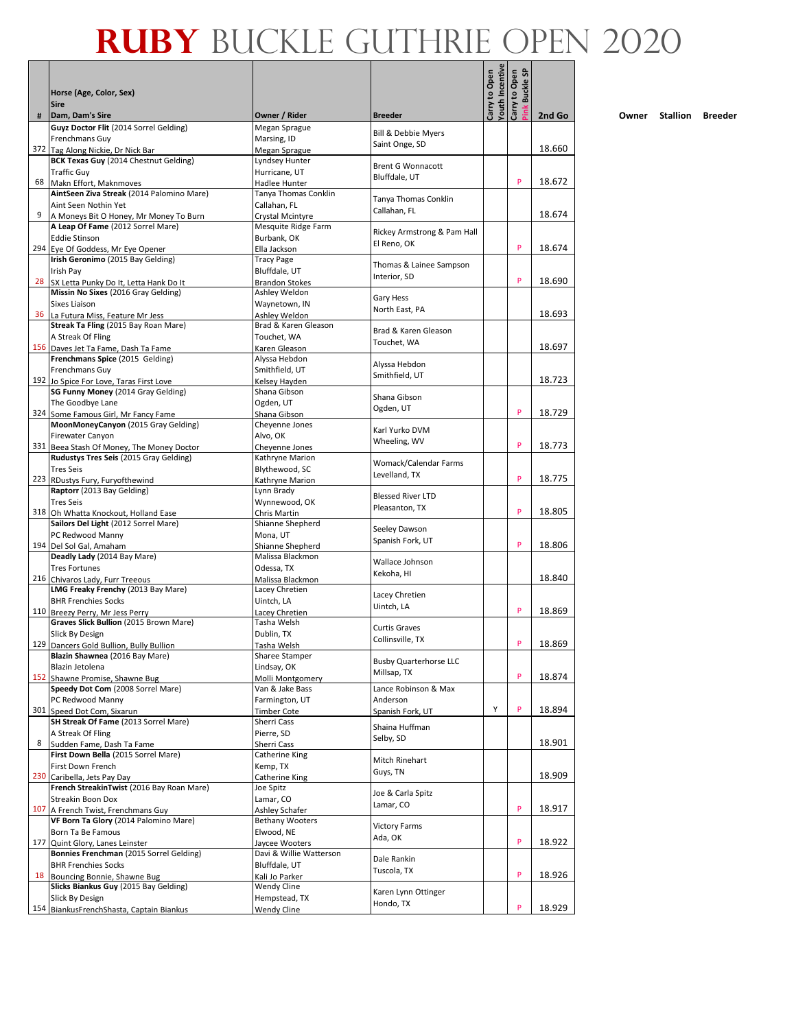|     | Horse (Age, Color, Sex)                                                     |                                       |                                                  | <b>Youth Incentive</b><br>Carry to Open | <b>G</b><br>Carry to Open<br>Buckle ! |        |
|-----|-----------------------------------------------------------------------------|---------------------------------------|--------------------------------------------------|-----------------------------------------|---------------------------------------|--------|
|     | <b>Sire</b>                                                                 |                                       |                                                  |                                         |                                       |        |
| #   | Dam, Dam's Sire<br>Guyz Doctor Flit (2014 Sorrel Gelding)                   | Owner / Rider<br>Megan Sprague        | <b>Breeder</b>                                   |                                         |                                       | 2nd Go |
|     | Frenchmans Guy                                                              | Marsing, ID                           | <b>Bill &amp; Debbie Myers</b><br>Saint Onge, SD |                                         |                                       |        |
|     | 372 Tag Along Nickie, Dr Nick Bar                                           | Megan Sprague                         |                                                  |                                         |                                       | 18.660 |
|     | <b>BCK Texas Guy (2014 Chestnut Gelding)</b><br><b>Traffic Guy</b>          | Lyndsey Hunter<br>Hurricane, UT       | <b>Brent G Wonnacott</b>                         |                                         |                                       |        |
|     | 68 Makn Effort, Maknmoves                                                   | Hadlee Hunter                         | Bluffdale, UT                                    |                                         | P                                     | 18.672 |
|     | AintSeen Ziva Streak (2014 Palomino Mare)                                   | Tanya Thomas Conklin                  | Tanya Thomas Conklin                             |                                         |                                       |        |
| 9   | Aint Seen Nothin Yet                                                        | Callahan, FL<br>Crystal Mcintyre      | Callahan, FL                                     |                                         |                                       | 18.674 |
|     | A Moneys Bit O Honey, Mr Money To Burn<br>A Leap Of Fame (2012 Sorrel Mare) | Mesquite Ridge Farm                   |                                                  |                                         |                                       |        |
|     | <b>Eddie Stinson</b>                                                        | Burbank, OK                           | Rickey Armstrong & Pam Hall<br>El Reno, OK       |                                         |                                       |        |
|     | 294 Eye Of Goddess, Mr Eye Opener                                           | Ella Jackson                          |                                                  |                                         | P                                     | 18.674 |
|     | Irish Geronimo (2015 Bay Gelding)<br>Irish Pay                              | <b>Tracy Page</b><br>Bluffdale, UT    | Thomas & Lainee Sampson                          |                                         |                                       |        |
| 28  | SX Letta Punky Do It, Letta Hank Do It                                      | <b>Brandon Stokes</b>                 | Interior, SD                                     |                                         | P                                     | 18.690 |
|     | Missin No Sixes (2016 Gray Gelding)                                         | Ashley Weldon                         | Gary Hess                                        |                                         |                                       |        |
|     | Sixes Liaison                                                               | Waynetown, IN                         | North East, PA                                   |                                         |                                       |        |
| 36  | La Futura Miss, Feature Mr Jess<br>Streak Ta Fling (2015 Bay Roan Mare)     | Ashley Weldon<br>Brad & Karen Gleason |                                                  |                                         |                                       | 18.693 |
|     | A Streak Of Fling                                                           | Touchet, WA                           | Brad & Karen Gleason                             |                                         |                                       |        |
|     | 156 Daves Jet Ta Fame, Dash Ta Fame                                         | Karen Gleason                         | Touchet, WA                                      |                                         |                                       | 18.697 |
|     | Frenchmans Spice (2015 Gelding)                                             | Alyssa Hebdon                         | Alyssa Hebdon                                    |                                         |                                       |        |
|     | Frenchmans Guy<br>192 Jo Spice For Love, Taras First Love                   | Smithfield, UT<br>Kelsey Hayden       | Smithfield. UT                                   |                                         |                                       | 18.723 |
|     | SG Funny Money (2014 Gray Gelding)                                          | Shana Gibson                          |                                                  |                                         |                                       |        |
|     | The Goodbye Lane                                                            | Ogden, UT                             | Shana Gibson<br>Ogden, UT                        |                                         |                                       |        |
|     | 324 Some Famous Girl, Mr Fancy Fame                                         | Shana Gibson                          |                                                  |                                         | P                                     | 18.729 |
|     | MoonMoneyCanyon (2015 Gray Gelding)                                         | Cheyenne Jones                        | Karl Yurko DVM                                   |                                         |                                       |        |
|     | Firewater Canyon<br>331 Beea Stash Of Money, The Money Doctor               | Alvo, OK<br>Cheyenne Jones            | Wheeling, WV                                     |                                         | P                                     | 18.773 |
|     | Rudustys Tres Seis (2015 Gray Gelding)                                      | Kathryne Marion                       |                                                  |                                         |                                       |        |
|     | <b>Tres Seis</b>                                                            | Blythewood, SC                        | Womack/Calendar Farms<br>Levelland, TX           |                                         |                                       |        |
|     | 223 RDustys Fury, Furyofthewind                                             | Kathryne Marion                       |                                                  |                                         | P                                     | 18.775 |
|     | Raptorr (2013 Bay Gelding)<br><b>Tres Seis</b>                              | Lynn Brady<br>Wynnewood, OK           | <b>Blessed River LTD</b>                         |                                         |                                       |        |
|     | 318 Oh Whatta Knockout, Holland Ease                                        | Chris Martin                          | Pleasanton, TX                                   |                                         | P                                     | 18.805 |
|     | Sailors Del Light (2012 Sorrel Mare)                                        | Shianne Shepherd                      | Seeley Dawson                                    |                                         |                                       |        |
|     | PC Redwood Manny                                                            | Mona, UT                              | Spanish Fork, UT                                 |                                         | P                                     | 18.806 |
|     | 194 Del Sol Gal, Amaham<br>Deadly Lady (2014 Bay Mare)                      | Shianne Shepherd<br>Malissa Blackmon  |                                                  |                                         |                                       |        |
|     | <b>Tres Fortunes</b>                                                        | Odessa, TX                            | Wallace Johnson                                  |                                         |                                       |        |
|     | 216 Chivaros Lady, Furr Treeous                                             | Malissa Blackmon                      | Kekoha, HI                                       |                                         |                                       | 18.840 |
|     | LMG Freaky Frenchy (2013 Bay Mare)                                          | Lacey Chretien                        | Lacey Chretien                                   |                                         |                                       |        |
|     | <b>BHR Frenchies Socks</b><br>110 Breezy Perry, Mr Jess Perry               | Uintch, LA<br>Lacey Chretien          | Uintch, LA                                       |                                         | P                                     | 18.869 |
|     | Graves Slick Bullion (2015 Brown Mare)                                      | Tasha Welsh                           |                                                  |                                         |                                       |        |
|     | Slick By Design                                                             | Dublin, TX                            | <b>Curtis Graves</b><br>Collinsville, TX         |                                         |                                       |        |
|     | 129 Dancers Gold Bullion, Bully Bullion                                     | Tasha Welsh                           |                                                  |                                         | P                                     | 18.869 |
|     | Blazin Shawnea (2016 Bay Mare)<br>Blazin Jetolena                           | Sharee Stamper<br>Lindsay, OK         | <b>Busby Quarterhorse LLC</b>                    |                                         |                                       |        |
|     | 152 Shawne Promise, Shawne Bug                                              | Molli Montgomery                      | Millsap, TX                                      |                                         | P                                     | 18.874 |
|     | Speedy Dot Com (2008 Sorrel Mare)                                           | Van & Jake Bass                       | Lance Robinson & Max                             |                                         |                                       |        |
|     | PC Redwood Manny                                                            | Farmington, UT                        | Anderson                                         | Υ                                       | P                                     |        |
|     | 301 Speed Dot Com, Sixarun<br>SH Streak Of Fame (2013 Sorrel Mare)          | <b>Timber Cote</b><br>Sherri Cass     | Spanish Fork, UT                                 |                                         |                                       | 18.894 |
|     | A Streak Of Fling                                                           | Pierre, SD                            | Shaina Huffman                                   |                                         |                                       |        |
| 8   | Sudden Fame, Dash Ta Fame                                                   | Sherri Cass                           | Selby, SD                                        |                                         |                                       | 18.901 |
|     | First Down Bella (2015 Sorrel Mare)                                         | Catherine King                        | Mitch Rinehart                                   |                                         |                                       |        |
|     | First Down French<br>230 Caribella, Jets Pay Day                            | Kemp, TX<br>Catherine King            | Guys, TN                                         |                                         |                                       | 18.909 |
|     | French StreakinTwist (2016 Bay Roan Mare)                                   | Joe Spitz                             |                                                  |                                         |                                       |        |
|     | Streakin Boon Dox                                                           | Lamar, CO                             | Joe & Carla Spitz<br>Lamar, CO                   |                                         |                                       |        |
|     | 107 A French Twist, Frenchmans Guy                                          | Ashley Schafer                        |                                                  |                                         | P                                     | 18.917 |
|     | VF Born Ta Glory (2014 Palomino Mare)<br>Born Ta Be Famous                  | <b>Bethany Wooters</b><br>Elwood, NE  | <b>Victory Farms</b>                             |                                         |                                       |        |
| 177 | Quint Glory, Lanes Leinster                                                 | Jaycee Wooters                        | Ada, OK                                          |                                         | P                                     | 18.922 |
|     | Bonnies Frenchman (2015 Sorrel Gelding)                                     | Davi & Willie Watterson               | Dale Rankin                                      |                                         |                                       |        |
|     | <b>BHR Frenchies Socks</b>                                                  | Bluffdale, UT                         | Tuscola, TX                                      |                                         |                                       |        |
| 18  | Bouncing Bonnie, Shawne Bug<br>Slicks Biankus Guy (2015 Bay Gelding)        | Kali Jo Parker                        |                                                  |                                         | P                                     | 18.926 |
|     | Slick By Design                                                             | Wendy Cline<br>Hempstead, TX          | Karen Lynn Ottinger                              |                                         |                                       |        |
|     | 154 BiankusFrenchShasta, Captain Biankus                                    | <b>Wendy Cline</b>                    | Hondo, TX                                        |                                         | P                                     | 18.929 |

<u>ta a T</u>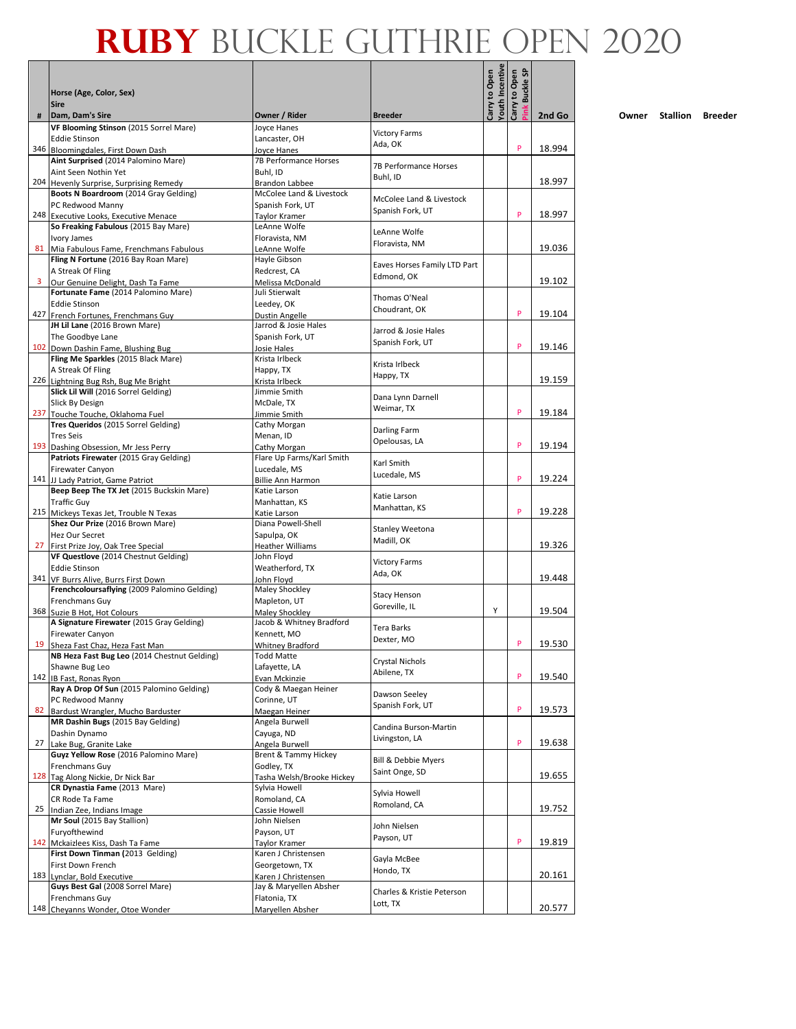|    | Horse (Age, Color, Sex)                                                       |                                             |                                 | Youth Incentive<br>Carry to Open | <b>G</b><br>Carry to Open<br>Buckle ! |        |
|----|-------------------------------------------------------------------------------|---------------------------------------------|---------------------------------|----------------------------------|---------------------------------------|--------|
| #  | <b>Sire</b><br>Dam, Dam's Sire                                                | Owner / Rider                               | <b>Breeder</b>                  |                                  |                                       | 2nd Go |
|    | VF Blooming Stinson (2015 Sorrel Mare)                                        | Joyce Hanes                                 |                                 |                                  |                                       |        |
|    | <b>Eddie Stinson</b>                                                          | Lancaster, OH                               | <b>Victory Farms</b><br>Ada, OK |                                  |                                       |        |
|    | 346 Bloomingdales, First Down Dash                                            | Joyce Hanes<br><b>7B Performance Horses</b> |                                 |                                  | P                                     | 18.994 |
|    | Aint Surprised (2014 Palomino Mare)<br>Aint Seen Nothin Yet                   | Buhl, ID                                    | 7B Performance Horses           |                                  |                                       |        |
|    | 204 Hevenly Surprise, Surprising Remedy                                       | Brandon Labbee                              | Buhl, ID                        |                                  |                                       | 18.997 |
|    | Boots N Boardroom (2014 Gray Gelding)                                         | McColee Land & Livestock                    | McColee Land & Livestock        |                                  |                                       |        |
|    | PC Redwood Manny                                                              | Spanish Fork, UT                            | Spanish Fork, UT                |                                  |                                       |        |
|    | 248 Executive Looks, Executive Menace<br>So Freaking Fabulous (2015 Bay Mare) | Taylor Kramer<br>LeAnne Wolfe               |                                 |                                  | P                                     | 18.997 |
|    | Ivory James                                                                   | Floravista. NM                              | LeAnne Wolfe                    |                                  |                                       |        |
| 81 | Mia Fabulous Fame, Frenchmans Fabulous                                        | LeAnne Wolfe                                | Floravista, NM                  |                                  |                                       | 19.036 |
|    | Fling N Fortune (2016 Bay Roan Mare)                                          | Hayle Gibson                                | Eaves Horses Family LTD Part    |                                  |                                       |        |
|    | A Streak Of Fling                                                             | Redcrest, CA                                | Edmond, OK                      |                                  |                                       | 19.102 |
| 3  | Our Genuine Delight, Dash Ta Fame<br>Fortunate Fame (2014 Palomino Mare)      | Melissa McDonald<br>Juli Stierwalt          |                                 |                                  |                                       |        |
|    | <b>Eddie Stinson</b>                                                          | Leedey, OK                                  | Thomas O'Neal                   |                                  |                                       |        |
|    | 427 French Fortunes, Frenchmans Guy                                           | Dustin Angelle                              | Choudrant, OK                   |                                  | P                                     | 19.104 |
|    | JH Lil Lane (2016 Brown Mare)                                                 | Jarrod & Josie Hales                        | Jarrod & Josie Hales            |                                  |                                       |        |
|    | The Goodbye Lane                                                              | Spanish Fork, UT                            | Spanish Fork, UT                |                                  | P                                     | 19.146 |
|    | 102 Down Dashin Fame, Blushing Bug<br>Fling Me Sparkles (2015 Black Mare)     | Josie Hales<br>Krista Irlbeck               |                                 |                                  |                                       |        |
|    | A Streak Of Fling                                                             | Happy, TX                                   | Krista Irlbeck                  |                                  |                                       |        |
|    | 226 Lightning Bug Rsh, Bug Me Bright                                          | Krista Irlbeck                              | Happy, TX                       |                                  |                                       | 19.159 |
|    | Slick Lil Will (2016 Sorrel Gelding)                                          | Jimmie Smith                                | Dana Lynn Darnell               |                                  |                                       |        |
|    | Slick By Design<br>237 Touche Touche, Oklahoma Fuel                           | McDale, TX                                  | Weimar, TX                      |                                  | P                                     | 19.184 |
|    | Tres Queridos (2015 Sorrel Gelding)                                           | Jimmie Smith<br>Cathy Morgan                |                                 |                                  |                                       |        |
|    | <b>Tres Seis</b>                                                              | Menan, ID                                   | Darling Farm                    |                                  |                                       |        |
|    | 193 Dashing Obsession, Mr Jess Perry                                          | Cathy Morgan                                | Opelousas, LA                   |                                  | P                                     | 19.194 |
|    | Patriots Firewater (2015 Gray Gelding)                                        | Flare Up Farms/Karl Smith                   | Karl Smith                      |                                  |                                       |        |
|    | <b>Firewater Canyon</b><br>141 JJ Lady Patriot, Game Patriot                  | Lucedale, MS<br><b>Billie Ann Harmon</b>    | Lucedale, MS                    |                                  | P                                     | 19.224 |
|    | Beep Beep The TX Jet (2015 Buckskin Mare)                                     | Katie Larson                                |                                 |                                  |                                       |        |
|    | <b>Traffic Guy</b>                                                            | Manhattan, KS                               | Katie Larson                    |                                  |                                       |        |
|    | 215 Mickeys Texas Jet, Trouble N Texas                                        | Katie Larson                                | Manhattan, KS                   |                                  | P                                     | 19.228 |
|    | Shez Our Prize (2016 Brown Mare)                                              | Diana Powell-Shell                          | <b>Stanley Weetona</b>          |                                  |                                       |        |
| 27 | Hez Our Secret<br>First Prize Joy, Oak Tree Special                           | Sapulpa, OK<br><b>Heather Williams</b>      | Madill, OK                      |                                  |                                       | 19.326 |
|    | VF Questlove (2014 Chestnut Gelding)                                          | John Floyd                                  |                                 |                                  |                                       |        |
|    | <b>Eddie Stinson</b>                                                          | Weatherford, TX                             | <b>Victory Farms</b><br>Ada, OK |                                  |                                       |        |
|    | 341 VF Burrs Alive, Burrs First Down                                          | John Floyd                                  |                                 |                                  |                                       | 19.448 |
|    | Frenchcoloursaflying (2009 Palomino Gelding)                                  | Maley Shockley                              | <b>Stacy Henson</b>             |                                  |                                       |        |
|    | Frenchmans Guy<br>368 Suzie B Hot, Hot Colours                                | Mapleton, UT<br>Maley Shockley              | Goreville, IL                   | Y                                |                                       | 19.504 |
|    | A Signature Firewater (2015 Gray Gelding)                                     | Jacob & Whitney Bradford                    | Tera Barks                      |                                  |                                       |        |
|    | Firewater Canyon                                                              | Kennett, MO                                 | Dexter, MO                      |                                  |                                       |        |
|    | 19 Sheza Fast Chaz, Heza Fast Man                                             | Whitney Bradford                            |                                 |                                  | P                                     | 19.530 |
|    | NB Heza Fast Bug Leo (2014 Chestnut Gelding)<br>Shawne Bug Leo                | <b>Todd Matte</b><br>Lafayette, LA          | Crystal Nichols                 |                                  |                                       |        |
|    | 142 IB Fast, Ronas Ryon                                                       | Evan Mckinzie                               | Abilene, TX                     |                                  | P                                     | 19.540 |
|    | Ray A Drop Of Sun (2015 Palomino Gelding)                                     | Cody & Maegan Heiner                        | Dawson Seeley                   |                                  |                                       |        |
|    | PC Redwood Manny                                                              | Corinne, UT                                 | Spanish Fork, UT                |                                  |                                       |        |
| 82 | Bardust Wrangler, Mucho Barduster                                             | Maegan Heiner<br>Angela Burwell             |                                 |                                  | P                                     | 19.573 |
|    | MR Dashin Bugs (2015 Bay Gelding)<br>Dashin Dynamo                            | Cayuga, ND                                  | Candina Burson-Martin           |                                  |                                       |        |
| 27 | Lake Bug, Granite Lake                                                        | Angela Burwell                              | Livingston, LA                  |                                  | P                                     | 19.638 |
|    | Guyz Yellow Rose (2016 Palomino Mare)                                         | <b>Brent &amp; Tammy Hickey</b>             | Bill & Debbie Myers             |                                  |                                       |        |
|    | Frenchmans Guy                                                                | Godley, TX                                  | Saint Onge, SD                  |                                  |                                       |        |
|    | 128 Tag Along Nickie, Dr Nick Bar<br>CR Dynastia Fame (2013 Mare)             | Tasha Welsh/Brooke Hickey<br>Sylvia Howell  |                                 |                                  |                                       | 19.655 |
|    | CR Rode Ta Fame                                                               | Romoland, CA                                | Sylvia Howell                   |                                  |                                       |        |
| 25 | Indian Zee, Indians Image                                                     | Cassie Howell                               | Romoland, CA                    |                                  |                                       | 19.752 |
|    | Mr Soul (2015 Bay Stallion)                                                   | John Nielsen                                | John Nielsen                    |                                  |                                       |        |
|    | Furyofthewind                                                                 | Payson, UT                                  | Payson, UT                      |                                  | P                                     |        |
|    | 142 Mckaizlees Kiss, Dash Ta Fame<br>First Down Tinman (2013 Gelding)         | Taylor Kramer<br>Karen J Christensen        |                                 |                                  |                                       | 19.819 |
|    | First Down French                                                             | Georgetown, TX                              | Gayla McBee                     |                                  |                                       |        |
|    | 183 Lynclar, Bold Executive                                                   | Karen J Christensen                         | Hondo, TX                       |                                  |                                       | 20.161 |
|    | Guys Best Gal (2008 Sorrel Mare)                                              | Jay & Maryellen Absher                      | Charles & Kristie Peterson      |                                  |                                       |        |
|    | Frenchmans Guy                                                                | Flatonia, TX                                | Lott, TX                        |                                  |                                       |        |
|    | 148 Cheyanns Wonder, Otoe Wonder                                              | Maryellen Absher                            |                                 |                                  |                                       | 20.577 |

Г  $\blacksquare$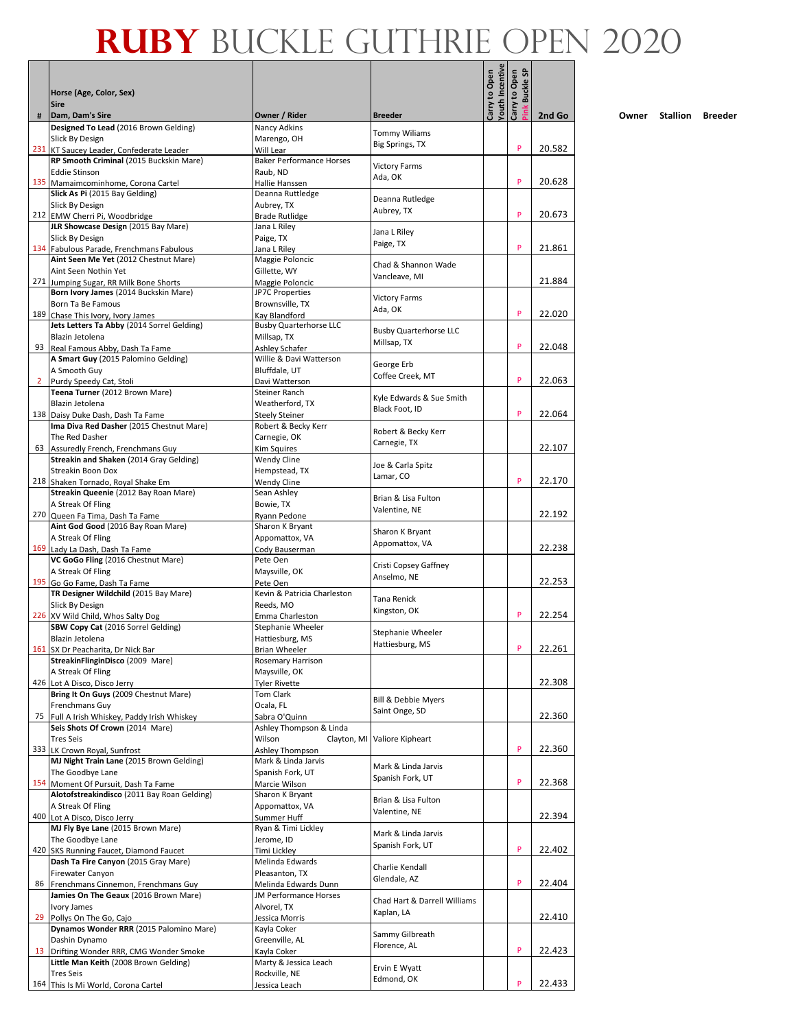┓

|                | Horse (Age, Color, Sex)                                                       |                                                  |                                      | Carry to Open<br>Youth Incentive | <u>ទ</u><br>Carry to Open<br><b>Buckle</b> |        |
|----------------|-------------------------------------------------------------------------------|--------------------------------------------------|--------------------------------------|----------------------------------|--------------------------------------------|--------|
| #              | <b>Sire</b><br>Dam, Dam's Sire                                                | Owner / Rider                                    | <b>Breeder</b>                       |                                  |                                            | 2nd Go |
|                | Designed To Lead (2016 Brown Gelding)                                         | Nancy Adkins                                     | <b>Tommy Wiliams</b>                 |                                  |                                            |        |
|                | Slick By Design<br>231 KT Saucey Leader, Confederate Leader                   | Marengo, OH<br>Will Lear                         | Big Springs, TX                      |                                  | P                                          | 20.582 |
|                | RP Smooth Criminal (2015 Buckskin Mare)                                       | <b>Baker Performance Horses</b>                  |                                      |                                  |                                            |        |
|                | <b>Eddie Stinson</b>                                                          | Raub, ND                                         | <b>Victory Farms</b><br>Ada, OK      |                                  | P                                          |        |
|                | 135 Mamaimcominhome, Corona Cartel<br>Slick As Pi (2015 Bay Gelding)          | Hallie Hanssen<br>Deanna Ruttledge               |                                      |                                  |                                            | 20.628 |
|                | Slick By Design                                                               | Aubrey, TX                                       | Deanna Rutledge<br>Aubrey, TX        |                                  |                                            |        |
|                | 212 EMW Cherri Pi, Woodbridge<br>JLR Showcase Design (2015 Bay Mare)          | <b>Brade Rutlidge</b><br>Jana L Riley            |                                      |                                  | P                                          | 20.673 |
|                | Slick By Design                                                               | Paige, TX                                        | Jana L Riley                         |                                  |                                            |        |
| 134            | Fabulous Parade, Frenchmans Fabulous                                          | Jana L Rilev                                     | Paige, TX                            |                                  | P                                          | 21.861 |
|                | Aint Seen Me Yet (2012 Chestnut Mare)<br>Aint Seen Nothin Yet                 | Maggie Poloncic<br>Gillette, WY                  | Chad & Shannon Wade                  |                                  |                                            |        |
| 271            | Jumping Sugar, RR Milk Bone Shorts                                            | Maggie Poloncic                                  | Vancleave, MI                        |                                  |                                            | 21.884 |
|                | Born Ivory James (2014 Buckskin Mare)<br>Born Ta Be Famous                    | JP7C Properties<br>Brownsville, TX               | <b>Victory Farms</b>                 |                                  |                                            |        |
| 189            | Chase This Ivory, Ivory James                                                 | Kav Blandford                                    | Ada, OK                              |                                  | P                                          | 22.020 |
|                | Jets Letters Ta Abby (2014 Sorrel Gelding)<br>Blazin Jetolena                 | <b>Busby Quarterhorse LLC</b><br>Millsap, TX     | <b>Busby Quarterhorse LLC</b>        |                                  |                                            |        |
| 93             | Real Famous Abby, Dash Ta Fame                                                | Ashley Schafer                                   | Millsap, TX                          |                                  | P                                          | 22.048 |
|                | A Smart Guy (2015 Palomino Gelding)                                           | Willie & Davi Watterson                          | George Erb                           |                                  |                                            |        |
| $\overline{2}$ | A Smooth Guy<br>Purdy Speedy Cat, Stoli                                       | Bluffdale, UT<br>Davi Watterson                  | Coffee Creek, MT                     |                                  | P                                          | 22.063 |
|                | Teena Turner (2012 Brown Mare)                                                | Steiner Ranch                                    | Kyle Edwards & Sue Smith             |                                  |                                            |        |
|                | Blazin Jetolena                                                               | Weatherford, TX                                  | Black Foot, ID                       |                                  | P                                          | 22.064 |
|                | 138 Daisy Duke Dash, Dash Ta Fame<br>Ima Diva Red Dasher (2015 Chestnut Mare) | Steely Steiner<br>Robert & Becky Kerr            |                                      |                                  |                                            |        |
|                | The Red Dasher                                                                | Carnegie, OK                                     | Robert & Becky Kerr<br>Carnegie, TX  |                                  |                                            |        |
| 63             | Assuredly French, Frenchmans Guy<br>Streakin and Shaken (2014 Gray Gelding)   | Kim Squires<br>Wendy Cline                       |                                      |                                  |                                            | 22.107 |
|                | <b>Streakin Boon Dox</b>                                                      | Hempstead, TX                                    | Joe & Carla Spitz                    |                                  |                                            |        |
|                | 218 Shaken Tornado, Royal Shake Em                                            | Wendy Cline                                      | Lamar, CO                            |                                  | P                                          | 22.170 |
|                | Streakin Queenie (2012 Bay Roan Mare)<br>A Streak Of Fling                    | Sean Ashley<br>Bowie, TX                         | Brian & Lisa Fulton                  |                                  |                                            |        |
| 270            | Queen Fa Tima, Dash Ta Fame                                                   | Ryann Pedone                                     | Valentine, NE                        |                                  |                                            | 22.192 |
|                | Aint God Good (2016 Bay Roan Mare)<br>A Streak Of Fling                       | Sharon K Bryant<br>Appomattox, VA                | Sharon K Bryant                      |                                  |                                            |        |
| 169            | Lady La Dash, Dash Ta Fame                                                    | Cody Bauserman                                   | Appomattox, VA                       |                                  |                                            | 22.238 |
|                | VC GoGo Fling (2016 Chestnut Mare)                                            | Pete Oen                                         | Cristi Copsey Gaffney                |                                  |                                            |        |
|                | A Streak Of Fling<br>195 Go Go Fame, Dash Ta Fame                             | Maysville, OK<br>Pete Oen                        | Anselmo, NE                          |                                  |                                            | 22.253 |
|                | TR Designer Wildchild (2015 Bay Mare)                                         | Kevin & Patricia Charleston                      | Tana Renick                          |                                  |                                            |        |
|                | Slick By Design                                                               | Reeds, MO                                        | Kingston, OK                         |                                  | P                                          | 22.254 |
|                | 226 XV Wild Child, Whos Salty Dog<br>SBW Copy Cat (2016 Sorrel Gelding)       | Emma Charleston<br>Stephanie Wheeler             |                                      |                                  |                                            |        |
|                | Blazin Jetolena                                                               | Hattiesburg, MS                                  | Stephanie Wheeler<br>Hattiesburg, MS |                                  |                                            |        |
|                | 161 SX Dr Peacharita, Dr Nick Bar<br>StreakinFlinginDisco (2009 Mare)         | Brian Wheeler<br>Rosemary Harrison               |                                      |                                  |                                            | 22.261 |
|                | A Streak Of Fling                                                             | Maysville, OK                                    |                                      |                                  |                                            |        |
|                | 426 Lot A Disco, Disco Jerry                                                  | <b>Tyler Rivette</b>                             |                                      |                                  |                                            | 22.308 |
|                | Bring It On Guys (2009 Chestnut Mare)<br>Frenchmans Guy                       | <b>Tom Clark</b><br>Ocala, FL                    | Bill & Debbie Myers                  |                                  |                                            |        |
| 75             | Full A Irish Whiskey, Paddy Irish Whiskey                                     | Sabra O'Quinn                                    | Saint Onge, SD                       |                                  |                                            | 22.360 |
|                | Seis Shots Of Crown (2014 Mare)<br><b>Tres Seis</b>                           | Ashley Thompson & Linda<br>Wilson<br>Clayton, MI | Valiore Kipheart                     |                                  |                                            |        |
| 333            | LK Crown Royal, Sunfrost                                                      | Ashley Thompson                                  |                                      |                                  | P                                          | 22.360 |
|                | MJ Night Train Lane (2015 Brown Gelding)                                      | Mark & Linda Jarvis                              | Mark & Linda Jarvis                  |                                  |                                            |        |
|                | The Goodbye Lane<br>154 Moment Of Pursuit, Dash Ta Fame                       | Spanish Fork, UT<br>Marcie Wilson                | Spanish Fork, UT                     |                                  | P                                          | 22.368 |
|                | Alotofstreakindisco (2011 Bay Roan Gelding)                                   | Sharon K Bryant                                  | Brian & Lisa Fulton                  |                                  |                                            |        |
|                | A Streak Of Fling<br>400 Lot A Disco, Disco Jerry                             | Appomattox, VA<br>Summer Huff                    | Valentine, NE                        |                                  |                                            | 22.394 |
|                | MJ Fly Bye Lane (2015 Brown Mare)                                             | Ryan & Timi Lickley                              | Mark & Linda Jarvis                  |                                  |                                            |        |
|                | The Goodbye Lane                                                              | Jerome, ID                                       | Spanish Fork, UT                     |                                  | P                                          |        |
| 420            | SKS Running Faucet, Diamond Faucet<br>Dash Ta Fire Canyon (2015 Gray Mare)    | Timi Lickley<br>Melinda Edwards                  |                                      |                                  |                                            | 22.402 |
|                | Firewater Canyon                                                              | Pleasanton, TX                                   | Charlie Kendall<br>Glendale, AZ      |                                  |                                            |        |
| 86             | Frenchmans Cinnemon, Frenchmans Guy<br>Jamies On The Geaux (2016 Brown Mare)  | Melinda Edwards Dunn<br>JM Performance Horses    |                                      |                                  | P                                          | 22.404 |
|                | Ivory James                                                                   | Alvorel, TX                                      | Chad Hart & Darrell Williams         |                                  |                                            |        |
| 29             | Pollys On The Go, Cajo                                                        | Jessica Morris                                   | Kaplan, LA                           |                                  |                                            | 22.410 |
|                | Dynamos Wonder RRR (2015 Palomino Mare)<br>Dashin Dynamo                      | Kayla Coker<br>Greenville, AL                    | Sammy Gilbreath                      |                                  |                                            |        |
| 13             | Drifting Wonder RRR, CMG Wonder Smoke                                         | Kayla Coker                                      | Florence, AL                         |                                  | P                                          | 22.423 |
|                | Little Man Keith (2008 Brown Gelding)<br><b>Tres Seis</b>                     | Marty & Jessica Leach                            | Ervin E Wyatt                        |                                  |                                            |        |
|                | 164 This Is Mi World, Corona Cartel                                           | Rockville, NE<br>Jessica Leach                   | Edmond, OK                           |                                  | P                                          | 22.433 |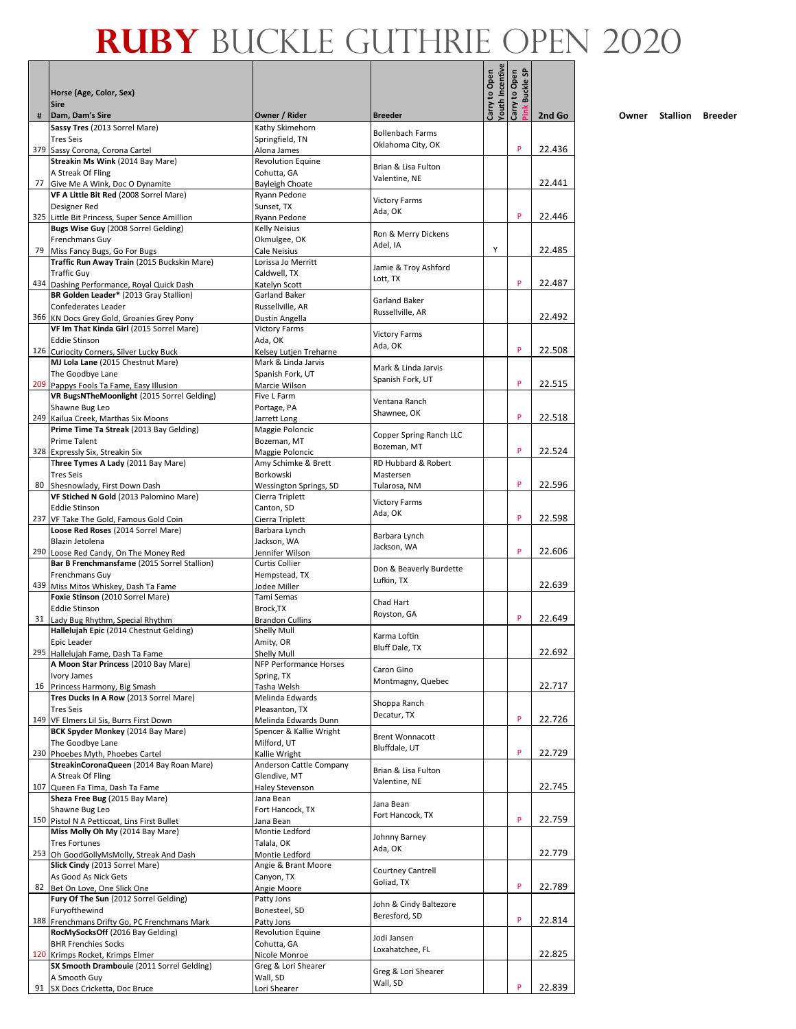$\overline{\phantom{a}}$ 

|    |                                                                                     |                                          |                                         | Carry to Open<br>Youth Incentive | Carry to Open<br><u>ទ</u> |        |
|----|-------------------------------------------------------------------------------------|------------------------------------------|-----------------------------------------|----------------------------------|---------------------------|--------|
|    | Horse (Age, Color, Sex)                                                             |                                          |                                         |                                  | <b>Buckle</b>             |        |
| #  | <b>Sire</b><br>Dam, Dam's Sire                                                      | Owner / Rider                            | <b>Breeder</b>                          |                                  |                           | 2nd Go |
|    | Sassy Tres (2013 Sorrel Mare)                                                       | Kathy Skimehorn                          | <b>Bollenbach Farms</b>                 |                                  |                           |        |
|    | <b>Tres Seis</b>                                                                    | Springfield, TN                          | Oklahoma City, OK                       |                                  | P                         | 22.436 |
|    | 379 Sassy Corona, Corona Cartel<br>Streakin Ms Wink (2014 Bay Mare)                 | Alona James<br>Revolution Equine         |                                         |                                  |                           |        |
|    | A Streak Of Fling                                                                   | Cohutta, GA                              | Brian & Lisa Fulton<br>Valentine, NE    |                                  |                           |        |
|    | 77 Give Me A Wink, Doc O Dynamite                                                   | Bayleigh Choate                          |                                         |                                  |                           | 22.441 |
|    | VF A Little Bit Red (2008 Sorrel Mare)<br>Designer Red                              | Rvann Pedone<br>Sunset, TX               | <b>Victory Farms</b>                    |                                  |                           |        |
|    | 325 Little Bit Princess, Super Sence Amillion                                       | Ryann Pedone                             | Ada, OK                                 |                                  | P                         | 22.446 |
|    | Bugs Wise Guy (2008 Sorrel Gelding)                                                 | <b>Kelly Neisius</b>                     | Ron & Merry Dickens                     |                                  |                           |        |
| 79 | Frenchmans Guy<br>Miss Fancy Bugs, Go For Bugs                                      | Okmulgee, OK<br>Cale Neisius             | Adel. IA                                | Y                                |                           | 22.485 |
|    | Traffic Run Away Train (2015 Buckskin Mare)                                         | Lorissa Jo Merritt                       | Jamie & Troy Ashford                    |                                  |                           |        |
|    | <b>Traffic Guy</b>                                                                  | Caldwell, TX                             | Lott, TX                                |                                  | P                         | 22.487 |
|    | 434 Dashing Performance, Royal Quick Dash<br>BR Golden Leader* (2013 Gray Stallion) | Katelyn Scott<br>Garland Baker           |                                         |                                  |                           |        |
|    | Confederates Leader                                                                 | Russellville, AR                         | Garland Baker                           |                                  |                           |        |
|    | 366 KN Docs Grey Gold, Groanies Grey Pony                                           | Dustin Angella                           | Russellville, AR                        |                                  |                           | 22.492 |
|    | VF Im That Kinda Girl (2015 Sorrel Mare)<br><b>Eddie Stinson</b>                    | <b>Victory Farms</b><br>Ada, OK          | <b>Victory Farms</b>                    |                                  |                           |        |
|    | 126 Curiocity Corners, Silver Lucky Buck                                            | Kelsey Lutjen Treharne                   | Ada, OK                                 |                                  | P                         | 22.508 |
|    | MJ Lola Lane (2015 Chestnut Mare)                                                   | Mark & Linda Jarvis                      | Mark & Linda Jarvis                     |                                  |                           |        |
|    | The Goodbye Lane<br>209 Pappys Fools Ta Fame, Easy Illusion                         | Spanish Fork, UT<br>Marcie Wilson        | Spanish Fork, UT                        |                                  | P                         | 22.515 |
|    | VR BugsNTheMoonlight (2015 Sorrel Gelding)                                          | Five L Farm                              |                                         |                                  |                           |        |
|    | Shawne Bug Leo                                                                      | Portage, PA                              | Ventana Ranch<br>Shawnee, OK            |                                  |                           |        |
|    | 249 Kailua Creek, Marthas Six Moons<br>Prime Time Ta Streak (2013 Bay Gelding)      | Jarrett Long                             |                                         |                                  | P                         | 22.518 |
|    | Prime Talent                                                                        | Maggie Poloncic<br>Bozeman, MT           | Copper Spring Ranch LLC                 |                                  |                           |        |
|    | 328 Expressly Six, Streakin Six                                                     | Maggie Poloncic                          | Bozeman, MT                             |                                  | P                         | 22.524 |
|    | Three Tymes A Lady (2011 Bay Mare)                                                  | Amy Schimke & Brett                      | RD Hubbard & Robert                     |                                  |                           |        |
| 80 | <b>Tres Seis</b><br>Shesnowlady, First Down Dash                                    | Borkowski<br>Wessington Springs, SD      | Mastersen<br>Tularosa, NM               |                                  | P                         | 22.596 |
|    | VF Stiched N Gold (2013 Palomino Mare)                                              | Cierra Triplett                          | <b>Victory Farms</b>                    |                                  |                           |        |
|    | <b>Eddie Stinson</b>                                                                | Canton, SD                               | Ada, OK                                 |                                  | P                         |        |
|    | 237 VF Take The Gold, Famous Gold Coin<br>Loose Red Roses (2014 Sorrel Mare)        | Cierra Triplett<br>Barbara Lynch         |                                         |                                  |                           | 22.598 |
|    | Blazin Jetolena                                                                     | Jackson, WA                              | Barbara Lynch                           |                                  |                           |        |
|    | 290 Loose Red Candy, On The Money Red                                               | Jennifer Wilson                          | Jackson, WA                             |                                  | P                         | 22.606 |
|    | Bar B Frenchmansfame (2015 Sorrel Stallion)<br>Frenchmans Guy                       | <b>Curtis Collier</b><br>Hempstead, TX   | Don & Beaverly Burdette                 |                                  |                           |        |
|    | 439 Miss Mitos Whiskey, Dash Ta Fame                                                | Jodee Miller                             | Lufkin, TX                              |                                  |                           | 22.639 |
|    | Foxie Stinson (2010 Sorrel Mare)                                                    | Tami Semas                               | Chad Hart                               |                                  |                           |        |
|    | <b>Eddie Stinson</b><br>31 Lady Bug Rhythm, Special Rhythm                          | Brock, TX<br><b>Brandon Cullins</b>      | Royston, GA                             |                                  | P                         | 22.649 |
|    | Hallelujah Epic (2014 Chestnut Gelding)                                             | Shelly Mull                              |                                         |                                  |                           |        |
|    | Epic Leader                                                                         | Amity, OR                                | Karma Loftin<br>Bluff Dale, TX          |                                  |                           |        |
|    | 295 Hallelujah Fame, Dash Ta Fame<br>A Moon Star Princess (2010 Bay Mare)           | Shelly Mull<br>NFP Performance Horses    |                                         |                                  |                           | 22.692 |
|    | Ivory James                                                                         | Spring, TX                               | Caron Gino                              |                                  |                           |        |
|    | 16 Princess Harmony, Big Smash                                                      | Tasha Welsh                              | Montmagny, Quebec                       |                                  |                           | 22.717 |
|    | Tres Ducks In A Row (2013 Sorrel Mare)                                              | Melinda Edwards                          | Shoppa Ranch                            |                                  |                           |        |
|    | <b>Tres Seis</b><br>149 VF Elmers Lil Sis, Burrs First Down                         | Pleasanton, TX<br>Melinda Edwards Dunn   | Decatur, TX                             |                                  | P                         | 22.726 |
|    | BCK Spyder Monkey (2014 Bay Mare)                                                   | Spencer & Kallie Wright                  | <b>Brent Wonnacott</b>                  |                                  |                           |        |
|    | The Goodbye Lane<br>230 Phoebes Myth, Phoebes Cartel                                | Milford, UT                              | Bluffdale, UT                           |                                  | P                         | 22.729 |
|    | StreakinCoronaQueen (2014 Bay Roan Mare)                                            | Kallie Wright<br>Anderson Cattle Company |                                         |                                  |                           |        |
|    | A Streak Of Fling                                                                   | Glendive, MT                             | Brian & Lisa Fulton<br>Valentine, NE    |                                  |                           |        |
|    | 107 Queen Fa Tima, Dash Ta Fame                                                     | <b>Haley Stevenson</b>                   |                                         |                                  |                           | 22.745 |
|    | Sheza Free Bug (2015 Bay Mare)<br>Shawne Bug Leo                                    | Jana Bean<br>Fort Hancock, TX            | Jana Bean                               |                                  |                           |        |
|    | 150 Pistol N A Petticoat, Lins First Bullet                                         | Jana Bean                                | Fort Hancock, TX                        |                                  | P                         | 22.759 |
|    | Miss Molly Oh My (2014 Bay Mare)                                                    | Montie Ledford                           | Johnny Barney                           |                                  |                           |        |
|    | <b>Tres Fortunes</b><br>253 Oh GoodGollyMsMolly, Streak And Dash                    | Talala, OK<br>Montie Ledford             | Ada, OK                                 |                                  |                           | 22.779 |
|    | Slick Cindy (2013 Sorrel Mare)                                                      | Angie & Brant Moore                      | Courtney Cantrell                       |                                  |                           |        |
|    | As Good As Nick Gets                                                                | Canyon, TX                               | Goliad, TX                              |                                  | P                         | 22.789 |
| 82 | Bet On Love, One Slick One<br>Fury Of The Sun (2012 Sorrel Gelding)                 | Angie Moore<br>Patty Jons                |                                         |                                  |                           |        |
|    | Furyofthewind                                                                       | Bonesteel, SD                            | John & Cindy Baltezore<br>Beresford, SD |                                  |                           |        |
|    | 188 Frenchmans Drifty Go, PC Frenchmans Mark                                        | Patty Jons                               |                                         |                                  | P                         | 22.814 |
|    | RocMySocksOff (2016 Bay Gelding)<br><b>BHR Frenchies Socks</b>                      | Revolution Equine<br>Cohutta, GA         | Jodi Jansen                             |                                  |                           |        |
|    | 120 Krimps Rocket, Krimps Elmer                                                     | Nicole Monroe                            | Loxahatchee, FL                         |                                  |                           | 22.825 |
|    | SX Smooth Drambouie (2011 Sorrel Gelding)                                           | Greg & Lori Shearer                      | Greg & Lori Shearer                     |                                  |                           |        |
|    | A Smooth Guy<br>91 SX Docs Cricketta, Doc Bruce                                     | Wall, SD<br>Lori Shearer                 | Wall, SD                                |                                  | P                         | 22.839 |
|    |                                                                                     |                                          |                                         |                                  |                           |        |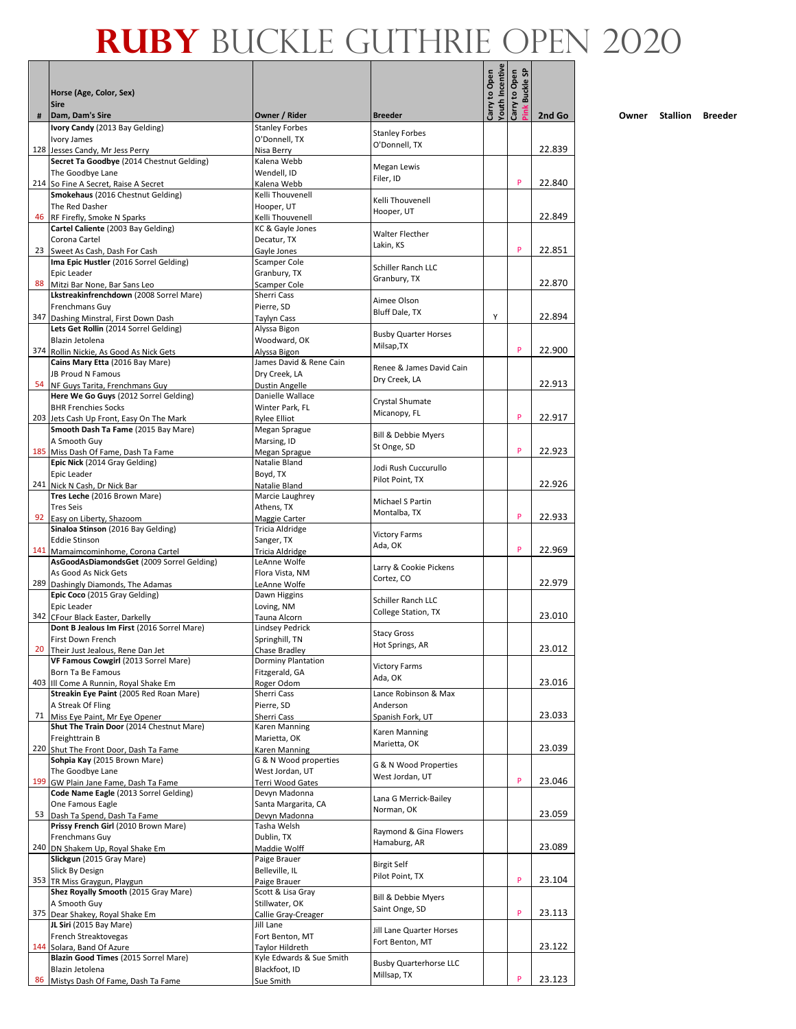|    |                                                                             |                                             |                                              | Carry to Open<br>Youth Incentive | <b>G</b><br>Carry to Open |        |
|----|-----------------------------------------------------------------------------|---------------------------------------------|----------------------------------------------|----------------------------------|---------------------------|--------|
|    | Horse (Age, Color, Sex)<br><b>Sire</b>                                      |                                             |                                              |                                  | <b>Buckle</b>             |        |
| #  | Dam, Dam's Sire                                                             | Owner / Rider                               | <b>Breeder</b>                               |                                  |                           | 2nd Go |
|    | Ivory Candy (2013 Bay Gelding)                                              | <b>Stanley Forbes</b>                       | <b>Stanley Forbes</b>                        |                                  |                           |        |
|    | Ivory James<br>128 Jesses Candy, Mr Jess Perry                              | O'Donnell, TX<br>Nisa Berry                 | O'Donnell, TX                                |                                  |                           | 22.839 |
|    | Secret Ta Goodbye (2014 Chestnut Gelding)                                   | Kalena Webb                                 | Megan Lewis                                  |                                  |                           |        |
|    | The Goodbye Lane<br>214 So Fine A Secret, Raise A Secret                    | Wendell, ID<br>Kalena Webb                  | Filer, ID                                    |                                  | P                         | 22.840 |
|    | Smokehaus (2016 Chestnut Gelding)                                           | Kelli Thouvenell                            | Kelli Thouvenell                             |                                  |                           |        |
|    | The Red Dasher                                                              | Hooper, UT                                  | Hooper, UT                                   |                                  |                           |        |
|    | 46 RF Firefly, Smoke N Sparks<br>Cartel Caliente (2003 Bay Gelding)         | Kelli Thouvenell<br>KC & Gayle Jones        |                                              |                                  |                           | 22.849 |
|    | Corona Cartel                                                               | Decatur, TX                                 | Walter Flecther<br>Lakin, KS                 |                                  |                           |        |
|    | 23 Sweet As Cash, Dash For Cash                                             | Gayle Jones                                 |                                              |                                  | P                         | 22.851 |
|    | Ima Epic Hustler (2016 Sorrel Gelding)<br>Epic Leader                       | Scamper Cole<br>Granbury, TX                | Schiller Ranch LLC                           |                                  |                           |        |
| 88 | Mitzi Bar None, Bar Sans Leo                                                | Scamper Cole                                | Granbury, TX                                 |                                  |                           | 22.870 |
|    | Lkstreakinfrenchdown (2008 Sorrel Mare)<br>Frenchmans Guy                   | Sherri Cass<br>Pierre, SD                   | Aimee Olson                                  |                                  |                           |        |
|    | 347 Dashing Minstral, First Down Dash                                       | Taylyn Cass                                 | Bluff Dale, TX                               | Y                                |                           | 22.894 |
|    | Lets Get Rollin (2014 Sorrel Gelding)                                       | Alyssa Bigon                                | <b>Busby Quarter Horses</b>                  |                                  |                           |        |
|    | Blazin Jetolena<br>374 Rollin Nickie, As Good As Nick Gets                  | Woodward, OK<br>Alyssa Bigon                | Milsap, TX                                   |                                  | P                         | 22.900 |
|    | Cains Mary Etta (2016 Bay Mare)                                             | James David & Rene Cain                     |                                              |                                  |                           |        |
|    | JB Proud N Famous                                                           | Dry Creek, LA                               | Renee & James David Cain<br>Dry Creek, LA    |                                  |                           |        |
| 54 | NF Guys Tarita, Frenchmans Guy<br>Here We Go Guys (2012 Sorrel Gelding)     | Dustin Angelle<br>Danielle Wallace          |                                              |                                  |                           | 22.913 |
|    | <b>BHR Frenchies Socks</b>                                                  | Winter Park, FL                             | Crystal Shumate                              |                                  |                           |        |
|    | 203 Jets Cash Up Front, Easy On The Mark                                    | <b>Rylee Elliot</b>                         | Micanopy, FL                                 |                                  | P                         | 22.917 |
|    | Smooth Dash Ta Fame (2015 Bay Mare)<br>A Smooth Guy                         | Megan Sprague<br>Marsing, ID                | <b>Bill &amp; Debbie Myers</b>               |                                  |                           |        |
|    | 185 Miss Dash Of Fame, Dash Ta Fame                                         | Megan Sprague                               | St Onge, SD                                  |                                  | P                         | 22.923 |
|    | Epic Nick (2014 Gray Gelding)                                               | Natalie Bland                               | Jodi Rush Cuccurullo                         |                                  |                           |        |
|    | Epic Leader<br>241 Nick N Cash, Dr Nick Bar                                 | Boyd, TX                                    | Pilot Point, TX                              |                                  |                           | 22.926 |
|    | Tres Leche (2016 Brown Mare)                                                | Natalie Bland<br>Marcie Laughrey            |                                              |                                  |                           |        |
|    | <b>Tres Seis</b>                                                            | Athens, TX                                  | Michael S Partin<br>Montalba, TX             |                                  |                           |        |
|    | 92 Easy on Liberty, Shazoom<br>Sinaloa Stinson (2016 Bay Gelding)           | Maggie Carter<br>Tricia Aldridge            |                                              |                                  | P                         | 22.933 |
|    | <b>Eddie Stinson</b>                                                        | Sanger, TX                                  | <b>Victory Farms</b>                         |                                  |                           |        |
|    | 141 Mamaimcominhome, Corona Cartel                                          | Tricia Aldridge                             | Ada, OK                                      |                                  | P                         | 22.969 |
|    | AsGoodAsDiamondsGet (2009 Sorrel Gelding)<br>As Good As Nick Gets           | LeAnne Wolfe<br>Flora Vista, NM             | Larry & Cookie Pickens                       |                                  |                           |        |
|    | 289 Dashingly Diamonds, The Adamas                                          | LeAnne Wolfe                                | Cortez, CO                                   |                                  |                           | 22.979 |
|    | Epic Coco (2015 Gray Gelding)                                               | Dawn Higgins                                | Schiller Ranch LLC                           |                                  |                           |        |
|    | Epic Leader<br>342 CFour Black Easter, Darkelly                             | Loving, NM<br>Tauna Alcorn                  | College Station, TX                          |                                  |                           | 23.010 |
|    | Dont B Jealous Im First (2016 Sorrel Mare)                                  | <b>Lindsey Pedrick</b>                      | <b>Stacy Gross</b>                           |                                  |                           |        |
|    | First Down French                                                           | Springhill, TN                              | Hot Springs, AR                              |                                  |                           | 23.012 |
|    | 20 Their Just Jealous, Rene Dan Jet<br>VF Famous Cowgirl (2013 Sorrel Mare) | Chase Bradley<br>Dorminy Plantation         |                                              |                                  |                           |        |
|    | Born Ta Be Famous                                                           | Fitzgerald, GA                              | <b>Victory Farms</b><br>Ada, OK              |                                  |                           |        |
|    | 403 III Come A Runnin, Royal Shake Em                                       | Roger Odom                                  | Lance Robinson & Max                         |                                  |                           | 23.016 |
|    | Streakin Eye Paint (2005 Red Roan Mare)<br>A Streak Of Fling                | Sherri Cass<br>Pierre, SD                   | Anderson                                     |                                  |                           |        |
| 71 | Miss Eye Paint, Mr Eye Opener                                               | Sherri Cass                                 | Spanish Fork, UT                             |                                  |                           | 23.033 |
|    | Shut The Train Door (2014 Chestnut Mare)<br>Freighttrain B                  | Karen Manning<br>Marietta, OK               | Karen Manning                                |                                  |                           |        |
|    | 220 Shut The Front Door, Dash Ta Fame                                       | Karen Manning                               | Marietta, OK                                 |                                  |                           | 23.039 |
|    | Sohpia Kay (2015 Brown Mare)                                                | G & N Wood properties                       | G & N Wood Properties                        |                                  |                           |        |
|    | The Goodbye Lane<br>199 GW Plain Jane Fame, Dash Ta Fame                    | West Jordan, UT<br>Terri Wood Gates         | West Jordan, UT                              |                                  | P                         | 23.046 |
|    | Code Name Eagle (2013 Sorrel Gelding)                                       | Devyn Madonna                               | Lana G Merrick-Bailey                        |                                  |                           |        |
|    | One Famous Eagle                                                            | Santa Margarita, CA                         | Norman, OK                                   |                                  |                           |        |
|    | 53 Dash Ta Spend, Dash Ta Fame<br>Prissy French Girl (2010 Brown Mare)      | Devyn Madonna<br>Tasha Welsh                |                                              |                                  |                           | 23.059 |
|    | Frenchmans Guy                                                              | Dublin, TX                                  | Raymond & Gina Flowers                       |                                  |                           |        |
|    | 240 DN Shakem Up, Royal Shake Em                                            | Maddie Wolff                                | Hamaburg, AR                                 |                                  |                           | 23.089 |
|    | Slickgun (2015 Gray Mare)<br>Slick By Design                                | Paige Brauer<br>Belleville, IL              | <b>Birgit Self</b>                           |                                  |                           |        |
|    | 353 TR Miss Graygun, Playgun                                                | Paige Brauer                                | Pilot Point, TX                              |                                  | P                         | 23.104 |
|    | Shez Royally Smooth (2015 Gray Mare)                                        | Scott & Lisa Gray                           | Bill & Debbie Myers                          |                                  |                           |        |
|    | A Smooth Guy<br>375 Dear Shakey, Royal Shake Em                             | Stillwater, OK<br>Callie Gray-Creager       | Saint Onge, SD                               |                                  | P                         | 23.113 |
|    | JL Siri (2015 Bay Mare)                                                     | Jill Lane                                   | Jill Lane Quarter Horses                     |                                  |                           |        |
|    | French Streaktovegas                                                        | Fort Benton, MT                             | Fort Benton, MT                              |                                  |                           |        |
|    | 144 Solara, Band Of Azure<br>Blazin Good Times (2015 Sorrel Mare)           | Taylor Hildreth<br>Kyle Edwards & Sue Smith |                                              |                                  |                           | 23.122 |
|    | Blazin Jetolena                                                             | Blackfoot, ID                               | <b>Busby Quarterhorse LLC</b><br>Millsap, TX |                                  |                           |        |
| 86 | Mistys Dash Of Fame, Dash Ta Fame                                           | Sue Smith                                   |                                              |                                  | P                         | 23.123 |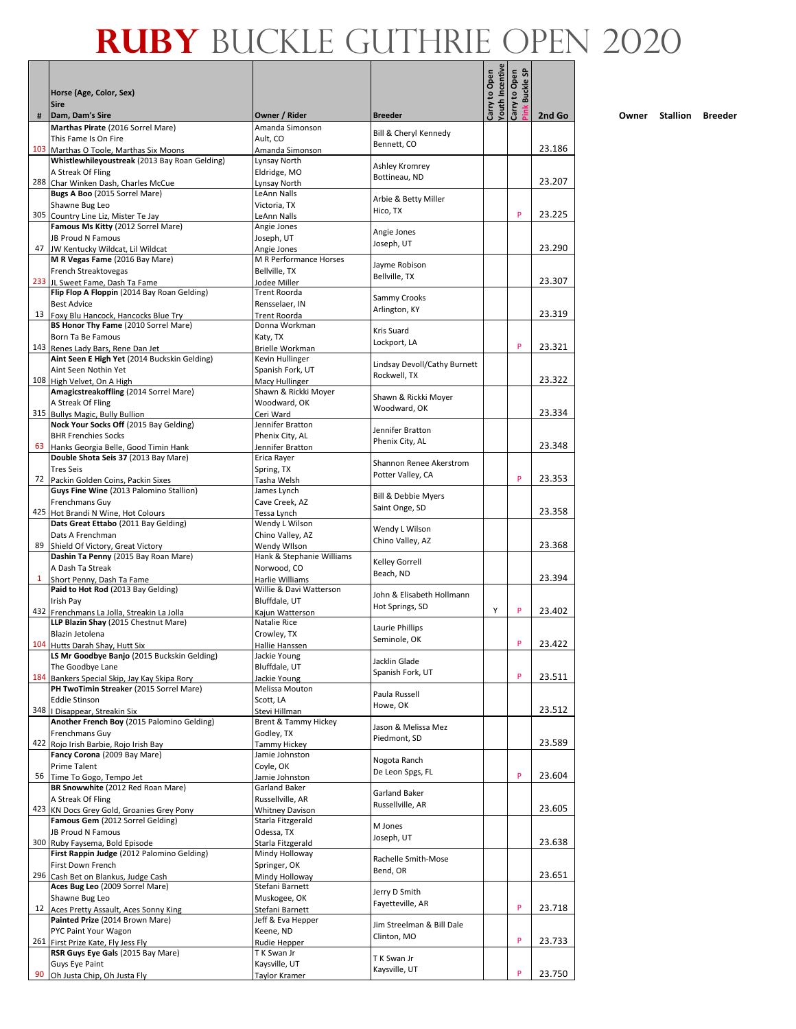### **Ruby** Buckle Guthrie OPEN 2020

 $\top$ 

| #  | Horse (Age, Color, Sex)<br><b>Sire</b><br>Dam, Dam's Sire                               | Owner / Rider                              | <b>Breeder</b>                               | Carry to Open<br>Youth Incentive | <b>Buckle SP</b><br>Carry to Open | 2nd Go |
|----|-----------------------------------------------------------------------------------------|--------------------------------------------|----------------------------------------------|----------------------------------|-----------------------------------|--------|
|    | Marthas Pirate (2016 Sorrel Mare)                                                       | Amanda Simonson                            |                                              |                                  |                                   |        |
|    | This Fame Is On Fire                                                                    | Ault, CO                                   | Bill & Cheryl Kennedy<br>Bennett, CO         |                                  |                                   |        |
|    | 103 Marthas O Toole, Marthas Six Moons                                                  | Amanda Simonson                            |                                              |                                  |                                   | 23.186 |
|    | Whistlewhileyoustreak (2013 Bay Roan Gelding)<br>A Streak Of Fling                      | Lynsay North<br>Eldridge, MO               | Ashley Kromrey                               |                                  |                                   |        |
|    | 288 Char Winken Dash, Charles McCue                                                     | Lynsay North                               | Bottineau, ND                                |                                  |                                   | 23.207 |
|    | Bugs A Boo (2015 Sorrel Mare)                                                           | LeAnn Nalls                                | Arbie & Betty Miller                         |                                  |                                   |        |
|    | Shawne Bug Leo                                                                          | Victoria, TX                               | Hico, TX                                     |                                  | P                                 |        |
|    | 305 Country Line Liz, Mister Te Jay<br>Famous Ms Kitty (2012 Sorrel Mare)               | LeAnn Nalls<br>Angie Jones                 |                                              |                                  |                                   | 23.225 |
|    | JB Proud N Famous                                                                       | Joseph, UT                                 | Angie Jones                                  |                                  |                                   |        |
|    | 47 JW Kentucky Wildcat, Lil Wildcat                                                     | Angie Jones                                | Joseph, UT                                   |                                  |                                   | 23.290 |
|    | M R Vegas Fame (2016 Bay Mare)                                                          | M R Performance Horses                     | Jayme Robison                                |                                  |                                   |        |
|    | French Streaktovegas<br>233 JL Sweet Fame, Dash Ta Fame                                 | Bellville, TX<br>Jodee Miller              | Bellville, TX                                |                                  |                                   | 23.307 |
|    | Flip Flop A Floppin (2014 Bay Roan Gelding)                                             | <b>Trent Roorda</b>                        |                                              |                                  |                                   |        |
|    | <b>Best Advice</b>                                                                      | Rensselaer, IN                             | Sammy Crooks<br>Arlington, KY                |                                  |                                   |        |
|    | 13 Foxy Blu Hancock, Hancocks Blue Try                                                  | <b>Trent Roorda</b>                        |                                              |                                  |                                   | 23.319 |
|    | BS Honor Thy Fame (2010 Sorrel Mare)<br><b>Born Ta Be Famous</b>                        | Donna Workman<br>Katy, TX                  | Kris Suard                                   |                                  |                                   |        |
|    | 143 Renes Lady Bars, Rene Dan Jet                                                       | Brielle Workman                            | Lockport, LA                                 |                                  | P                                 | 23.321 |
|    | Aint Seen E High Yet (2014 Buckskin Gelding)                                            | Kevin Hullinger                            | Lindsay Devoll/Cathy Burnett                 |                                  |                                   |        |
|    | Aint Seen Nothin Yet                                                                    | Spanish Fork, UT                           | Rockwell, TX                                 |                                  |                                   |        |
|    | 108 High Velvet, On A High                                                              | Macy Hullinger                             |                                              |                                  |                                   | 23.322 |
|    | Amagicstreakoffling (2014 Sorrel Mare)<br>A Streak Of Fling                             | Shawn & Rickki Moyer<br>Woodward, OK       | Shawn & Rickki Moyer                         |                                  |                                   |        |
|    | 315 Bullys Magic, Bully Bullion                                                         | Ceri Ward                                  | Woodward, OK                                 |                                  |                                   | 23.334 |
|    | Nock Your Socks Off (2015 Bay Gelding)                                                  | Jennifer Bratton                           | Jennifer Bratton                             |                                  |                                   |        |
|    | <b>BHR Frenchies Socks</b>                                                              | Phenix City, AL                            | Phenix City, AL                              |                                  |                                   |        |
| 63 | Hanks Georgia Belle, Good Timin Hank<br>Double Shota Seis 37 (2013 Bay Mare)            | Jennifer Bratton<br>Erica Rayer            |                                              |                                  |                                   | 23.348 |
|    | <b>Tres Seis</b>                                                                        | Spring, TX                                 | Shannon Renee Akerstrom                      |                                  |                                   |        |
|    | 72 Packin Golden Coins, Packin Sixes                                                    | Tasha Welsh                                | Potter Valley, CA                            |                                  | P                                 | 23.353 |
|    | Guys Fine Wine (2013 Palomino Stallion)                                                 | James Lynch                                | Bill & Debbie Myers                          |                                  |                                   |        |
|    | Frenchmans Guy                                                                          | Cave Creek, AZ                             | Saint Onge, SD                               |                                  |                                   | 23.358 |
|    | 425 Hot Brandi N Wine, Hot Colours<br>Dats Great Ettabo (2011 Bay Gelding)              | Tessa Lynch<br>Wendy L Wilson              |                                              |                                  |                                   |        |
|    | Dats A Frenchman                                                                        | Chino Valley, AZ                           | Wendy L Wilson                               |                                  |                                   |        |
| 89 | Shield Of Victory, Great Victory                                                        | Wendy Wilson                               | Chino Valley, AZ                             |                                  |                                   | 23.368 |
|    | Dashin Ta Penny (2015 Bay Roan Mare)                                                    | Hank & Stephanie Williams                  | Kelley Gorrell                               |                                  |                                   |        |
|    | A Dash Ta Streak<br>Short Penny, Dash Ta Fame                                           | Norwood, CO<br>Harlie Williams             | Beach, ND                                    |                                  |                                   | 23.394 |
|    | Paid to Hot Rod (2013 Bay Gelding)                                                      | Willie & Davi Watterson                    |                                              |                                  |                                   |        |
|    | Irish Pav                                                                               | Bluffdale, UT                              | John & Elisabeth Hollmann<br>Hot Springs, SD |                                  |                                   |        |
|    | 432 Frenchmans La Jolla, Streakin La Jolla                                              | Kajun Watterson<br>Natalie Rice            |                                              | Y                                | P                                 | 23.402 |
|    | LLP Blazin Shay (2015 Chestnut Mare)<br>Blazin Jetolena                                 | Crowley, TX                                | Laurie Phillips                              |                                  |                                   |        |
|    | 104 Hutts Darah Shay, Hutt Six                                                          | Hallie Hanssen                             | Seminole, OK                                 |                                  | P                                 | 23.422 |
|    | LS Mr Goodbye Banjo (2015 Buckskin Gelding)                                             | Jackie Young                               | Jacklin Glade                                |                                  |                                   |        |
|    | The Goodbye Lane                                                                        | Bluffdale, UT                              | Spanish Fork, UT                             |                                  |                                   |        |
|    | 184 Bankers Special Skip, Jay Kay Skipa Rory<br>PH TwoTimin Streaker (2015 Sorrel Mare) | Jackie Young<br>Melissa Mouton             |                                              |                                  | P                                 | 23.511 |
|    | <b>Eddie Stinson</b>                                                                    | Scott, LA                                  | Paula Russell                                |                                  |                                   |        |
|    | 348   Disappear, Streakin Six                                                           | Stevi Hillman                              | Howe, OK                                     |                                  |                                   | 23.512 |
|    | Another French Boy (2015 Palomino Gelding)                                              | Brent & Tammy Hickey                       | Jason & Melissa Mez                          |                                  |                                   |        |
|    | Frenchmans Guy<br>422 Rojo Irish Barbie, Rojo Irish Bay                                 | Godley, TX<br><b>Tammy Hickey</b>          | Piedmont, SD                                 |                                  |                                   | 23.589 |
|    | Fancy Corona (2009 Bay Mare)                                                            | Jamie Johnston                             |                                              |                                  |                                   |        |
|    | Prime Talent                                                                            | Coyle, OK                                  | Nogota Ranch                                 |                                  |                                   |        |
|    | 56 Time To Gogo, Tempo Jet                                                              | Jamie Johnston                             | De Leon Spgs, FL                             |                                  | P                                 | 23.604 |
|    | BR Snowwhite (2012 Red Roan Mare)                                                       | Garland Baker                              | Garland Baker                                |                                  |                                   |        |
|    | A Streak Of Fling<br>423 KN Docs Grey Gold, Groanies Grey Pony                          | Russellville, AR<br><b>Whitney Davison</b> | Russellville, AR                             |                                  |                                   | 23.605 |
|    | Famous Gem (2012 Sorrel Gelding)                                                        | Starla Fitzgerald                          |                                              |                                  |                                   |        |
|    | JB Proud N Famous                                                                       | Odessa, TX                                 | M Jones<br>Joseph, UT                        |                                  |                                   |        |
|    | 300 Ruby Faysema, Bold Episode                                                          | Starla Fitzgerald                          |                                              |                                  |                                   | 23.638 |
|    | First Rappin Judge (2012 Palomino Gelding)<br>First Down French                         | Mindy Holloway<br>Springer, OK             | Rachelle Smith-Mose                          |                                  |                                   |        |
|    | 296 Cash Bet on Blankus, Judge Cash                                                     | Mindy Holloway                             | Bend, OR                                     |                                  |                                   | 23.651 |
|    | Aces Bug Leo (2009 Sorrel Mare)                                                         | Stefani Barnett                            | Jerry D Smith                                |                                  |                                   |        |
|    | Shawne Bug Leo                                                                          | Muskogee, OK                               | Fayetteville, AR                             |                                  |                                   |        |
|    | 12 Aces Pretty Assault, Aces Sonny King<br>Painted Prize (2014 Brown Mare)              | Stefani Barnett<br>Jeff & Eva Hepper       |                                              |                                  | P                                 | 23.718 |
|    | PYC Paint Your Wagon                                                                    | Keene, ND                                  | Jim Streelman & Bill Dale                    |                                  |                                   |        |
|    | 261 First Prize Kate, Fly Jess Fly                                                      | Rudie Hepper                               | Clinton, MO                                  |                                  | P                                 | 23.733 |
|    | RSR Guys Eye Gals (2015 Bay Mare)                                                       | T K Swan Jr                                | T K Swan Jr                                  |                                  |                                   |        |
| 90 | Guys Eye Paint                                                                          | Kaysville, UT                              | Kaysville, UT                                |                                  | P                                 | 23.750 |
|    | Oh Justa Chip, Oh Justa Fly                                                             | Taylor Kramer                              |                                              |                                  |                                   |        |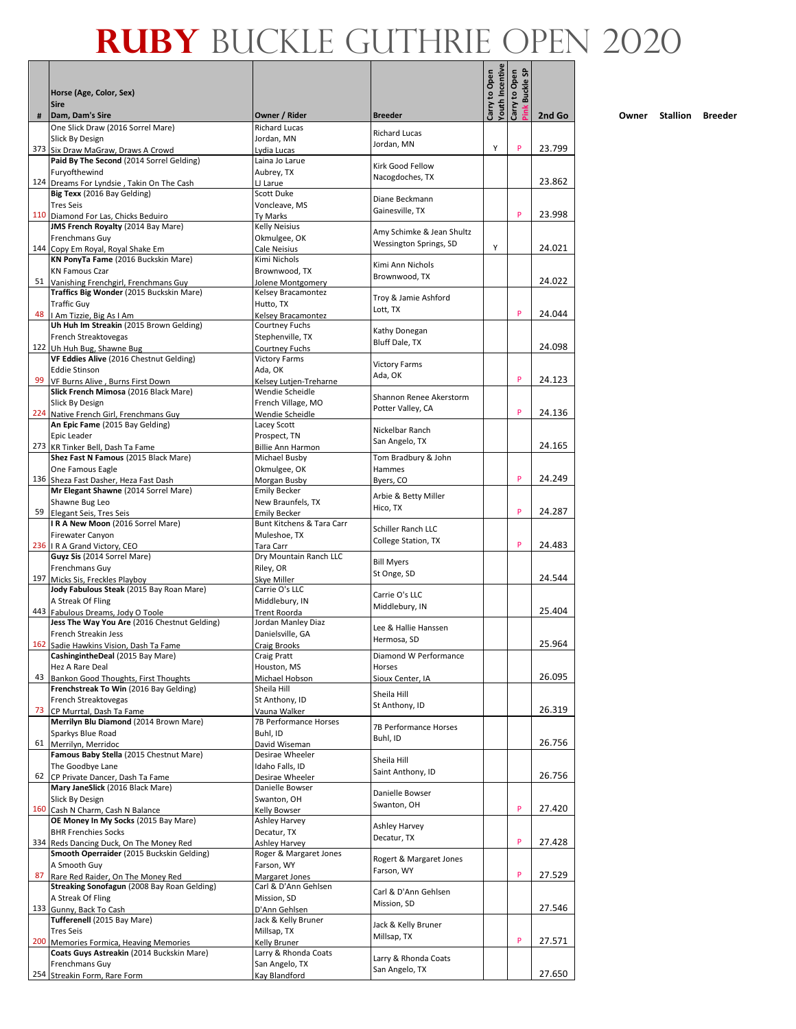|     | Horse (Age, Color, Sex)                                                              |                                           |                                       | Youth Incentive<br>Carry to Open | <b>G</b><br>Carry to Open<br><b>Buckle</b> |        |
|-----|--------------------------------------------------------------------------------------|-------------------------------------------|---------------------------------------|----------------------------------|--------------------------------------------|--------|
|     | <b>Sire</b>                                                                          |                                           |                                       |                                  |                                            |        |
| #   | Dam, Dam's Sire<br>One Slick Draw (2016 Sorrel Mare)                                 | Owner / Rider<br><b>Richard Lucas</b>     | <b>Breeder</b>                        |                                  |                                            | 2nd Go |
|     | Slick By Design                                                                      | Jordan, MN                                | <b>Richard Lucas</b><br>Jordan, MN    |                                  |                                            |        |
|     | 373 Six Draw MaGraw, Draws A Crowd<br>Paid By The Second (2014 Sorrel Gelding)       | Lydia Lucas<br>Laina Jo Larue             |                                       | Υ                                | P                                          | 23.799 |
|     | Furyofthewind                                                                        | Aubrey, TX                                | Kirk Good Fellow<br>Nacogdoches, TX   |                                  |                                            |        |
|     | 124 Dreams For Lyndsie, Takin On The Cash<br>Big Texx (2016 Bay Gelding)             | LJ Larue<br>Scott Duke                    |                                       |                                  |                                            | 23.862 |
|     | <b>Tres Seis</b>                                                                     | Voncleave, MS                             | Diane Beckmann                        |                                  |                                            |        |
|     | 110 Diamond For Las, Chicks Beduiro                                                  | Ty Marks                                  | Gainesville, TX                       |                                  | P                                          | 23.998 |
|     | JMS French Royalty (2014 Bay Mare)<br>Frenchmans Guy                                 | <b>Kelly Neisius</b><br>Okmulgee, OK      | Amy Schimke & Jean Shultz             |                                  |                                            |        |
|     | 144 Copy Em Royal, Royal Shake Em                                                    | Cale Neisius                              | Wessington Springs, SD                | Υ                                |                                            | 24.021 |
|     | KN PonyTa Fame (2016 Buckskin Mare)                                                  | Kimi Nichols                              | Kimi Ann Nichols                      |                                  |                                            |        |
| 51  | <b>KN Famous Czar</b><br>Vanishing Frenchgirl, Frenchmans Guy                        | Brownwood, TX<br>Jolene Montgomery        | Brownwood, TX                         |                                  |                                            | 24.022 |
|     | Traffics Big Wonder (2015 Buckskin Mare)                                             | Kelsey Bracamontez                        | Troy & Jamie Ashford                  |                                  |                                            |        |
|     | <b>Traffic Guy</b>                                                                   | Hutto, TX                                 | Lott, TX                              |                                  | P                                          | 24.044 |
|     | 48   Am Tizzie, Big As I Am<br>Uh Huh Im Streakin (2015 Brown Gelding)               | Kelsey Bracamontez<br>Courtney Fuchs      |                                       |                                  |                                            |        |
|     | French Streaktovegas                                                                 | Stephenville, TX                          | Kathy Donegan<br>Bluff Dale, TX       |                                  |                                            |        |
|     | 122 Uh Huh Bug, Shawne Bug                                                           | Courtney Fuchs                            |                                       |                                  |                                            | 24.098 |
|     | VF Eddies Alive (2016 Chestnut Gelding)<br>Eddie Stinson                             | <b>Victory Farms</b><br>Ada, OK           | <b>Victory Farms</b>                  |                                  |                                            |        |
| 99  | VF Burns Alive, Burns First Down                                                     | Kelsey Lutjen-Treharne                    | Ada, OK                               |                                  | P                                          | 24.123 |
|     | Slick French Mimosa (2016 Black Mare)                                                | Wendie Scheidle                           | Shannon Renee Akerstorm               |                                  |                                            |        |
|     | Slick By Design<br>224 Native French Girl, Frenchmans Guy                            | French Village, MO<br>Wendie Scheidle     | Potter Valley, CA                     |                                  | P                                          | 24.136 |
|     | An Epic Fame (2015 Bay Gelding)                                                      | Lacey Scott                               |                                       |                                  |                                            |        |
|     | Epic Leader                                                                          | Prospect, TN                              | Nickelbar Ranch<br>San Angelo, TX     |                                  |                                            |        |
|     | 273 KR Tinker Bell, Dash Ta Fame<br>Shez Fast N Famous (2015 Black Mare)             | <b>Billie Ann Harmon</b><br>Michael Busby | Tom Bradbury & John                   |                                  |                                            | 24.165 |
|     | One Famous Eagle                                                                     | Okmulgee, OK                              | Hammes                                |                                  |                                            |        |
|     | 136 Sheza Fast Dasher, Heza Fast Dash                                                | Morgan Busby                              | Byers, CO                             |                                  | P                                          | 24.249 |
|     | Mr Elegant Shawne (2014 Sorrel Mare)<br>Shawne Bug Leo                               | <b>Emily Becker</b><br>New Braunfels, TX  | Arbie & Betty Miller                  |                                  |                                            |        |
|     | 59 Elegant Seis, Tres Seis                                                           | Emily Becker                              | Hico, TX                              |                                  | P                                          | 24.287 |
|     | IRA New Moon (2016 Sorrel Mare)                                                      | Bunt Kitchens & Tara Carr                 | Schiller Ranch LLC                    |                                  |                                            |        |
|     | Firewater Canyon<br>236   R A Grand Victory, CEO                                     | Muleshoe, TX<br>Tara Carr                 | College Station, TX                   |                                  | P                                          | 24.483 |
|     | Guyz Sis (2014 Sorrel Mare)                                                          | Dry Mountain Ranch LLC                    |                                       |                                  |                                            |        |
|     | Frenchmans Guy                                                                       | Riley, OR                                 | <b>Bill Myers</b><br>St Onge, SD      |                                  |                                            |        |
| 197 | Micks Sis, Freckles Playboy<br>Jody Fabulous Steak (2015 Bay Roan Mare)              | Skye Miller<br>Carrie O's LLC             |                                       |                                  |                                            | 24.544 |
|     | A Streak Of Fling                                                                    | Middlebury, IN                            | Carrie O's LLC                        |                                  |                                            |        |
|     | 443 Fabulous Dreams, Jody O Toole                                                    | Trent Roorda                              | Middlebury, IN                        |                                  |                                            | 25.404 |
|     | Jess The Way You Are (2016 Chestnut Gelding)<br>French Streakin Jess                 | Jordan Manley Diaz<br>Danielsville, GA    | Lee & Hallie Hanssen                  |                                  |                                            |        |
|     | 162 Sadie Hawkins Vision, Dash Ta Fame                                               | Craig Brooks                              | Hermosa, SD                           |                                  |                                            | 25.964 |
|     | CashingintheDeal (2015 Bay Mare)                                                     | Craig Pratt                               | Diamond W Performance                 |                                  |                                            |        |
| 43  | Hez A Rare Deal<br>Bankon Good Thoughts, First Thoughts                              | Houston, MS<br>Michael Hobson             | Horses<br>Sioux Center, IA            |                                  |                                            | 26.095 |
|     | Frenchstreak To Win (2016 Bay Gelding)                                               | Sheila Hill                               | Sheila Hill                           |                                  |                                            |        |
|     | French Streaktovegas                                                                 | St Anthony, ID                            | St Anthony, ID                        |                                  |                                            |        |
| 73  | CP Murrtal, Dash Ta Fame<br>Merrilyn Blu Diamond (2014 Brown Mare)                   | Vauna Walker<br>7B Performance Horses     |                                       |                                  |                                            | 26.319 |
|     | Sparkys Blue Road                                                                    | Buhl, ID                                  | 7B Performance Horses<br>Buhl, ID     |                                  |                                            |        |
|     | 61 Merrilyn, Merridoc                                                                | David Wiseman                             |                                       |                                  |                                            | 26.756 |
|     | Famous Baby Stella (2015 Chestnut Mare)<br>The Goodbye Lane                          | Desirae Wheeler<br>Idaho Falls, ID        | Sheila Hill                           |                                  |                                            |        |
|     | 62 CP Private Dancer, Dash Ta Fame                                                   | Desirae Wheeler                           | Saint Anthony, ID                     |                                  |                                            | 26.756 |
|     | Mary JaneSlick (2016 Black Mare)                                                     | Danielle Bowser                           | Danielle Bowser                       |                                  |                                            |        |
|     | Slick By Design<br>160 Cash N Charm, Cash N Balance                                  | Swanton, OH<br>Kelly Bowser               | Swanton, OH                           |                                  | P                                          | 27.420 |
|     | OE Money In My Socks (2015 Bay Mare)                                                 | Ashley Harvey                             | Ashley Harvey                         |                                  |                                            |        |
|     | <b>BHR Frenchies Socks</b>                                                           | Decatur, TX                               | Decatur, TX                           |                                  | P                                          |        |
|     | 334 Reds Dancing Duck, On The Money Red<br>Smooth Operraider (2015 Buckskin Gelding) | Ashley Harvey<br>Roger & Margaret Jones   |                                       |                                  |                                            | 27.428 |
|     | A Smooth Guy                                                                         | Farson, WY                                | Rogert & Margaret Jones<br>Farson, WY |                                  |                                            |        |
| 87  | Rare Red Raider, On The Money Red                                                    | Margaret Jones                            |                                       |                                  | P                                          | 27.529 |
|     | Streaking Sonofagun (2008 Bay Roan Gelding)<br>A Streak Of Fling                     | Carl & D'Ann Gehlsen<br>Mission, SD       | Carl & D'Ann Gehlsen                  |                                  |                                            |        |
|     | 133 Gunny, Back To Cash                                                              | D'Ann Gehlsen                             | Mission, SD                           |                                  |                                            | 27.546 |
|     | Tufferenell (2015 Bay Mare)                                                          | Jack & Kelly Bruner                       | Jack & Kelly Bruner                   |                                  |                                            |        |
|     | Tres Seis<br>200 Memories Formica, Heaving Memories                                  | Millsap, TX<br>Kelly Bruner               | Millsap, TX                           |                                  | P                                          | 27.571 |
|     | Coats Guys Astreakin (2014 Buckskin Mare)                                            | Larry & Rhonda Coats                      | Larry & Rhonda Coats                  |                                  |                                            |        |
|     | Frenchmans Guy                                                                       | San Angelo, TX                            | San Angelo, TX                        |                                  |                                            |        |
|     | 254 Streakin Form, Rare Form                                                         | Kay Blandford                             |                                       |                                  |                                            | 27.650 |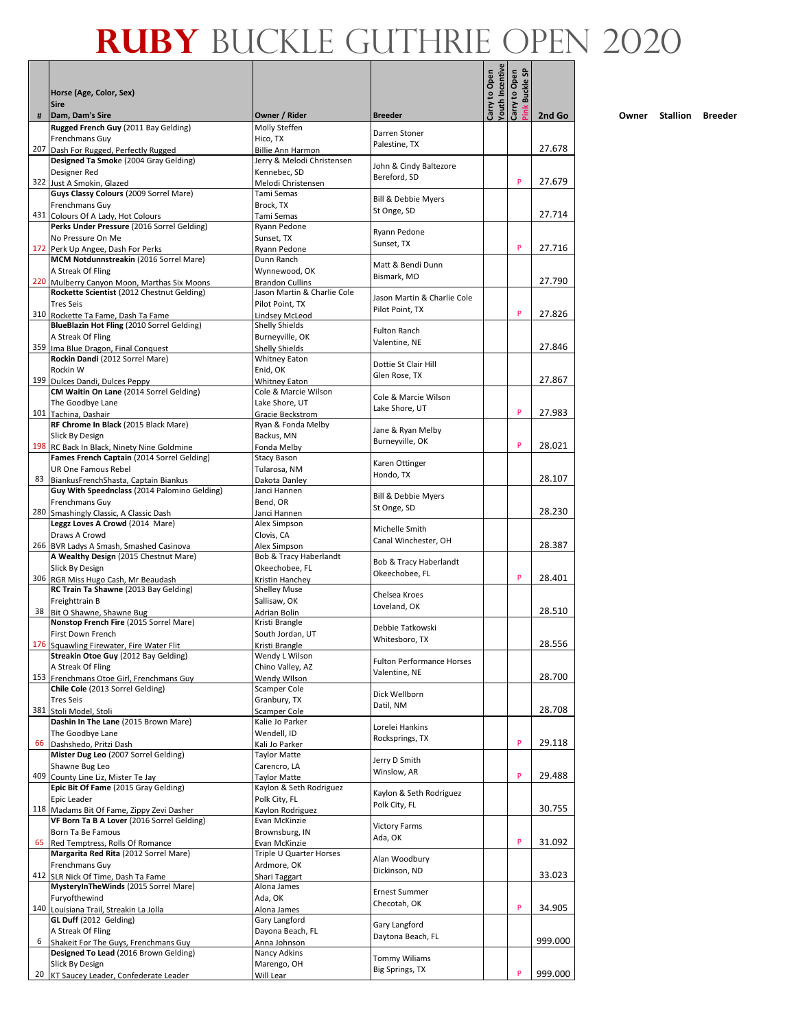|     | Horse (Age, Color, Sex)<br><b>Sire</b>                                                  |                                                |                                                   | Carry to Open<br>Youth Incentive | <b>G</b><br>Carry to Open<br>Buckle: |         |
|-----|-----------------------------------------------------------------------------------------|------------------------------------------------|---------------------------------------------------|----------------------------------|--------------------------------------|---------|
| #   | Dam, Dam's Sire<br>Rugged French Guy (2011 Bay Gelding)                                 | Owner / Rider<br>Molly Steffen                 | <b>Breeder</b>                                    |                                  |                                      | 2nd Go  |
|     | Frenchmans Guy                                                                          | Hico. TX                                       | Darren Stoner                                     |                                  |                                      |         |
|     | 207 Dash For Rugged, Perfectly Rugged                                                   | Billie Ann Harmon                              | Palestine, TX                                     |                                  |                                      | 27.678  |
|     | Designed Ta Smoke (2004 Gray Gelding)<br>Designer Red                                   | Jerry & Melodi Christensen<br>Kennebec, SD     | John & Cindy Baltezore                            |                                  |                                      |         |
|     | 322 Just A Smokin, Glazed                                                               | Melodi Christensen                             | Bereford, SD                                      |                                  | P                                    | 27.679  |
|     | Guys Classy Colours (2009 Sorrel Mare)                                                  | Tami Semas                                     | Bill & Debbie Myers                               |                                  |                                      |         |
|     | Frenchmans Guy<br>431 Colours Of A Lady, Hot Colours                                    | Brock, TX<br>Tami Semas                        | St Onge, SD                                       |                                  |                                      | 27.714  |
|     | Perks Under Pressure (2016 Sorrel Gelding)                                              | Ryann Pedone                                   |                                                   |                                  |                                      |         |
|     | No Pressure On Me                                                                       | Sunset, TX                                     | Ryann Pedone<br>Sunset, TX                        |                                  |                                      |         |
|     | 172 Perk Up Angee, Dash For Perks<br>MCM Notdunnstreakin (2016 Sorrel Mare)             | Ryann Pedone<br>Dunn Ranch                     |                                                   |                                  | P                                    | 27.716  |
|     | A Streak Of Fling                                                                       | Wynnewood, OK                                  | Matt & Bendi Dunn                                 |                                  |                                      |         |
|     | 220 Mulberry Canyon Moon, Marthas Six Moons                                             | <b>Brandon Cullins</b>                         | Bismark, MO                                       |                                  |                                      | 27.790  |
|     | Rockette Scientist (2012 Chestnut Gelding)<br><b>Tres Seis</b>                          | Jason Martin & Charlie Cole<br>Pilot Point, TX | Jason Martin & Charlie Cole                       |                                  |                                      |         |
|     | 310 Rockette Ta Fame, Dash Ta Fame                                                      | Lindsey McLeod                                 | Pilot Point, TX                                   |                                  | P                                    | 27.826  |
|     | BlueBlazin Hot Fling (2010 Sorrel Gelding)                                              | Shelly Shields                                 | <b>Fulton Ranch</b>                               |                                  |                                      |         |
|     | A Streak Of Fling<br>359 Ima Blue Dragon, Final Conquest                                | Burneyville, OK<br>Shelly Shields              | Valentine, NE                                     |                                  |                                      | 27.846  |
|     | Rockin Dandi (2012 Sorrel Mare)                                                         | <b>Whitney Eaton</b>                           |                                                   |                                  |                                      |         |
|     | Rockin W                                                                                | Enid, OK                                       | Dottie St Clair Hill<br>Glen Rose, TX             |                                  |                                      |         |
|     | 199 Dulces Dandi, Dulces Peppy<br>CM Waitin On Lane (2014 Sorrel Gelding)               | <b>Whitney Eaton</b><br>Cole & Marcie Wilson   |                                                   |                                  |                                      | 27.867  |
|     | The Goodbye Lane                                                                        | Lake Shore, UT                                 | Cole & Marcie Wilson                              |                                  |                                      |         |
|     | 101 Tachina, Dashair                                                                    | Gracie Beckstrom                               | Lake Shore, UT                                    |                                  | P                                    | 27.983  |
|     | RF Chrome In Black (2015 Black Mare)<br>Slick By Design                                 | Ryan & Fonda Melby<br>Backus, MN               | Jane & Ryan Melby                                 |                                  |                                      |         |
|     | 198 RC Back In Black, Ninety Nine Goldmine                                              | Fonda Melby                                    | Burneyville, OK                                   |                                  | P                                    | 28.021  |
|     | Fames French Captain (2014 Sorrel Gelding)                                              | <b>Stacy Bason</b>                             | Karen Ottinger                                    |                                  |                                      |         |
|     | UR One Famous Rebel<br>83 BiankusFrenchShasta, Captain Biankus                          | Tularosa, NM<br>Dakota Danley                  | Hondo, TX                                         |                                  |                                      | 28.107  |
|     | Guy With Speednclass (2014 Palomino Gelding)                                            | Janci Hannen                                   |                                                   |                                  |                                      |         |
|     | Frenchmans Guy                                                                          | Bend, OR                                       | <b>Bill &amp; Debbie Myers</b><br>St Onge, SD     |                                  |                                      |         |
|     | 280 Smashingly Classic, A Classic Dash<br>Leggz Loves A Crowd (2014 Mare)               | Janci Hannen<br>Alex Simpson                   |                                                   |                                  |                                      | 28.230  |
|     | Draws A Crowd                                                                           | Clovis, CA                                     | Michelle Smith                                    |                                  |                                      |         |
|     | 266 BVR Ladys A Smash, Smashed Casinova                                                 | Alex Simpson                                   | Canal Winchester, OH                              |                                  |                                      | 28.387  |
|     | A Wealthy Design (2015 Chestnut Mare)<br>Slick By Design                                | Bob & Tracy Haberlandt<br>Okeechobee, FL       | Bob & Tracy Haberlandt                            |                                  |                                      |         |
|     | 306 RGR Miss Hugo Cash, Mr Beaudash                                                     | Kristin Hanchev                                | Okeechobee, FL                                    |                                  | P                                    | 28.401  |
|     | RC Train Ta Shawne (2013 Bay Gelding)                                                   | <b>Shelley Muse</b>                            | Chelsea Kroes                                     |                                  |                                      |         |
|     | Freighttrain B<br>38 Bit O Shawne, Shawne Bug                                           | Sallisaw, OK<br>Adrian Bolin                   | Loveland, OK                                      |                                  |                                      | 28.510  |
|     | Nonstop French Fire (2015 Sorrel Mare)                                                  | Kristi Brangle                                 | Debbie Tatkowski                                  |                                  |                                      |         |
|     | First Down French                                                                       | South Jordan, UT                               | Whitesboro, TX                                    |                                  |                                      |         |
|     | 176 Squawling Firewater, Fire Water Flit<br>Streakin Otoe Guy (2012 Bay Gelding)        | Kristi Brangle<br>Wendy L Wilson               |                                                   |                                  |                                      | 28.556  |
|     | A Streak Of Fling                                                                       | Chino Valley, AZ                               | <b>Fulton Performance Horses</b><br>Valentine, NE |                                  |                                      |         |
|     | 153 Frenchmans Otoe Girl, Frenchmans Guy                                                | Wendy Wilson                                   |                                                   |                                  |                                      | 28.700  |
|     | Chile Cole (2013 Sorrel Gelding)<br><b>Tres Seis</b>                                    | Scamper Cole<br>Granbury, TX                   | Dick Wellborn                                     |                                  |                                      |         |
|     | 381 Stoli Model, Stoli                                                                  | Scamper Cole                                   | Datil, NM                                         |                                  |                                      | 28.708  |
|     | Dashin In The Lane (2015 Brown Mare)<br>The Goodbye Lane                                | Kalie Jo Parker                                | Lorelei Hankins                                   |                                  |                                      |         |
| 66  | Dashshedo, Pritzi Dash                                                                  | Wendell, ID<br>Kali Jo Parker                  | Rocksprings, TX                                   |                                  | P                                    | 29.118  |
|     | Mister Dug Leo (2007 Sorrel Gelding)                                                    | <b>Taylor Matte</b>                            | Jerry D Smith                                     |                                  |                                      |         |
| 409 | Shawne Bug Leo                                                                          | Carencro, LA                                   | Winslow, AR                                       |                                  | P                                    | 29.488  |
|     | County Line Liz, Mister Te Jay<br>Epic Bit Of Fame (2015 Gray Gelding)                  | Taylor Matte<br>Kaylon & Seth Rodriguez        |                                                   |                                  |                                      |         |
|     | Epic Leader                                                                             | Polk City, FL                                  | Kaylon & Seth Rodriguez<br>Polk City, FL          |                                  |                                      |         |
|     | 118 Madams Bit Of Fame, Zippy Zevi Dasher<br>VF Born Ta B A Lover (2016 Sorrel Gelding) | Kaylon Rodriguez<br>Evan McKinzie              |                                                   |                                  |                                      | 30.755  |
|     | Born Ta Be Famous                                                                       | Brownsburg, IN                                 | <b>Victory Farms</b>                              |                                  |                                      |         |
| 65  | Red Temptress, Rolls Of Romance                                                         | Evan McKinzie                                  | Ada, OK                                           |                                  | P                                    | 31.092  |
|     | Margarita Red Rita (2012 Sorrel Mare)<br>Frenchmans Guy                                 | Triple U Quarter Horses<br>Ardmore, OK         | Alan Woodbury                                     |                                  |                                      |         |
|     | 412 SLR Nick Of Time, Dash Ta Fame                                                      | Shari Taggart                                  | Dickinson, ND                                     |                                  |                                      | 33.023  |
|     | MysteryInTheWinds (2015 Sorrel Mare)                                                    | Alona James                                    | <b>Ernest Summer</b>                              |                                  |                                      |         |
|     | Furyofthewind<br>140 Louisiana Trail, Streakin La Jolla                                 | Ada, OK<br>Alona James                         | Checotah, OK                                      |                                  | P                                    | 34.905  |
|     | GL Duff (2012 Gelding)                                                                  | Gary Langford                                  |                                                   |                                  |                                      |         |
|     | A Streak Of Fling                                                                       | Dayona Beach, FL                               | Gary Langford<br>Daytona Beach, FL                |                                  |                                      |         |
| 6   | Shakeit For The Guys, Frenchmans Guy<br>Designed To Lead (2016 Brown Gelding)           | Anna Johnson<br>Nancy Adkins                   |                                                   |                                  |                                      | 999.000 |
|     | Slick By Design                                                                         | Marengo, OH                                    | <b>Tommy Wiliams</b>                              |                                  |                                      |         |
|     | 20 KT Saucey Leader, Confederate Leader                                                 | Will Lear                                      | Big Springs, TX                                   |                                  | P                                    | 999.000 |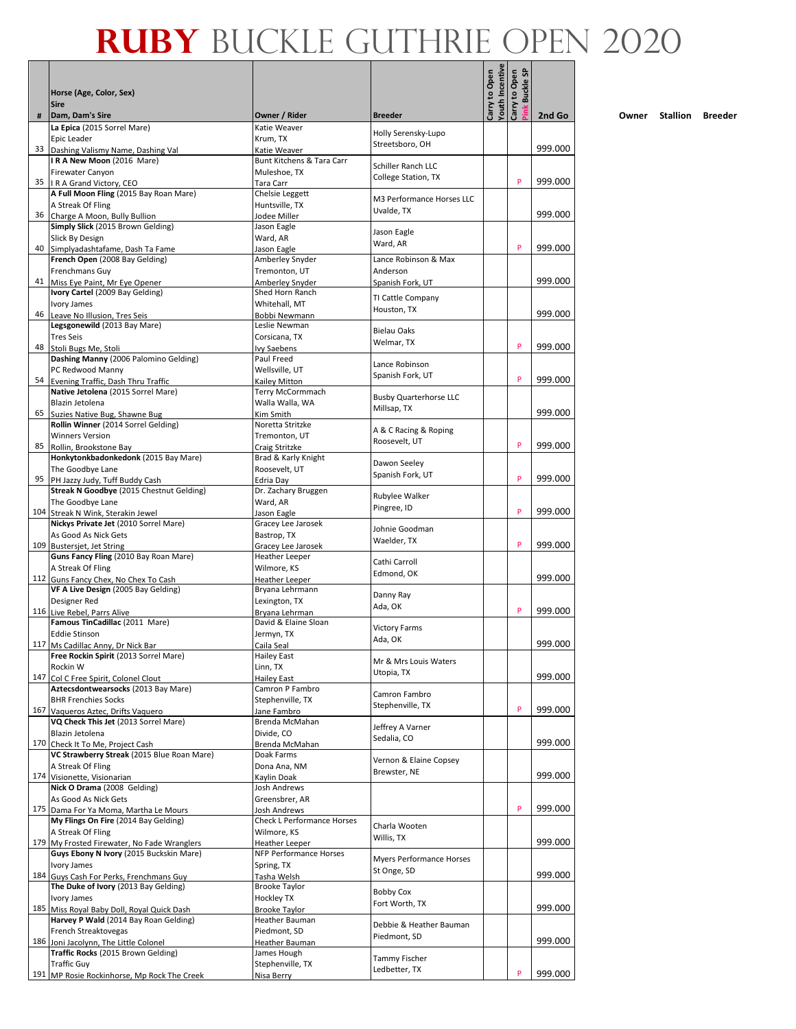|     |                                                                   |                                                  |                                  | Youth Incentive | <b>Buckle SP</b> |         |
|-----|-------------------------------------------------------------------|--------------------------------------------------|----------------------------------|-----------------|------------------|---------|
|     | Horse (Age, Color, Sex)<br><b>Sire</b>                            |                                                  |                                  | Carry to Open   | Carry to Open    |         |
| #   | Dam, Dam's Sire                                                   | Owner / Rider                                    | <b>Breeder</b>                   |                 |                  | 2nd Go  |
|     | La Epica (2015 Sorrel Mare)<br>Epic Leader                        | Katie Weaver<br>Krum, TX                         | Holly Serensky-Lupo              |                 |                  |         |
| 33  | Dashing Valismy Name, Dashing Val                                 | Katie Weaver<br>Bunt Kitchens & Tara Carr        | Streetsboro, OH                  |                 |                  | 999.000 |
|     | IRA New Moon (2016 Mare)<br>Firewater Canyon                      | Muleshoe, TX                                     | Schiller Ranch LLC               |                 |                  |         |
|     | 35   R A Grand Victory, CEO                                       | Tara Carr                                        | College Station, TX              |                 | P                | 999.000 |
|     | A Full Moon Fling (2015 Bay Roan Mare)<br>A Streak Of Fling       | Chelsie Leggett<br>Huntsville, TX                | M3 Performance Horses LLC        |                 |                  |         |
| 36  | Charge A Moon, Bully Bullion                                      | Jodee Miller                                     | Uvalde, TX                       |                 |                  | 999.000 |
|     | Simply Slick (2015 Brown Gelding)<br>Slick By Design              | Jason Eagle<br>Ward, AR                          | Jason Eagle                      |                 |                  |         |
| 40  | Simplyadashtafame, Dash Ta Fame                                   | Jason Eagle                                      | Ward, AR                         |                 | P                | 999.000 |
|     | French Open (2008 Bay Gelding)<br>Frenchmans Guy                  | Amberley Snyder<br>Tremonton, UT                 | Lance Robinson & Max<br>Anderson |                 |                  |         |
| 41  | Miss Eye Paint, Mr Eye Opener                                     | Amberley Snyder                                  | Spanish Fork, UT                 |                 |                  | 999.000 |
|     | Ivory Cartel (2009 Bay Gelding)<br>Ivory James                    | Shed Horn Ranch<br>Whitehall, MT                 | TI Cattle Company                |                 |                  |         |
| 46  | Leave No Illusion, Tres Seis                                      | Bobbi Newmann                                    | Houston, TX                      |                 |                  | 999.000 |
|     | Legsgonewild (2013 Bay Mare)<br><b>Tres Seis</b>                  | Leslie Newman<br>Corsicana, TX                   | <b>Bielau Oaks</b>               |                 |                  |         |
| 48  | Stoli Bugs Me, Stoli                                              | Ivy Saebens                                      | Welmar, TX                       |                 | P                | 999.000 |
|     | Dashing Manny (2006 Palomino Gelding)<br>PC Redwood Manny         | Paul Freed<br>Wellsville, UT                     | Lance Robinson                   |                 |                  |         |
| 54  | Evening Traffic, Dash Thru Traffic                                | Kailey Mitton                                    | Spanish Fork, UT                 |                 | P                | 999.000 |
|     | Native Jetolena (2015 Sorrel Mare)<br>Blazin Jetolena             | Terry McCormmach<br>Walla Walla, WA              | <b>Busby Quarterhorse LLC</b>    |                 |                  |         |
|     | 65 Suzies Native Bug, Shawne Bug                                  | Kim Smith                                        | Millsap, TX                      |                 |                  | 999.000 |
|     | Rollin Winner (2014 Sorrel Gelding)<br><b>Winners Version</b>     | Noretta Stritzke<br>Tremonton, UT                | A & C Racing & Roping            |                 |                  |         |
| 85  | Rollin, Brookstone Bay                                            | Craig Stritzke                                   | Roosevelt, UT                    |                 | P                | 999.000 |
|     | Honkytonkbadonkedonk (2015 Bay Mare)<br>The Goodbye Lane          | Brad & Karly Knight<br>Roosevelt, UT             | Dawon Seeley                     |                 |                  |         |
|     | 95 PH Jazzy Judy, Tuff Buddy Cash                                 | Edria Day                                        | Spanish Fork, UT                 |                 | P                | 999.000 |
|     | Streak N Goodbye (2015 Chestnut Gelding)<br>The Goodbye Lane      | Dr. Zachary Bruggen<br>Ward, AR                  | Rubylee Walker                   |                 |                  |         |
| 104 | Streak N Wink, Sterakin Jewel                                     | Jason Eagle                                      | Pingree, ID                      |                 | P                | 999.000 |
|     | Nickys Private Jet (2010 Sorrel Mare)<br>As Good As Nick Gets     | Gracey Lee Jarosek<br>Bastrop, TX                | Johnie Goodman                   |                 |                  |         |
| 109 | <b>Bustersjet, Jet String</b>                                     | Gracey Lee Jarosek                               | Waelder, TX                      |                 | P                | 999.000 |
|     | Guns Fancy Fling (2010 Bay Roan Mare)<br>A Streak Of Fling        | Heather Leeper<br>Wilmore, KS                    | Cathi Carroll                    |                 |                  |         |
|     | 112 Guns Fancy Chex, No Chex To Cash                              | Heather Leeper                                   | Edmond, OK                       |                 |                  | 999.000 |
|     | VF A Live Design (2005 Bay Gelding)<br>Designer Red               | Bryana Lehrmann<br>Lexington, TX                 | Danny Ray                        |                 |                  |         |
|     | 116 Live Rebel, Parrs Alive                                       | Bryana Lehrman                                   | Ada, OK                          |                 | P                | 999.000 |
|     | Famous TinCadillac (2011 Mare)<br><b>Eddie Stinson</b>            | David & Elaine Sloan<br>Jermyn, TX               | <b>Victory Farms</b>             |                 |                  |         |
|     | 117 Ms Cadillac Anny, Dr Nick Bar                                 | Caila Seal                                       | Ada, OK                          |                 |                  | 999.000 |
|     | Free Rockin Spirit (2013 Sorrel Mare)<br>Rockin W                 | Hailey East<br>Linn, TX                          | Mr & Mrs Louis Waters            |                 |                  |         |
| 147 | Col C Free Spirit, Colonel Clout                                  | Hailey East                                      | Utopia, TX                       |                 |                  | 999.000 |
|     | Aztecsdontwearsocks (2013 Bay Mare)<br><b>BHR Frenchies Socks</b> | Camron P Fambro<br>Stephenville, TX              | Camron Fambro                    |                 |                  |         |
|     | 167 Vaqueros Aztec, Drifts Vaquero                                | Jane Fambro                                      | Stephenville, TX                 |                 | P                | 999.000 |
|     | VQ Check This Jet (2013 Sorrel Mare)<br>Blazin Jetolena           | Brenda McMahan<br>Divide, CO                     | Jeffrey A Varner                 |                 |                  |         |
|     | 170 Check It To Me, Project Cash                                  | Brenda McMahan                                   | Sedalia, CO                      |                 |                  | 999.000 |
|     | VC Strawberry Streak (2015 Blue Roan Mare)<br>A Streak Of Fling   | Doak Farms<br>Dona Ana, NM                       | Vernon & Elaine Copsey           |                 |                  |         |
|     | 174 Visionette, Visionarian                                       | Kaylin Doak                                      | Brewster, NE                     |                 |                  | 999.000 |
|     | Nick O Drama (2008 Gelding)<br>As Good As Nick Gets               | Josh Andrews<br>Greensbrer, AR                   |                                  |                 |                  |         |
| 175 | Dama For Ya Moma, Martha Le Mours                                 | Josh Andrews                                     |                                  |                 | P                | 999.000 |
|     | My Flings On Fire (2014 Bay Gelding)<br>A Streak Of Fling         | <b>Check L Performance Horses</b><br>Wilmore, KS | Charla Wooten                    |                 |                  |         |
| 179 | My Frosted Firewater, No Fade Wranglers                           | Heather Leeper                                   | Willis, TX                       |                 |                  | 999.000 |
|     | Guys Ebony N Ivory (2015 Buckskin Mare)<br>Ivory James            | <b>NFP Performance Horses</b><br>Spring, TX      | Myers Performance Horses         |                 |                  |         |
|     | 184 Guys Cash For Perks, Frenchmans Guy                           | Tasha Welsh                                      | St Onge, SD                      |                 |                  | 999.000 |
|     | The Duke of Ivory (2013 Bay Gelding)<br>Ivory James               | Brooke Taylor<br>Hockley TX                      | <b>Bobby Cox</b>                 |                 |                  |         |
|     | 185 Miss Royal Baby Doll, Royal Quick Dash                        | <b>Brooke Taylor</b>                             | Fort Worth, TX                   |                 |                  | 999.000 |
|     | Harvey P Wald (2014 Bay Roan Gelding)<br>French Streaktovegas     | Heather Bauman<br>Piedmont, SD                   | Debbie & Heather Bauman          |                 |                  |         |
|     | 186 Joni Jacolynn, The Little Colonel                             | Heather Bauman                                   | Piedmont, SD                     |                 |                  | 999.000 |
|     | Traffic Rocks (2015 Brown Gelding)<br><b>Traffic Guy</b>          | James Hough<br>Stephenville, TX                  | Tammy Fischer                    |                 |                  |         |
|     | 191 MP Rosie Rockinhorse, Mp Rock The Creek                       | Nisa Berry                                       | Ledbetter, TX                    |                 | P                | 999.000 |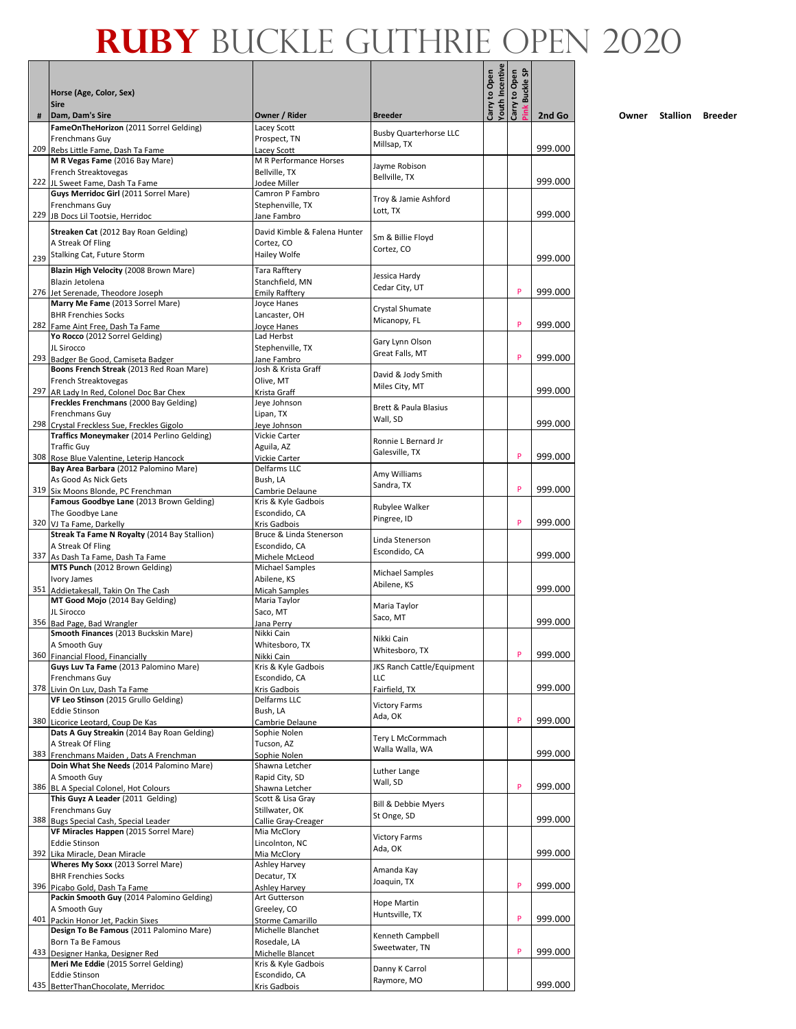|     | Horse (Age, Color, Sex)<br><b>Sire</b>                                         |                                          |                                              | Carry to Open<br>Youth Incentive | <b>G</b><br>Carry to Open<br>Buckle: |         |
|-----|--------------------------------------------------------------------------------|------------------------------------------|----------------------------------------------|----------------------------------|--------------------------------------|---------|
| #   | Dam, Dam's Sire<br>FameOnTheHorizon (2011 Sorrel Gelding)                      | Owner / Rider<br>Lacey Scott             | <b>Breeder</b>                               |                                  |                                      | 2nd Go  |
|     | Frenchmans Guy                                                                 | Prospect, TN                             | <b>Busby Quarterhorse LLC</b>                |                                  |                                      |         |
|     | 209 Rebs Little Fame, Dash Ta Fame                                             | Lacev Scott                              | Millsap, TX                                  |                                  |                                      | 999.000 |
|     | M R Vegas Fame (2016 Bay Mare)                                                 | M R Performance Horses                   | Jayme Robison                                |                                  |                                      |         |
|     | French Streaktovegas<br>222 JL Sweet Fame, Dash Ta Fame                        | Bellville, TX<br>Jodee Miller            | Bellville, TX                                |                                  |                                      | 999.000 |
|     | Guys Merridoc Girl (2011 Sorrel Mare)                                          | Camron P Fambro                          |                                              |                                  |                                      |         |
|     | Frenchmans Guy                                                                 | Stephenville, TX                         | Troy & Jamie Ashford<br>Lott, TX             |                                  |                                      |         |
|     | 229 JB Docs Lil Tootsie, Herridoc                                              | Jane Fambro                              |                                              |                                  |                                      | 999.000 |
|     | Streaken Cat (2012 Bay Roan Gelding)                                           | David Kimble & Falena Hunter             | Sm & Billie Floyd                            |                                  |                                      |         |
|     | A Streak Of Fling                                                              | Cortez, CO                               | Cortez, CO                                   |                                  |                                      |         |
| 239 | Stalking Cat, Future Storm                                                     | Hailey Wolfe                             |                                              |                                  |                                      | 999.000 |
|     | Blazin High Velocity (2008 Brown Mare)<br>Blazin Jetolena                      | Tara Rafftery<br>Stanchfield, MN         | Jessica Hardy                                |                                  |                                      |         |
|     | 276 Jet Serenade, Theodore Joseph                                              | <b>Emily Rafftery</b>                    | Cedar City, UT                               |                                  | P                                    | 999.000 |
|     | Marry Me Fame (2013 Sorrel Mare)                                               | Joyce Hanes                              | Crystal Shumate                              |                                  |                                      |         |
|     | <b>BHR Frenchies Socks</b>                                                     | Lancaster, OH                            | Micanopy, FL                                 |                                  | P                                    | 999.000 |
|     | 282 Fame Aint Free, Dash Ta Fame<br>Yo Rocco (2012 Sorrel Gelding)             | Joyce Hanes<br>Lad Herbst                |                                              |                                  |                                      |         |
|     | JL Sirocco                                                                     | Stephenville, TX                         | Gary Lynn Olson                              |                                  |                                      |         |
|     | 293 Badger Be Good, Camiseta Badger                                            | Jane Fambro                              | Great Falls, MT                              |                                  | P                                    | 999.000 |
|     | Boons French Streak (2013 Red Roan Mare)                                       | Josh & Krista Graff                      | David & Jody Smith                           |                                  |                                      |         |
|     | French Streaktovegas<br>297 AR Lady In Red, Colonel Doc Bar Chex               | Olive, MT<br>Krista Graff                | Miles City, MT                               |                                  |                                      | 999.000 |
|     | Freckles Frenchmans (2000 Bay Gelding)                                         | Jeye Johnson                             |                                              |                                  |                                      |         |
|     | Frenchmans Guy                                                                 | Lipan, TX                                | <b>Brett &amp; Paula Blasius</b><br>Wall, SD |                                  |                                      |         |
|     | 298 Crystal Freckless Sue, Freckles Gigolo                                     | Jeye Johnson                             |                                              |                                  |                                      | 999.000 |
|     | Traffics Moneymaker (2014 Perlino Gelding)<br><b>Traffic Guy</b>               | Vickie Carter<br>Aguila, AZ              | Ronnie L Bernard Jr                          |                                  |                                      |         |
|     | 308 Rose Blue Valentine, Leterip Hancock                                       | Vickie Carter                            | Galesville, TX                               |                                  | P                                    | 999.000 |
|     | Bay Area Barbara (2012 Palomino Mare)                                          | Delfarms LLC                             | Amy Williams                                 |                                  |                                      |         |
|     | As Good As Nick Gets                                                           | Bush, LA                                 | Sandra, TX                                   |                                  | P                                    | 999.000 |
|     | 319 Six Moons Blonde, PC Frenchman<br>Famous Goodbye Lane (2013 Brown Gelding) | Cambrie Delaune<br>Kris & Kyle Gadbois   |                                              |                                  |                                      |         |
|     | The Goodbye Lane                                                               | Escondido, CA                            | Rubylee Walker<br>Pingree, ID                |                                  |                                      |         |
|     | 320 VJ Ta Fame, Darkelly                                                       | Kris Gadbois                             |                                              |                                  | P                                    | 999.000 |
|     | Streak Ta Fame N Royalty (2014 Bay Stallion)<br>A Streak Of Fling              | Bruce & Linda Stenerson<br>Escondido, CA | Linda Stenerson                              |                                  |                                      |         |
|     | 337 As Dash Ta Fame, Dash Ta Fame                                              | Michele McLeod                           | Escondido, CA                                |                                  |                                      | 999.000 |
|     | MTS Punch (2012 Brown Gelding)                                                 | <b>Michael Samples</b>                   | <b>Michael Samples</b>                       |                                  |                                      |         |
|     | Ivory James                                                                    | Abilene, KS                              | Abilene, KS                                  |                                  |                                      | 999.000 |
|     | 351 Addietakesall, Takin On The Cash<br>MT Good Mojo (2014 Bay Gelding)        | <b>Micah Samples</b><br>Maria Taylor     |                                              |                                  |                                      |         |
|     | JL Sirocco                                                                     | Saco, MT                                 | Maria Taylor                                 |                                  |                                      |         |
|     | 356 Bad Page, Bad Wrangler                                                     | Jana Perry                               | Saco, MT                                     |                                  |                                      | 999.000 |
|     | Smooth Finances (2013 Buckskin Mare)                                           | Nikki Cain<br>Whitesboro, TX             | Nikki Cain                                   |                                  |                                      |         |
|     | A Smooth Guy<br>360 Financial Flood, Financially                               | Nikki Cain                               | Whitesboro, TX                               |                                  | P                                    | 999.000 |
|     | Guys Luv Ta Fame (2013 Palomino Mare)                                          | Kris & Kyle Gadbois                      | JKS Ranch Cattle/Equipment                   |                                  |                                      |         |
|     | Frenchmans Guy                                                                 | Escondido, CA                            | LLC                                          |                                  |                                      |         |
| 378 | Livin On Luv, Dash Ta Fame<br>VF Leo Stinson (2015 Grullo Gelding)             | Kris Gadbois<br>Delfarms LLC             | Fairfield, TX                                |                                  |                                      | 999.000 |
|     | <b>Eddie Stinson</b>                                                           | Bush, LA                                 | <b>Victory Farms</b>                         |                                  |                                      |         |
|     | 380 Licorice Leotard, Coup De Kas                                              | Cambrie Delaune                          | Ada, OK                                      |                                  | P                                    | 999.000 |
|     | Dats A Guy Streakin (2014 Bay Roan Gelding)                                    | Sophie Nolen                             | Tery L McCormmach                            |                                  |                                      |         |
|     | A Streak Of Fling<br>383 Frenchmans Maiden, Dats A Frenchman                   | Tucson, AZ<br>Sophie Nolen               | Walla Walla, WA                              |                                  |                                      | 999.000 |
|     | Doin What She Needs (2014 Palomino Mare)                                       | Shawna Letcher                           |                                              |                                  |                                      |         |
|     | A Smooth Guy                                                                   | Rapid City, SD                           | Luther Lange<br>Wall, SD                     |                                  |                                      |         |
|     | 386 BL A Special Colonel, Hot Colours<br>This Guyz A Leader (2011 Gelding)     | Shawna Letcher<br>Scott & Lisa Gray      |                                              |                                  | P                                    | 999.000 |
|     | Frenchmans Guy                                                                 | Stillwater, OK                           | Bill & Debbie Myers                          |                                  |                                      |         |
| 388 | Bugs Special Cash, Special Leader                                              | Callie Gray-Creager                      | St Onge, SD                                  |                                  |                                      | 999.000 |
|     | VF Miracles Happen (2015 Sorrel Mare)                                          | Mia McClory                              | <b>Victory Farms</b>                         |                                  |                                      |         |
|     | <b>Eddie Stinson</b><br>392 Lika Miracle, Dean Miracle                         | Lincolnton, NC<br>Mia McClory            | Ada, OK                                      |                                  |                                      | 999.000 |
|     | Wheres My Soxx (2013 Sorrel Mare)                                              | Ashley Harvey                            | Amanda Kay                                   |                                  |                                      |         |
|     | <b>BHR Frenchies Socks</b>                                                     | Decatur, TX                              | Joaquin, TX                                  |                                  |                                      |         |
|     | 396 Picabo Gold, Dash Ta Fame<br>Packin Smooth Guy (2014 Palomino Gelding)     | Ashley Harvey                            |                                              |                                  | P                                    | 999.000 |
|     | A Smooth Guy                                                                   | Art Gutterson<br>Greeley, CO             | Hope Martin                                  |                                  |                                      |         |
|     | 401 Packin Honor Jet, Packin Sixes                                             | Storme Camarillo                         | Huntsville, TX                               |                                  | P                                    | 999.000 |
|     | Design To Be Famous (2011 Palomino Mare)                                       | Michelle Blanchet                        | Kenneth Campbell                             |                                  |                                      |         |
| 433 | Born Ta Be Famous                                                              | Rosedale, LA                             | Sweetwater, TN                               |                                  | P                                    | 999.000 |
|     | Designer Hanka, Designer Red<br>Meri Me Eddie (2015 Sorrel Gelding)            | Michelle Blancet<br>Kris & Kyle Gadbois  |                                              |                                  |                                      |         |
|     | <b>Eddie Stinson</b>                                                           | Escondido, CA                            | Danny K Carrol                               |                                  |                                      |         |
|     | 435 BetterThanChocolate, Merridoc                                              | Kris Gadbois                             | Raymore, MO                                  |                                  |                                      | 999.000 |